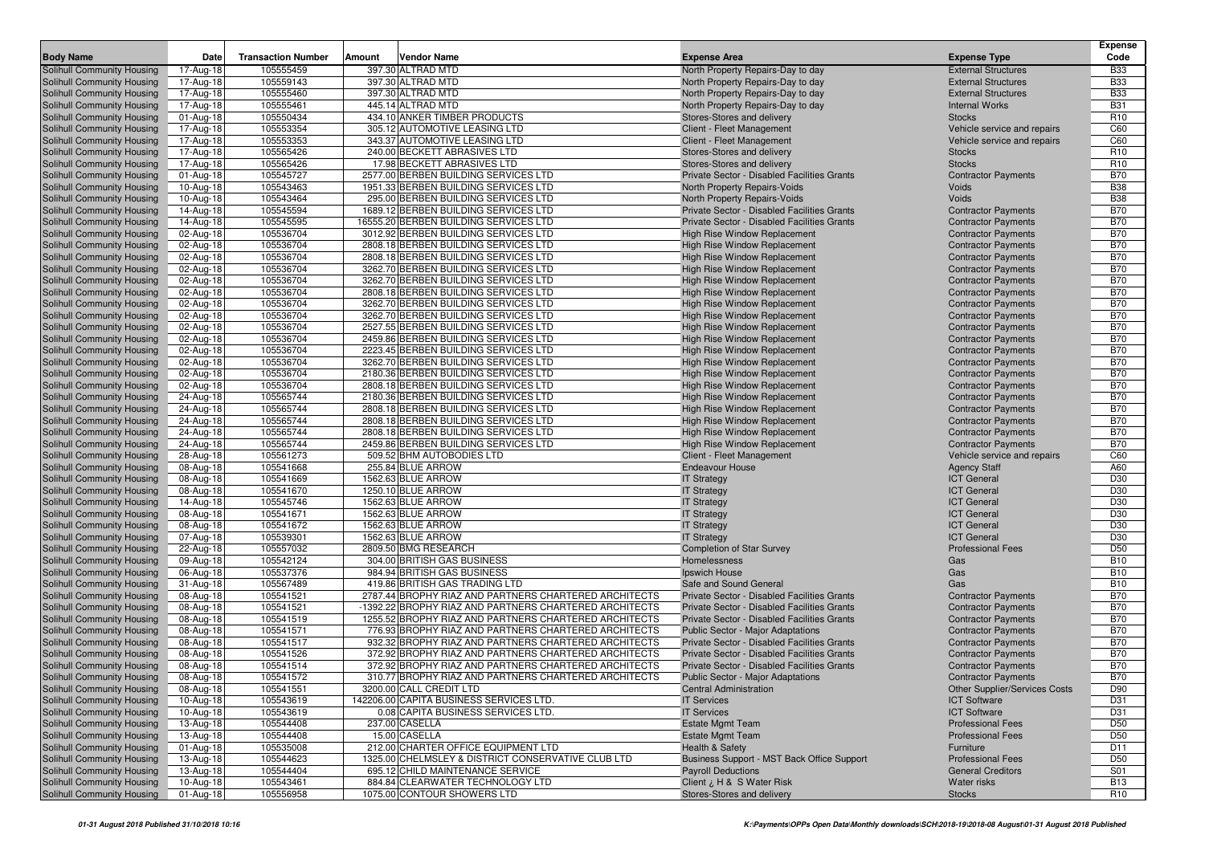|                                                          |                         |                           |                                                                                                              |                                                                                            |                                                            | <b>Expense</b>           |
|----------------------------------------------------------|-------------------------|---------------------------|--------------------------------------------------------------------------------------------------------------|--------------------------------------------------------------------------------------------|------------------------------------------------------------|--------------------------|
| <b>Body Name</b>                                         | Date                    | <b>Transaction Number</b> | Vendor Name<br>Amount                                                                                        | <b>Expense Area</b>                                                                        | <b>Expense Type</b>                                        | Code                     |
| Solihull Community Housing                               | 17-Aug-18               | 105555459                 | 397.30 ALTRAD MTD                                                                                            | North Property Repairs-Day to day                                                          | <b>External Structures</b>                                 | <b>B33</b>               |
| Solihull Community Housing                               | 17-Aug-18               | 105559143                 | 397.30 ALTRAD MTD                                                                                            | North Property Repairs-Day to day                                                          | <b>External Structures</b>                                 | <b>B33</b>               |
| Solihull Community Housing                               | 17-Aug-18               | 105555460                 | 397.30 ALTRAD MTD                                                                                            | North Property Repairs-Day to day                                                          | <b>External Structures</b>                                 | <b>B33</b>               |
| Solihull Community Housing                               | 17-Aug-18               | 105555461                 | 445.14 ALTRAD MTD                                                                                            | North Property Repairs-Day to day                                                          | <b>Internal Works</b>                                      | <b>B31</b>               |
| Solihull Community Housing                               | 01-Aug-18               | 105550434                 | 434.10 ANKER TIMBER PRODUCTS                                                                                 | Stores-Stores and delivery                                                                 | <b>Stocks</b>                                              | R <sub>10</sub>          |
| Solihull Community Housing                               | 17-Aug-18               | 105553354<br>105553353    | 305.12 AUTOMOTIVE LEASING LTD<br>343.37 AUTOMOTIVE LEASING LTD                                               | Client - Fleet Management<br>Client - Fleet Management                                     | Vehicle service and repairs<br>Vehicle service and repairs | C60                      |
| Solihull Community Housing<br>Solihull Community Housing | 17-Aug-18               | 105565426                 | 240.00 BECKETT ABRASIVES LTD                                                                                 |                                                                                            | <b>Stocks</b>                                              | C60<br>R <sub>10</sub>   |
| Solihull Community Housing                               | 17-Aug-18<br>17-Aug-18  | 105565426                 | 17.98 BECKETT ABRASIVES LTD                                                                                  | Stores-Stores and delivery<br>Stores-Stores and delivery                                   | <b>Stocks</b>                                              | R <sub>10</sub>          |
| Solihull Community Housing                               | 01-Aug-18               | 105545727                 | 2577.00 BERBEN BUILDING SERVICES LTD                                                                         | Private Sector - Disabled Facilities Grants                                                | <b>Contractor Payments</b>                                 | <b>B70</b>               |
| Solihull Community Housing                               | 10-Aug-18               | 105543463                 | 1951.33 BERBEN BUILDING SERVICES LTD                                                                         | North Property Repairs-Voids                                                               | Voids                                                      | <b>B38</b>               |
| Solihull Community Housing                               | 10-Aug-18               | 105543464                 | 295.00 BERBEN BUILDING SERVICES LTD                                                                          | North Property Repairs-Voids                                                               | Voids                                                      | <b>B38</b>               |
| Solihull Community Housing                               | 14-Aug-18               | 105545594                 | 1689.12 BERBEN BUILDING SERVICES LTD                                                                         | Private Sector - Disabled Facilities Grants                                                | <b>Contractor Payments</b>                                 | <b>B70</b>               |
| Solihull Community Housing                               | 14-Aug-18               | 105545595                 | 16555.20 BERBEN BUILDING SERVICES LTD                                                                        | Private Sector - Disabled Facilities Grants                                                | <b>Contractor Payments</b>                                 | <b>B70</b>               |
| Solihull Community Housing                               | 02-Aug-18               | 105536704                 | 3012.92 BERBEN BUILDING SERVICES LTD                                                                         | High Rise Window Replacement                                                               | <b>Contractor Payments</b>                                 | <b>B70</b>               |
| Solihull Community Housing                               | 02-Aug-18               | 105536704                 | 2808.18 BERBEN BUILDING SERVICES LTD                                                                         | <b>High Rise Window Replacement</b>                                                        | <b>Contractor Payments</b>                                 | <b>B70</b>               |
| Solihull Community Housing                               | 02-Aug-18               | 105536704                 | 2808.18 BERBEN BUILDING SERVICES LTD                                                                         | High Rise Window Replacement                                                               | <b>Contractor Payments</b>                                 | <b>B70</b>               |
| Solihull Community Housing                               | 02-Aug-18               | 105536704                 | 3262.70 BERBEN BUILDING SERVICES LTD                                                                         | High Rise Window Replacement                                                               | <b>Contractor Payments</b>                                 | <b>B70</b>               |
| Solihull Community Housing                               | 02-Aug-18               | 105536704                 | 3262.70 BERBEN BUILDING SERVICES LTD                                                                         | <b>High Rise Window Replacement</b>                                                        | <b>Contractor Payments</b>                                 | <b>B70</b>               |
| Solihull Community Housing                               | 02-Aug-18               | 105536704                 | 2808.18 BERBEN BUILDING SERVICES LTD                                                                         | <b>High Rise Window Replacement</b>                                                        | <b>Contractor Payments</b>                                 | <b>B70</b>               |
| Solihull Community Housing                               | 02-Aug-18               | 105536704                 | 3262.70 BERBEN BUILDING SERVICES LTD                                                                         | High Rise Window Replacement                                                               | <b>Contractor Payments</b>                                 | <b>B70</b>               |
| <b>Solihull Community Housing</b>                        | 02-Aug-18               | 105536704                 | 3262.70 BERBEN BUILDING SERVICES LTD                                                                         | High Rise Window Replacement                                                               | <b>Contractor Payments</b>                                 | <b>B70</b>               |
| Solihull Community Housing                               | 02-Aug-18               | 105536704                 | 2527.55 BERBEN BUILDING SERVICES LTD                                                                         | High Rise Window Replacement                                                               | <b>Contractor Payments</b>                                 | <b>B70</b>               |
| Solihull Community Housing                               | 02-Aug-18               | 105536704                 | 2459.86 BERBEN BUILDING SERVICES LTD                                                                         | <b>High Rise Window Replacement</b>                                                        | <b>Contractor Payments</b>                                 | <b>B70</b>               |
| Solihull Community Housing                               | 02-Aug-18               | 105536704                 | 2223.45 BERBEN BUILDING SERVICES LTD                                                                         | <b>High Rise Window Replacement</b>                                                        | <b>Contractor Payments</b>                                 | <b>B70</b>               |
| Solihull Community Housing                               | 02-Aug-18               | 105536704                 | 3262.70 BERBEN BUILDING SERVICES LTD                                                                         | <b>High Rise Window Replacement</b>                                                        | <b>Contractor Payments</b>                                 | <b>B70</b>               |
| Solihull Community Housing                               | 02-Aug-18               | 105536704                 | 2180.36 BERBEN BUILDING SERVICES LTD                                                                         | High Rise Window Replacement                                                               | <b>Contractor Payments</b>                                 | <b>B70</b>               |
| Solihull Community Housing                               | 02-Aug-18               | 105536704                 | 2808.18 BERBEN BUILDING SERVICES LTD                                                                         | High Rise Window Replacement                                                               | <b>Contractor Payments</b>                                 | <b>B70</b>               |
| Solihull Community Housing                               | 24-Aug-18               | 105565744                 | 2180.36 BERBEN BUILDING SERVICES LTD                                                                         | <b>High Rise Window Replacement</b>                                                        | <b>Contractor Payments</b>                                 | <b>B70</b>               |
| Solihull Community Housing                               | 24-Aug-18               | 105565744                 | 2808.18 BERBEN BUILDING SERVICES LTD<br>2808.18 BERBEN BUILDING SERVICES LTD                                 | <b>High Rise Window Replacement</b>                                                        | <b>Contractor Payments</b>                                 | <b>B70</b>               |
| Solihull Community Housing<br>Solihull Community Housing | 24-Aug-18<br>24-Aug-18  | 105565744<br>105565744    | 2808.18 BERBEN BUILDING SERVICES LTD                                                                         | High Rise Window Replacement<br>High Rise Window Replacement                               | <b>Contractor Payments</b><br><b>Contractor Payments</b>   | <b>B70</b><br><b>B70</b> |
| Solihull Community Housing                               | 24-Aug-18               | 105565744                 | 2459.86 BERBEN BUILDING SERVICES LTD                                                                         | High Rise Window Replacement                                                               | <b>Contractor Payments</b>                                 | <b>B70</b>               |
| Solihull Community Housing                               | 28-Aug-18               | 105561273                 | 509.52 BHM AUTOBODIES LTD                                                                                    | Client - Fleet Management                                                                  | Vehicle service and repairs                                | C60                      |
| Solihull Community Housing                               | 08-Aug-18               | 105541668                 | 255.84 BLUE ARROW                                                                                            | Endeavour House                                                                            | <b>Agency Staff</b>                                        | A60                      |
| Solihull Community Housing                               | 08-Aug-18               | 105541669                 | 1562.63 BLUE ARROW                                                                                           | <b>IT Strategy</b>                                                                         | <b>ICT General</b>                                         | D30                      |
| Solihull Community Housing                               | 08-Aug-18               | 105541670                 | 1250.10 BLUE ARROW                                                                                           | <b>IT Strategy</b>                                                                         | <b>ICT General</b>                                         | D30                      |
| Solihull Community Housing                               | 14-Aug-18               | 105545746                 | 1562.63 BLUE ARROW                                                                                           | <b>IT Strategy</b>                                                                         | <b>ICT General</b>                                         | D30                      |
| Solihull Community Housing                               | 08-Aug-18               | 105541671                 | 1562.63 BLUE ARROW                                                                                           | <b>IT Strategy</b>                                                                         | <b>ICT General</b>                                         | D30                      |
| Solihull Community Housing                               | 08-Aug-18               | 105541672                 | 1562.63 BLUE ARROW                                                                                           | <b>IT Strategy</b>                                                                         | <b>ICT General</b>                                         | D30                      |
| Solihull Community Housing                               | 07-Aug-18               | 105539301                 | 1562.63 BLUE ARROW                                                                                           | <b>IT Strategy</b>                                                                         | <b>ICT General</b>                                         | D30                      |
| Solihull Community Housing                               | 22-Aug-18               | 105557032                 | 2809.50 BMG RESEARCH                                                                                         | <b>Completion of Star Survey</b>                                                           | <b>Professional Fees</b>                                   | D <sub>50</sub>          |
| Solihull Community Housing                               | 09-Aug-18               | 105542124                 | 304.00 BRITISH GAS BUSINESS                                                                                  | Homelessness                                                                               | Gas                                                        | <b>B10</b>               |
| Solihull Community Housing                               | 06-Aug-18               | 105537376                 | 984.94 BRITISH GAS BUSINESS                                                                                  | Ipswich House                                                                              | Gas                                                        | <b>B10</b>               |
| Solihull Community Housing                               | 31-Aug-18               | 105567489                 | 419.86 BRITISH GAS TRADING LTD                                                                               | Safe and Sound General                                                                     | Gas                                                        | <b>B10</b>               |
| Solihull Community Housing                               | 08-Aug-18               | 105541521                 | 2787.44 BROPHY RIAZ AND PARTNERS CHARTERED ARCHITECTS                                                        | Private Sector - Disabled Facilities Grants                                                | <b>Contractor Payments</b>                                 | <b>B70</b>               |
| Solihull Community Housing                               | 08-Aug-18               | 105541521                 | -1392.22 BROPHY RIAZ AND PARTNERS CHARTERED ARCHITECTS                                                       | Private Sector - Disabled Facilities Grants                                                | <b>Contractor Payments</b>                                 | <b>B70</b>               |
| Solihull Community Housing                               | 08-Aug-18               | 105541519                 | 1255.52 BROPHY RIAZ AND PARTNERS CHARTERED ARCHITECTS                                                        | Private Sector - Disabled Facilities Grants                                                | <b>Contractor Payments</b>                                 | <b>B70</b>               |
| Solihull Community Housing                               | 08-Aug-18               | 105541571                 | 776.93 BROPHY RIAZ AND PARTNERS CHARTERED ARCHITECTS<br>932.32 BROPHY RIAZ AND PARTNERS CHARTERED ARCHITECTS | <b>Public Sector - Major Adaptations</b>                                                   | <b>Contractor Payments</b>                                 | <b>B70</b><br><b>B70</b> |
| Solihull Community Housing<br>Solihull Community Housing | 08-Aug-18               | 105541517<br>105541526    | 372.92 BROPHY RIAZ AND PARTNERS CHARTERED ARCHITECTS                                                         | Private Sector - Disabled Facilities Grants<br>Private Sector - Disabled Facilities Grants | <b>Contractor Payments</b><br><b>Contractor Payments</b>   | <b>B70</b>               |
| Solihull Community Housing                               | 08-Aug-18<br>08-Aug-18  | 105541514                 | 372.92 BROPHY RIAZ AND PARTNERS CHARTERED ARCHITECTS                                                         | Private Sector - Disabled Facilities Grants                                                | <b>Contractor Payments</b>                                 | <b>B70</b>               |
| <b>Solihull Community Housing</b>                        | 08-Aug-18               | 105541572                 | 310.77 BROPHY RIAZ AND PARTNERS CHARTERED ARCHITECTS                                                         | Public Sector - Major Adaptations                                                          | <b>Contractor Payments</b>                                 | <b>B70</b>               |
| Solihull Community Housing                               | 08-Aug-18               | 105541551                 | 3200.00 CALL CREDIT LTD                                                                                      | <b>Central Administration</b>                                                              | Other Supplier/Services Costs                              | D90                      |
| Solihull Community Housing                               | $\overline{10}$ -Aug-18 | 105543619                 | 142206.00 CAPITA BUSINESS SERVICES LTD.                                                                      | <b>IT Services</b>                                                                         | <b>ICT Software</b>                                        | D31                      |
| Solihull Community Housing                               | 10-Aug-18               | 105543619                 | 0.08 CAPITA BUSINESS SERVICES LTD.                                                                           | <b>IT Services</b>                                                                         | <b>ICT Software</b>                                        | D31                      |
| Solihull Community Housing                               | 13-Aug-18               | 105544408                 | 237.00 CASELLA                                                                                               | Estate Mgmt Team                                                                           | <b>Professional Fees</b>                                   | D <sub>50</sub>          |
| Solihull Community Housing                               | $\overline{1}3$ -Aug-18 | 105544408                 | 15.00 CASELLA                                                                                                | <b>Estate Mgmt Team</b>                                                                    | <b>Professional Fees</b>                                   | D <sub>50</sub>          |
| Solihull Community Housing                               | 01-Aug-18               | 105535008                 | 212.00 CHARTER OFFICE EQUIPMENT LTD                                                                          | Health & Safety                                                                            | Furniture                                                  | D11                      |
| Solihull Community Housing                               | 13-Aug-18               | 105544623                 | 1325.00 CHELMSLEY & DISTRICT CONSERVATIVE CLUB LTD                                                           | Business Support - MST Back Office Support                                                 | <b>Professional Fees</b>                                   | D50                      |
| Solihull Community Housing                               | 13-Aug-18               | 105544404                 | 695.12 CHILD MAINTENANCE SERVICE                                                                             | <b>Payroll Deductions</b>                                                                  | <b>General Creditors</b>                                   | S01                      |
| Solihull Community Housing                               | 10-Aug-18               | 105543461                 | 884.84 CLEARWATER TECHNOLOGY LTD                                                                             | Client ¿ H & S Water Risk                                                                  | Water risks                                                | <b>B13</b>               |
| Solihull Community Housing                               | 01-Aug-18               | 105556958                 | 1075.00 CONTOUR SHOWERS LTD                                                                                  | Stores-Stores and delivery                                                                 | <b>Stocks</b>                                              | <b>R10</b>               |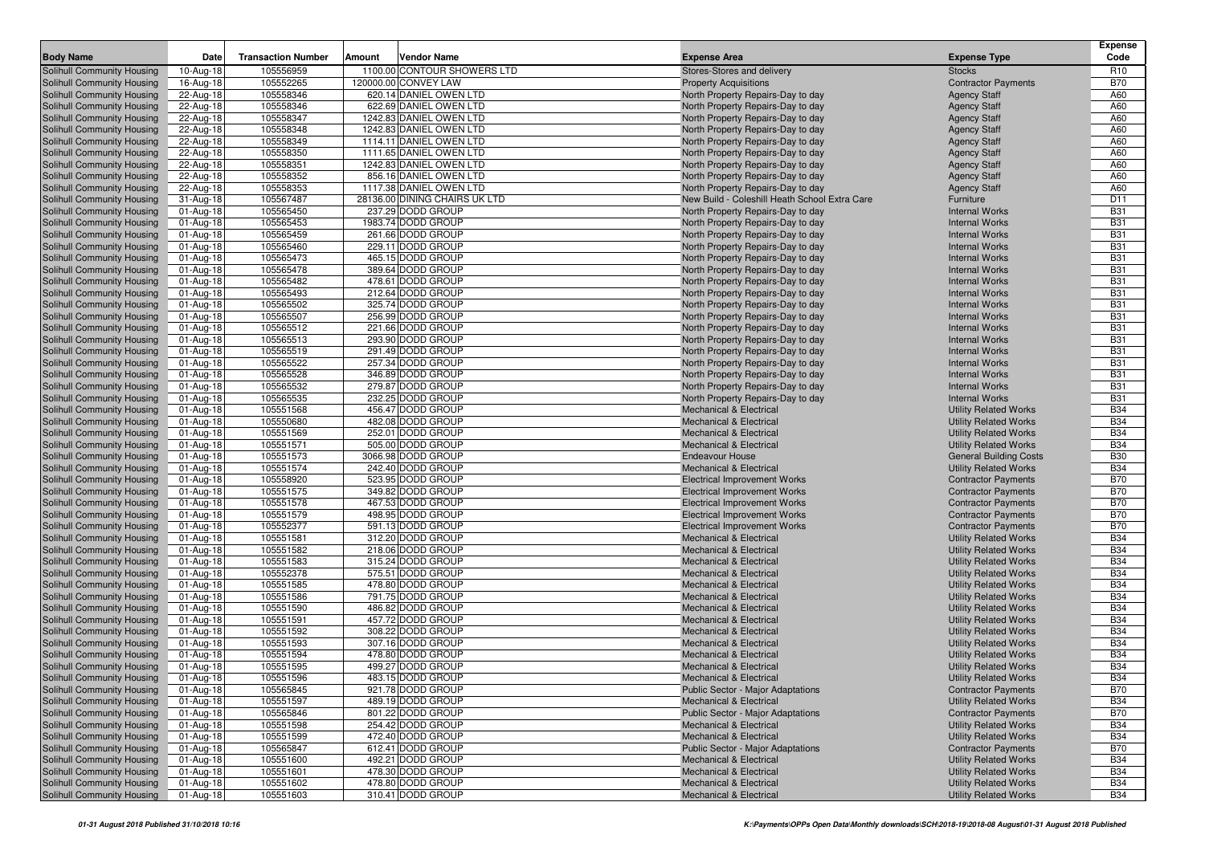|                                                          |                        |                           |        |                                        |                                                                        |                                                | <b>Expense</b>           |
|----------------------------------------------------------|------------------------|---------------------------|--------|----------------------------------------|------------------------------------------------------------------------|------------------------------------------------|--------------------------|
| <b>Body Name</b>                                         | Date                   | <b>Transaction Number</b> | Amount | <b>Vendor Name</b>                     | <b>Expense Area</b>                                                    | <b>Expense Type</b>                            | Code                     |
| Solihull Community Housing                               | 10-Aug-18              | 105556959                 |        | 1100.00 CONTOUR SHOWERS LTD            | Stores-Stores and delivery                                             | <b>Stocks</b>                                  | R <sub>10</sub>          |
| Solihull Community Housing                               | 16-Aug-18              | 105552265                 |        | 120000.00 CONVEY LAW                   | <b>Property Acquisitions</b>                                           | <b>Contractor Payments</b>                     | <b>B70</b>               |
| Solihull Community Housing                               | 22-Aug-18              | 105558346                 |        | 620.14 DANIEL OWEN LTD                 | North Property Repairs-Day to day                                      | <b>Agency Staff</b>                            | A60                      |
| Solihull Community Housing                               | 22-Aug-18              | 105558346                 |        | 622.69 DANIEL OWEN LTD                 | North Property Repairs-Day to day                                      | <b>Agency Staff</b>                            | A60                      |
| Solihull Community Housing                               | 22-Aug-18              | 105558347                 |        | 1242.83 DANIEL OWEN LTD                | North Property Repairs-Day to day                                      | <b>Agency Staff</b>                            | A60                      |
| Solihull Community Housing                               | 22-Aug-18              | 105558348                 |        | 1242.83 DANIEL OWEN LTD                | North Property Repairs-Day to day                                      | <b>Agency Staff</b>                            | A60                      |
| Solihull Community Housing                               | 22-Aug-18              | 105558349                 |        | 1114.11 DANIEL OWEN LTD                | North Property Repairs-Day to day                                      | <b>Agency Staff</b>                            | A60                      |
| Solihull Community Housing                               | 22-Aug-18              | 105558350                 |        | 1111.65 DANIEL OWEN LTD                | North Property Repairs-Day to day                                      | <b>Agency Staff</b>                            | A60                      |
| Solihull Community Housing                               | 22-Aug-18              | 105558351                 |        | 1242.83 DANIEL OWEN LTD                | North Property Repairs-Day to day                                      | <b>Agency Staff</b>                            | A60                      |
| Solihull Community Housing                               | 22-Aug-18              | 105558352                 |        | 856.16 DANIEL OWEN LTD                 | North Property Repairs-Day to day                                      | <b>Agency Staff</b>                            | A60                      |
| Solihull Community Housing                               | 22-Aug-18              | 105558353                 |        | 1117.38 DANIEL OWEN LTD                | North Property Repairs-Day to day                                      | <b>Agency Staff</b>                            | A60                      |
| Solihull Community Housing                               | 31-Aug-18              | 105567487                 |        | 28136.00 DINING CHAIRS UK LTD          | New Build - Coleshill Heath School Extra Care                          | Furniture                                      | D11                      |
| Solihull Community Housing                               | 01-Aug-18              | 105565450                 |        | 237.29 DODD GROUP                      | North Property Repairs-Day to day                                      | <b>Internal Works</b>                          | <b>B31</b>               |
| Solihull Community Housing                               | 01-Aug-18              | 105565453                 |        | 1983.74 DODD GROUP                     | North Property Repairs-Day to day                                      | <b>Internal Works</b>                          | <b>B31</b>               |
| Solihull Community Housing                               | 01-Aug-18              | 105565459                 |        | 261.66 DODD GROUP                      | North Property Repairs-Day to day                                      | <b>Internal Works</b>                          | <b>B31</b>               |
| Solihull Community Housing                               | 01-Aug-18              | 105565460                 |        | 229.11 DODD GROUP                      | North Property Repairs-Day to day                                      | <b>Internal Works</b>                          | <b>B31</b><br><b>B31</b> |
| Solihull Community Housing                               | 01-Aug-18              | 105565473                 |        | 465.15 DODD GROUP                      | North Property Repairs-Day to day                                      | <b>Internal Works</b>                          | <b>B31</b>               |
| Solihull Community Housing                               | 01-Aug-18              | 105565478                 |        | 389.64 DODD GROUP                      | North Property Repairs-Day to day                                      | <b>Internal Works</b>                          | <b>B31</b>               |
| Solihull Community Housing                               | 01-Aug-18              | 105565482                 |        | 478.61 DODD GROUP                      | North Property Repairs-Day to day                                      | <b>Internal Works</b>                          |                          |
| Solihull Community Housing                               | 01-Aug-18              | 105565493                 |        | 212.64 DODD GROUP                      | North Property Repairs-Day to day                                      | <b>Internal Works</b>                          | <b>B31</b>               |
| <b>Solihull Community Housing</b>                        | 01-Aug-18              | 105565502<br>105565507    |        | 325.74 DODD GROUP<br>256.99 DODD GROUP | North Property Repairs-Day to day                                      | <b>Internal Works</b><br><b>Internal Works</b> | <b>B31</b><br><b>B31</b> |
| Solihull Community Housing                               | 01-Aug-18              | 105565512                 |        |                                        | North Property Repairs-Day to day                                      | <b>Internal Works</b>                          | <b>B31</b>               |
| Solihull Community Housing                               | 01-Aug-18              |                           |        | 221.66 DODD GROUP                      | North Property Repairs-Day to day                                      | <b>Internal Works</b>                          | <b>B31</b>               |
| Solihull Community Housing                               | 01-Aug-18<br>01-Aug-18 | 105565513                 |        | 293.90 DODD GROUP<br>291.49 DODD GROUP | North Property Repairs-Day to day<br>North Property Repairs-Day to day | <b>Internal Works</b>                          | <b>B31</b>               |
| <b>Solihull Community Housing</b>                        |                        | 105565519<br>105565522    |        | 257.34 DODD GROUP                      |                                                                        | <b>Internal Works</b>                          | <b>B31</b>               |
| Solihull Community Housing<br>Solihull Community Housing | 01-Aug-18              | 105565528                 |        | 346.89 DODD GROUP                      | North Property Repairs-Day to day<br>North Property Repairs-Day to day | <b>Internal Works</b>                          | <b>B31</b>               |
| Solihull Community Housing                               | 01-Aug-18<br>01-Aug-18 | 105565532                 |        | 279.87 DODD GROUP                      | North Property Repairs-Day to day                                      | <b>Internal Works</b>                          | <b>B31</b>               |
| Solihull Community Housing                               | 01-Aug-18              | 105565535                 |        | 232.25 DODD GROUP                      | North Property Repairs-Day to day                                      | <b>Internal Works</b>                          | <b>B31</b>               |
| Solihull Community Housing                               | 01-Aug-18              | 105551568                 |        | 456.47 DODD GROUP                      | <b>Mechanical &amp; Electrical</b>                                     | <b>Utility Related Works</b>                   | <b>B34</b>               |
| Solihull Community Housing                               | 01-Aug-18              | 105550680                 |        | 482.08 DODD GROUP                      | <b>Mechanical &amp; Electrical</b>                                     | <b>Utility Related Works</b>                   | <b>B34</b>               |
| Solihull Community Housing                               | 01-Aug-18              | 105551569                 |        | 252.01 DODD GROUP                      | <b>Mechanical &amp; Electrical</b>                                     | <b>Utility Related Works</b>                   | <b>B34</b>               |
| Solihull Community Housing                               | 01-Aug-18              | 105551571                 |        | 505.00 DODD GROUP                      | <b>Mechanical &amp; Electrical</b>                                     | <b>Utility Related Works</b>                   | <b>B34</b>               |
| Solihull Community Housing                               | 01-Aug-18              | 105551573                 |        | 3066.98 DODD GROUP                     | <b>Endeavour House</b>                                                 | <b>General Building Costs</b>                  | <b>B30</b>               |
| Solihull Community Housing                               | 01-Aug-18              | 105551574                 |        | 242.40 DODD GROUP                      | <b>Mechanical &amp; Electrical</b>                                     | <b>Utility Related Works</b>                   | <b>B34</b>               |
| Solihull Community Housing                               | 01-Aug-18              | 105558920                 |        | 523.95 DODD GROUP                      | <b>Electrical Improvement Works</b>                                    | <b>Contractor Payments</b>                     | <b>B70</b>               |
| Solihull Community Housing                               | 01-Aug-18              | 105551575                 |        | 349.82 DODD GROUP                      | <b>Electrical Improvement Works</b>                                    | <b>Contractor Payments</b>                     | <b>B70</b>               |
| Solihull Community Housing                               | 01-Aug-18              | 105551578                 |        | 467.53 DODD GROUP                      | <b>Electrical Improvement Works</b>                                    | <b>Contractor Payments</b>                     | <b>B70</b>               |
| Solihull Community Housing                               | 01-Aug-18              | 105551579                 |        | 498.95 DODD GROUP                      | <b>Electrical Improvement Works</b>                                    | <b>Contractor Payments</b>                     | <b>B70</b>               |
| Solihull Community Housing                               | 01-Aug-18              | 105552377                 |        | 591.13 DODD GROUP                      | <b>Electrical Improvement Works</b>                                    | <b>Contractor Payments</b>                     | <b>B70</b>               |
| Solihull Community Housing                               | 01-Aug-18              | 105551581                 |        | 312.20 DODD GROUP                      | <b>Mechanical &amp; Electrical</b>                                     | <b>Utility Related Works</b>                   | <b>B34</b>               |
| Solihull Community Housing                               | 01-Aug-18              | 105551582                 |        | 218.06 DODD GROUP                      | <b>Mechanical &amp; Electrical</b>                                     | <b>Utility Related Works</b>                   | <b>B34</b>               |
| Solihull Community Housing                               | 01-Aug-18              | 105551583                 |        | 315.24 DODD GROUP                      | <b>Mechanical &amp; Electrical</b>                                     | <b>Utility Related Works</b>                   | <b>B34</b>               |
| Solihull Community Housing                               | 01-Aug-18              | 105552378                 |        | 575.51 DODD GROUP                      | <b>Mechanical &amp; Electrical</b>                                     | <b>Utility Related Works</b>                   | <b>B34</b>               |
| Solihull Community Housing                               | 01-Aug-18              | 105551585                 |        | 478.80 DODD GROUP                      | Mechanical & Electrical                                                | <b>Utility Related Works</b>                   | <b>B34</b>               |
| Solihull Community Housing                               | 01-Aug-18              | 105551586                 |        | 791.75 DODD GROUP                      | <b>Mechanical &amp; Electrical</b>                                     | <b>Utility Related Works</b>                   | <b>B34</b>               |
| Solihull Community Housing                               | 01-Aug-18              | 105551590                 |        | 486.82 DODD GROUP                      | <b>Mechanical &amp; Electrical</b>                                     | <b>Utility Related Works</b>                   | <b>B34</b>               |
| Solihull Community Housing                               | 01-Aug-18              | 105551591                 |        | 457.72 DODD GROUP                      | <b>Mechanical &amp; Electrical</b>                                     | <b>Utility Related Works</b>                   | <b>B34</b>               |
| Solihull Community Housing                               | 01-Aug-18              | 105551592                 |        | 308.22 DODD GROUP                      | <b>Mechanical &amp; Electrical</b>                                     | <b>Utility Related Works</b>                   | <b>B34</b>               |
| <b>Solihull Community Housing</b>                        | 01-Aug-18              | 105551593                 |        | 307.16 DODD GROUP                      | <b>Mechanical &amp; Electrical</b>                                     | <b>Utility Related Works</b>                   | <b>B34</b>               |
| Solihull Community Housing                               | 01-Aug-18              | 105551594                 |        | 478.80 DODD GROUP                      | <b>Mechanical &amp; Electrical</b>                                     | <b>Utility Related Works</b>                   | <b>B34</b>               |
| Solihull Community Housing                               | $01$ -Aug-18           | 105551595                 |        | 499.27 DODD GROUP                      | Mechanical & Electrical                                                | <b>Utility Related Works</b>                   | <b>B34</b>               |
| Solihull Community Housing                               | 01-Aug-18              | 105551596                 |        | 483.15 DODD GROUP                      | <b>Mechanical &amp; Electrical</b>                                     | <b>Utility Related Works</b>                   | <b>B34</b>               |
| <b>Solihull Community Housing</b>                        | 01-Aug-18              | 105565845                 |        | 921.78 DODD GROUP                      | <b>Public Sector - Major Adaptations</b>                               | <b>Contractor Payments</b>                     | <b>B70</b>               |
| Solihull Community Housing                               | 01-Aug-18              | 105551597                 |        | 489.19 DODD GROUP                      | <b>Mechanical &amp; Electrical</b>                                     | <b>Utility Related Works</b>                   | <b>B34</b>               |
| Solihull Community Housing                               | 01-Aug-18              | 105565846                 |        | 801.22 DODD GROUP                      | Public Sector - Major Adaptations                                      | <b>Contractor Payments</b>                     | <b>B70</b>               |
| Solihull Community Housing                               | 01-Aug-18              | 105551598                 |        | 254.42 DODD GROUP                      | <b>Mechanical &amp; Electrical</b>                                     | <b>Utility Related Works</b>                   | <b>B34</b>               |
| Solihull Community Housing                               | 01-Aug-18              | 105551599                 |        | 472.40 DODD GROUP                      | Mechanical & Electrical                                                | <b>Utility Related Works</b>                   | <b>B34</b>               |
| Solihull Community Housing                               | 01-Aug-18              | 105565847                 |        | 612.41 DODD GROUP                      | Public Sector - Major Adaptations                                      | <b>Contractor Payments</b>                     | <b>B70</b>               |
| Solihull Community Housing                               | 01-Aug-18              | 105551600                 |        | 492.21 DODD GROUP                      | Mechanical & Electrical                                                | <b>Utility Related Works</b>                   | <b>B34</b>               |
| Solihull Community Housing                               | 01-Aug-18              | 105551601                 |        | 478.30 DODD GROUP                      | Mechanical & Electrical                                                | <b>Utility Related Works</b>                   | <b>B34</b>               |
| Solihull Community Housing                               | 01-Aug-18              | 105551602                 |        | 478.80 DODD GROUP                      | Mechanical & Electrical                                                | <b>Utility Related Works</b>                   | <b>B34</b>               |
| Solihull Community Housing                               | 01-Aug-18              | 105551603                 |        | 310.41 DODD GROUP                      | Mechanical & Electrical                                                | <b>Utility Related Works</b>                   | <b>B34</b>               |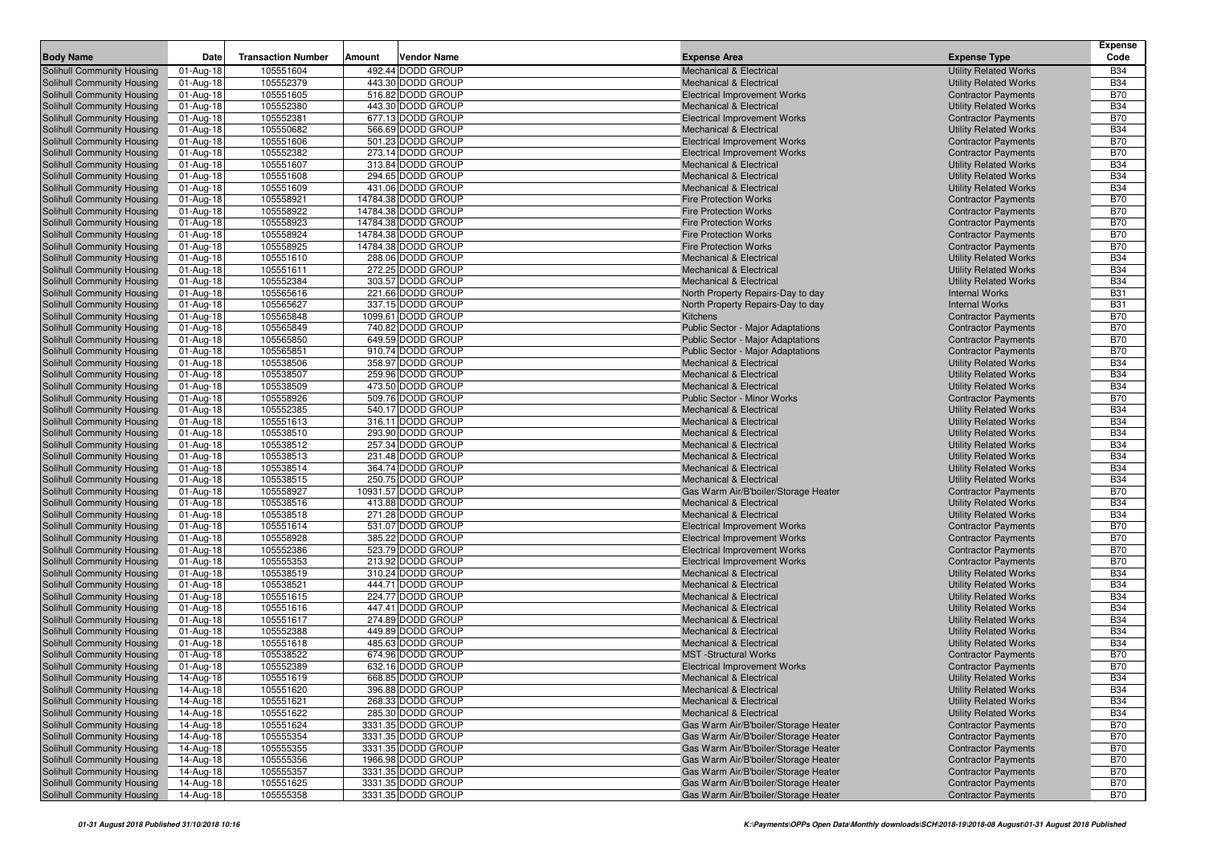|                                                          |                        |                           |                                         |                                                                          |                                                              | <b>Expense</b>           |
|----------------------------------------------------------|------------------------|---------------------------|-----------------------------------------|--------------------------------------------------------------------------|--------------------------------------------------------------|--------------------------|
| <b>Body Name</b>                                         | Date                   | <b>Transaction Number</b> | Vendor Name<br>Amount                   | <b>Expense Area</b>                                                      | <b>Expense Type</b>                                          | Code                     |
| Solihull Community Housing                               | 01-Aug-18              | 105551604                 | 492.44 DODD GROUP                       | <b>Mechanical &amp; Electrical</b>                                       | <b>Utility Related Works</b>                                 | <b>B34</b>               |
| Solihull Community Housing                               | 01-Aug-18              | 105552379                 | 443.30 DODD GROUP                       | <b>Mechanical &amp; Electrical</b>                                       | <b>Utility Related Works</b>                                 | <b>B34</b>               |
| Solihull Community Housing                               | 01-Aug-18              | 105551605                 | 516.82 DODD GROUP                       | <b>Electrical Improvement Works</b>                                      | <b>Contractor Payments</b>                                   | <b>B70</b>               |
| Solihull Community Housing                               | 01-Aug-18              | 105552380                 | 443.30 DODD GROUP                       | <b>Mechanical &amp; Electrical</b>                                       | <b>Utility Related Works</b>                                 | <b>B34</b>               |
| Solihull Community Housing                               | 01-Aug-18              | 105552381                 | 677.13 DODD GROUP                       | <b>Electrical Improvement Works</b>                                      | <b>Contractor Payments</b>                                   | <b>B70</b>               |
| Solihull Community Housing                               | 01-Aug-18              | 105550682                 | 566.69 DODD GROUP                       | <b>Mechanical &amp; Electrical</b>                                       | <b>Utility Related Works</b>                                 | <b>B34</b>               |
| Solihull Community Housing                               | 01-Aug-18              | 105551606                 | 501.23 DODD GROUP                       | <b>Electrical Improvement Works</b>                                      | <b>Contractor Payments</b>                                   | <b>B70</b>               |
| Solihull Community Housing                               | 01-Aug-18              | 105552382                 | 273.14 DODD GROUP                       | <b>Electrical Improvement Works</b>                                      | <b>Contractor Payments</b>                                   | <b>B70</b>               |
| Solihull Community Housing                               | 01-Aug-18              | 105551607                 | 313.84 DODD GROUP                       | <b>Mechanical &amp; Electrical</b>                                       | <b>Utility Related Works</b>                                 | <b>B34</b>               |
| Solihull Community Housing                               | 01-Aug-18              | 105551608                 | 294.65 DODD GROUP                       | <b>Mechanical &amp; Electrical</b>                                       | <b>Utility Related Works</b>                                 | <b>B34</b>               |
| Solihull Community Housing                               | 01-Aug-18              | 105551609                 | 431.06 DODD GROUP                       | <b>Mechanical &amp; Electrical</b>                                       | <b>Utility Related Works</b>                                 | <b>B34</b>               |
| Solihull Community Housing                               | 01-Aug-18              | 105558921                 | 14784.38 DODD GROUP                     | <b>Fire Protection Works</b>                                             | <b>Contractor Payments</b>                                   | <b>B70</b>               |
| Solihull Community Housing                               | 01-Aug-18              | 105558922                 | 14784.38 DODD GROUP                     | <b>Fire Protection Works</b>                                             | <b>Contractor Payments</b>                                   | <b>B70</b>               |
| Solihull Community Housing                               | 01-Aug-18              | 105558923                 | 14784.38 DODD GROUP                     | <b>Fire Protection Works</b>                                             | <b>Contractor Payments</b>                                   | <b>B70</b>               |
| Solihull Community Housing                               | 01-Aug-18              | 105558924                 | 14784.38 DODD GROUP                     | <b>Fire Protection Works</b>                                             | <b>Contractor Payments</b>                                   | <b>B70</b>               |
| Solihull Community Housing                               | 01-Aug-18              | 105558925                 | 14784.38 DODD GROUP                     | <b>Fire Protection Works</b>                                             | <b>Contractor Payments</b>                                   | <b>B70</b>               |
| Solihull Community Housing                               | 01-Aug-18              | 105551610                 | 288.06 DODD GROUP                       | <b>Mechanical &amp; Electrical</b>                                       | <b>Utility Related Works</b>                                 | <b>B34</b>               |
| Solihull Community Housing                               | 01-Aug-18              | 105551611                 | 272.25 DODD GROUP                       | <b>Mechanical &amp; Electrical</b>                                       | <b>Utility Related Works</b>                                 | <b>B34</b>               |
| Solihull Community Housing                               | 01-Aug-18              | 105552384                 | 303.57 DODD GROUP                       | <b>Mechanical &amp; Electrical</b>                                       | <b>Utility Related Works</b>                                 | <b>B34</b>               |
| Solihull Community Housing                               | 01-Aug-18              | 105565616                 | 221.66 DODD GROUP                       | North Property Repairs-Day to day                                        | <b>Internal Works</b>                                        | <b>B31</b>               |
| Solihull Community Housing                               | 01-Aug-18              | 105565627                 | 337.15 DODD GROUP<br>1099.61 DODD GROUP | North Property Repairs-Day to day<br>Kitchens                            | <b>Internal Works</b>                                        | <b>B31</b><br><b>B70</b> |
| Solihull Community Housing<br>Solihull Community Housing | 01-Aug-18              | 105565848<br>105565849    | 740.82 DODD GROUP                       | <b>Public Sector - Major Adaptations</b>                                 | <b>Contractor Payments</b>                                   | <b>B70</b>               |
| Solihull Community Housing                               | 01-Aug-18<br>01-Aug-18 | 105565850                 | 649.59 DODD GROUP                       | <b>Public Sector - Major Adaptations</b>                                 | <b>Contractor Payments</b><br><b>Contractor Payments</b>     | <b>B70</b>               |
| Solihull Community Housing                               | 01-Aug-18              | 105565851                 | 910.74 DODD GROUP                       | <b>Public Sector - Major Adaptations</b>                                 | <b>Contractor Payments</b>                                   | <b>B70</b>               |
| Solihull Community Housing                               | 01-Aug-18              | 105538506                 | 358.97 DODD GROUP                       | <b>Mechanical &amp; Electrical</b>                                       | <b>Utility Related Works</b>                                 | <b>B34</b>               |
| Solihull Community Housing                               | 01-Aug-18              | 105538507                 | 259.96 DODD GROUP                       | <b>Mechanical &amp; Electrical</b>                                       | <b>Utility Related Works</b>                                 | <b>B34</b>               |
| Solihull Community Housing                               | 01-Aug-18              | 105538509                 | 473.50 DODD GROUP                       | <b>Mechanical &amp; Electrical</b>                                       | <b>Utility Related Works</b>                                 | <b>B34</b>               |
| Solihull Community Housing                               | 01-Aug-18              | 105558926                 | 509.76 DODD GROUP                       | <b>Public Sector - Minor Works</b>                                       | <b>Contractor Payments</b>                                   | <b>B70</b>               |
| Solihull Community Housing                               | 01-Aug-18              | 105552385                 | 540.17 DODD GROUP                       | <b>Mechanical &amp; Electrical</b>                                       | <b>Utility Related Works</b>                                 | <b>B34</b>               |
| Solihull Community Housing                               | 01-Aug-18              | 105551613                 | 316.11 DODD GROUP                       | <b>Mechanical &amp; Electrical</b>                                       | <b>Utility Related Works</b>                                 | <b>B34</b>               |
| Solihull Community Housing                               | 01-Aug-18              | 105538510                 | 293.90 DODD GROUP                       | <b>Mechanical &amp; Electrical</b>                                       | <b>Utility Related Works</b>                                 | <b>B34</b>               |
| Solihull Community Housing                               | 01-Aug-18              | 105538512                 | 257.34 DODD GROUP                       | <b>Mechanical &amp; Electrical</b>                                       | <b>Utility Related Works</b>                                 | <b>B34</b>               |
| Solihull Community Housing                               | 01-Aug-18              | 105538513                 | 231.48 DODD GROUP                       | <b>Mechanical &amp; Electrical</b>                                       | <b>Utility Related Works</b>                                 | <b>B34</b>               |
| Solihull Community Housing                               | 01-Aug-18              | 105538514                 | 364.74 DODD GROUP                       | <b>Mechanical &amp; Electrical</b>                                       | <b>Utility Related Works</b>                                 | <b>B34</b>               |
| Solihull Community Housing                               | 01-Aug-18              | 105538515                 | 250.75 DODD GROUP                       | <b>Mechanical &amp; Electrical</b>                                       | <b>Utility Related Works</b>                                 | <b>B34</b>               |
| Solihull Community Housing                               | 01-Aug-18              | 105558927                 | 10931.57 DODD GROUP                     | Gas Warm Air/B'boiler/Storage Heater                                     | <b>Contractor Payments</b>                                   | <b>B70</b>               |
| Solihull Community Housing                               | 01-Aug-18              | 105538516                 | 413.88 DODD GROUP                       | <b>Mechanical &amp; Electrical</b>                                       | <b>Utility Related Works</b>                                 | <b>B34</b>               |
| Solihull Community Housing                               | 01-Aug-18              | 105538518                 | 271.28 DODD GROUP                       | <b>Mechanical &amp; Electrical</b>                                       | <b>Utility Related Works</b>                                 | <b>B34</b>               |
| Solihull Community Housing                               | 01-Aug-18              | 105551614                 | 531.07 DODD GROUP                       | <b>Electrical Improvement Works</b>                                      | <b>Contractor Payments</b>                                   | <b>B70</b>               |
| Solihull Community Housing                               | 01-Aug-18              | 105558928                 | 385.22 DODD GROUP                       | <b>Electrical Improvement Works</b>                                      | <b>Contractor Payments</b>                                   | <b>B70</b>               |
| Solihull Community Housing                               | 01-Aug-18              | 105552386                 | 523.79 DODD GROUP                       | <b>Electrical Improvement Works</b>                                      | <b>Contractor Payments</b>                                   | <b>B70</b>               |
| Solihull Community Housing                               | 01-Aug-18              | 105555353                 | 213.92 DODD GROUP                       | <b>Electrical Improvement Works</b>                                      | <b>Contractor Payments</b>                                   | <b>B70</b>               |
| Solihull Community Housing                               | 01-Aug-18              | 105538519                 | 310.24 DODD GROUP                       | <b>Mechanical &amp; Electrical</b>                                       | <b>Utility Related Works</b>                                 | <b>B34</b>               |
| Solihull Community Housing                               | 01-Aug-18              | 105538521                 | 444.71 DODD GROUP                       | <b>Mechanical &amp; Electrical</b>                                       | <b>Utility Related Works</b>                                 | <b>B34</b>               |
| Solihull Community Housing                               | 01-Aug-18              | 105551615                 | 224.77 DODD GROUP                       | <b>Mechanical &amp; Electrical</b>                                       | <b>Utility Related Works</b>                                 | <b>B34</b>               |
| Solihull Community Housing                               | 01-Aug-18              | 105551616<br>105551617    | 447.41 DODD GROUP<br>274.89 DODD GROUP  | <b>Mechanical &amp; Electrical</b><br><b>Mechanical &amp; Electrical</b> | <b>Utility Related Works</b><br><b>Utility Related Works</b> | <b>B34</b><br><b>B34</b> |
| Solihull Community Housing<br>Solihull Community Housing | 01-Aug-18              | 105552388                 | 449.89 DODD GROUP                       | <b>Mechanical &amp; Electrical</b>                                       | <b>Utility Related Works</b>                                 | <b>B34</b>               |
| <b>Solihull Community Housing</b>                        | 01-Aug-18<br>01-Aug-18 | 105551618                 | 485.63 DODD GROUP                       | <b>Mechanical &amp; Electrical</b>                                       | <b>Utility Related Works</b>                                 | <b>B34</b>               |
| Solihull Community Housing                               | 01-Aug-18              | 105538522                 | 674.96 DODD GROUP                       | <b>MST</b> -Structural Works                                             | <b>Contractor Payments</b>                                   | <b>B70</b>               |
| Solihull Community Housing                               | 01-Aug-18              | 105552389                 | 632.16 DODD GROUP                       | <b>Electrical Improvement Works</b>                                      | <b>Contractor Payments</b>                                   | <b>B70</b>               |
| Solihull Community Housing                               | $14$ -Aug-18           | 105551619                 | 668.85 DODD GROUP                       | <b>Mechanical &amp; Electrical</b>                                       | <b>Utility Related Works</b>                                 | <b>B34</b>               |
| Solihull Community Housing                               | 14-Aug-18              | 105551620                 | 396.88 DODD GROUP                       | <b>Mechanical &amp; Electrical</b>                                       | <b>Utility Related Works</b>                                 | <b>B34</b>               |
| Solihull Community Housing                               | 14-Aug-18              | 105551621                 | 268.33 DODD GROUP                       | <b>Mechanical &amp; Electrical</b>                                       | <b>Utility Related Works</b>                                 | <b>B34</b>               |
| Solihull Community Housing                               | 14-Aug-18              | 105551622                 | 285.30 DODD GROUP                       | <b>Mechanical &amp; Electrical</b>                                       | <b>Utility Related Works</b>                                 | <b>B34</b>               |
| Solihull Community Housing                               | 14-Aug-18              | 105551624                 | 3331.35 DODD GROUP                      | Gas Warm Air/B'boiler/Storage Heater                                     | <b>Contractor Payments</b>                                   | <b>B70</b>               |
| Solihull Community Housing                               | 14-Aug-18              | 105555354                 | 3331.35 DODD GROUP                      | Gas Warm Air/B'boiler/Storage Heater                                     | <b>Contractor Payments</b>                                   | <b>B70</b>               |
| Solihull Community Housing                               | 14-Aug-18              | 105555355                 | 3331.35 DODD GROUP                      | Gas Warm Air/B'boiler/Storage Heater                                     | <b>Contractor Payments</b>                                   | <b>B70</b>               |
| Solihull Community Housing                               | 14-Aug-18              | 105555356                 | 1966.98 DODD GROUP                      | Gas Warm Air/B'boiler/Storage Heater                                     | <b>Contractor Payments</b>                                   | <b>B70</b>               |
| Solihull Community Housing                               | 14-Aug-18              | 105555357                 | 3331.35 DODD GROUP                      | Gas Warm Air/B'boiler/Storage Heater                                     | <b>Contractor Payments</b>                                   | <b>B70</b>               |
| Solihull Community Housing                               | 14-Aug-18              | 105551625                 | 3331.35 DODD GROUP                      | Gas Warm Air/B'boiler/Storage Heater                                     | <b>Contractor Payments</b>                                   | <b>B70</b>               |
| Solihull Community Housing                               | 14-Aug-18              | 105555358                 | 3331.35 DODD GROUP                      | Gas Warm Air/B'boiler/Storage Heater                                     | <b>Contractor Payments</b>                                   | <b>B70</b>               |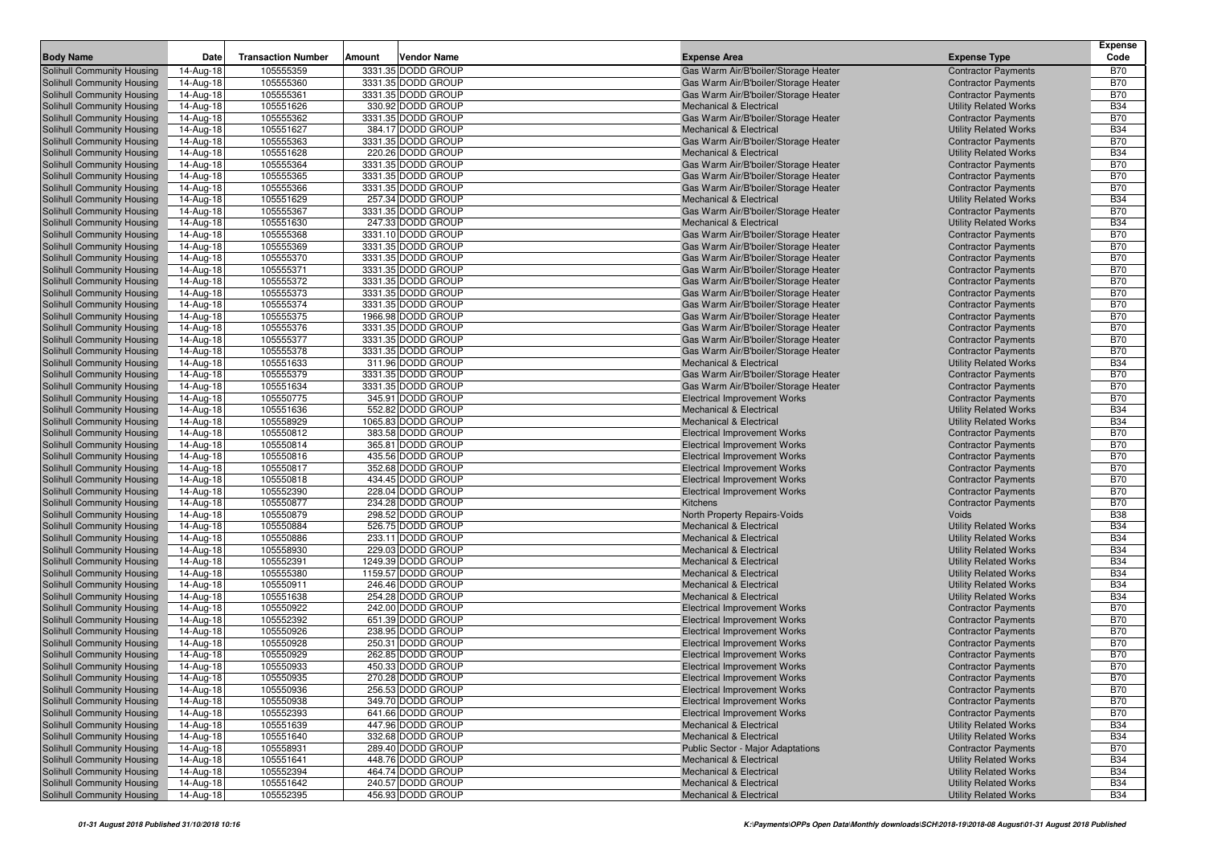|                                                          |                        |                           |                                         |                                                                            |                                                              | <b>Expense</b>           |
|----------------------------------------------------------|------------------------|---------------------------|-----------------------------------------|----------------------------------------------------------------------------|--------------------------------------------------------------|--------------------------|
| <b>Body Name</b>                                         | Date                   | <b>Transaction Number</b> | Amount<br>Vendor Name                   | <b>Expense Area</b>                                                        | <b>Expense Type</b>                                          | Code                     |
| Solihull Community Housing                               | 14-Aug-18              | 105555359                 | 3331.35 DODD GROUP                      | Gas Warm Air/B'boiler/Storage Heater                                       | <b>Contractor Payments</b>                                   | <b>B70</b>               |
| Solihull Community Housing                               | 14-Aug-18              | 105555360                 | 3331.35 DODD GROUP                      | Gas Warm Air/B'boiler/Storage Heater                                       | <b>Contractor Payments</b>                                   | <b>B70</b>               |
| Solihull Community Housing                               | 14-Aug-18              | 105555361                 | 3331.35 DODD GROUP                      | Gas Warm Air/B'boiler/Storage Heater                                       | <b>Contractor Payments</b>                                   | <b>B70</b>               |
| Solihull Community Housing                               | 14-Aug-18              | 105551626                 | 330.92 DODD GROUP                       | <b>Mechanical &amp; Electrical</b>                                         | <b>Utility Related Works</b>                                 | <b>B34</b>               |
| Solihull Community Housing                               | 14-Aug-18              | 105555362                 | 3331.35 DODD GROUP                      | Gas Warm Air/B'boiler/Storage Heater                                       | <b>Contractor Payments</b>                                   | <b>B70</b><br><b>B34</b> |
| Solihull Community Housing<br>Solihull Community Housing | 14-Aug-18<br>14-Aug-18 | 105551627<br>105555363    | 384.17 DODD GROUP<br>3331.35 DODD GROUP | Mechanical & Electrical                                                    | <b>Utility Related Works</b>                                 | <b>B70</b>               |
| Solihull Community Housing                               | 14-Aug-18              | 105551628                 | 220.26 DODD GROUP                       | Gas Warm Air/B'boiler/Storage Heater<br><b>Mechanical &amp; Electrical</b> | <b>Contractor Payments</b><br><b>Utility Related Works</b>   | <b>B34</b>               |
| Solihull Community Housing                               | 14-Aug-18              | 105555364                 | 3331.35 DODD GROUP                      | Gas Warm Air/B'boiler/Storage Heater                                       | <b>Contractor Payments</b>                                   | <b>B70</b>               |
| Solihull Community Housing                               | 14-Aug-18              | 105555365                 | 3331.35 DODD GROUP                      | Gas Warm Air/B'boiler/Storage Heater                                       | <b>Contractor Payments</b>                                   | <b>B70</b>               |
| Solihull Community Housing                               | 14-Aug-18              | 105555366                 | 3331.35 DODD GROUP                      | Gas Warm Air/B'boiler/Storage Heater                                       | <b>Contractor Payments</b>                                   | <b>B70</b>               |
| Solihull Community Housing                               | 14-Aug-18              | 105551629                 | 257.34 DODD GROUP                       | <b>Mechanical &amp; Electrical</b>                                         | <b>Utility Related Works</b>                                 | <b>B34</b>               |
| Solihull Community Housing                               | 14-Aug-18              | 105555367                 | 3331.35 DODD GROUP                      | Gas Warm Air/B'boiler/Storage Heater                                       | <b>Contractor Payments</b>                                   | <b>B70</b>               |
| Solihull Community Housing                               | 14-Aug-18              | 105551630                 | 247.33 DODD GROUP                       | <b>Mechanical &amp; Electrical</b>                                         | <b>Utility Related Works</b>                                 | <b>B34</b>               |
| Solihull Community Housing                               | 14-Aug-18              | 105555368                 | 3331.10 DODD GROUP                      | Gas Warm Air/B'boiler/Storage Heater                                       | <b>Contractor Payments</b>                                   | <b>B70</b>               |
| Solihull Community Housing                               | 14-Aug-18              | 105555369                 | 3331.35 DODD GROUP                      | Gas Warm Air/B'boiler/Storage Heater                                       | <b>Contractor Payments</b>                                   | <b>B70</b>               |
| Solihull Community Housing                               | 14-Aug-18              | 105555370                 | 3331.35 DODD GROUP                      | Gas Warm Air/B'boiler/Storage Heater                                       | <b>Contractor Payments</b>                                   | <b>B70</b>               |
| Solihull Community Housing                               | 14-Aug-18              | 105555371                 | 3331.35 DODD GROUP                      | Gas Warm Air/B'boiler/Storage Heater                                       | <b>Contractor Payments</b>                                   | <b>B70</b>               |
| Solihull Community Housing                               | 14-Aug-18              | 105555372                 | 3331.35 DODD GROUP                      | Gas Warm Air/B'boiler/Storage Heater                                       | <b>Contractor Payments</b>                                   | <b>B70</b>               |
| Solihull Community Housing                               | 14-Aug-18              | 105555373                 | 3331.35 DODD GROUP                      | Gas Warm Air/B'boiler/Storage Heater                                       | <b>Contractor Payments</b>                                   | <b>B70</b>               |
| Solihull Community Housing                               | 14-Aug-18              | 105555374                 | 3331.35 DODD GROUP                      | Gas Warm Air/B'boiler/Storage Heater                                       | <b>Contractor Payments</b>                                   | <b>B70</b>               |
| Solihull Community Housing                               | 14-Aug-18              | 105555375                 | 1966.98 DODD GROUP                      | Gas Warm Air/B'boiler/Storage Heater                                       | <b>Contractor Payments</b>                                   | <b>B70</b>               |
| Solihull Community Housing                               | 14-Aug-18              | 105555376                 | 3331.35 DODD GROUP                      | Gas Warm Air/B'boiler/Storage Heater                                       | <b>Contractor Payments</b>                                   | <b>B70</b>               |
| Solihull Community Housing                               | 14-Aug-18              | 105555377                 | 3331.35 DODD GROUP                      | Gas Warm Air/B'boiler/Storage Heater                                       | <b>Contractor Payments</b>                                   | <b>B70</b>               |
| Solihull Community Housing                               | 14-Aug-18              | 105555378<br>105551633    | 3331.35 DODD GROUP<br>311.96 DODD GROUP | Gas Warm Air/B'boiler/Storage Heater<br><b>Mechanical &amp; Electrical</b> | <b>Contractor Payments</b>                                   | <b>B70</b><br><b>B34</b> |
| Solihull Community Housing<br>Solihull Community Housing | 14-Aug-18<br>14-Aug-18 | 105555379                 | 3331.35 DODD GROUP                      | Gas Warm Air/B'boiler/Storage Heater                                       | <b>Utility Related Works</b><br><b>Contractor Payments</b>   | <b>B70</b>               |
| Solihull Community Housing                               | 14-Aug-18              | 105551634                 | 3331.35 DODD GROUP                      | Gas Warm Air/B'boiler/Storage Heater                                       | <b>Contractor Payments</b>                                   | <b>B70</b>               |
| Solihull Community Housing                               | 14-Aug-18              | 105550775                 | 345.91 DODD GROUP                       | <b>Electrical Improvement Works</b>                                        | <b>Contractor Payments</b>                                   | <b>B70</b>               |
| Solihull Community Housing                               | 14-Aug-18              | 105551636                 | 552.82 DODD GROUP                       | <b>Mechanical &amp; Electrical</b>                                         | <b>Utility Related Works</b>                                 | <b>B34</b>               |
| Solihull Community Housing                               | 14-Aug-18              | 105558929                 | 1065.83 DODD GROUP                      | <b>Mechanical &amp; Electrical</b>                                         | <b>Utility Related Works</b>                                 | <b>B34</b>               |
| Solihull Community Housing                               | 14-Aug-18              | 105550812                 | 383.58 DODD GROUP                       | <b>Electrical Improvement Works</b>                                        | <b>Contractor Payments</b>                                   | <b>B70</b>               |
| Solihull Community Housing                               | 14-Aug-18              | 105550814                 | 365.81 DODD GROUP                       | <b>Electrical Improvement Works</b>                                        | <b>Contractor Payments</b>                                   | <b>B70</b>               |
| Solihull Community Housing                               | 14-Aug-18              | 105550816                 | 435.56 DODD GROUP                       | <b>Electrical Improvement Works</b>                                        | <b>Contractor Payments</b>                                   | <b>B70</b>               |
| Solihull Community Housing                               | 14-Aug-18              | 105550817                 | 352.68 DODD GROUP                       | <b>Electrical Improvement Works</b>                                        | <b>Contractor Payments</b>                                   | <b>B70</b>               |
| Solihull Community Housing                               | 14-Aug-18              | 105550818                 | 434.45 DODD GROUP                       | <b>Electrical Improvement Works</b>                                        | <b>Contractor Payments</b>                                   | <b>B70</b>               |
| Solihull Community Housing                               | 14-Aug-18              | 105552390                 | 228.04 DODD GROUP                       | <b>Electrical Improvement Works</b>                                        | <b>Contractor Payments</b>                                   | <b>B70</b>               |
| Solihull Community Housing                               | 14-Aug-18              | 105550877                 | 234.28 DODD GROUP                       | Kitchens                                                                   | <b>Contractor Payments</b>                                   | <b>B70</b>               |
| Solihull Community Housing                               | 14-Aug-18              | 105550879                 | 298.52 DODD GROUP                       | North Property Repairs-Voids                                               | Voids                                                        | <b>B38</b>               |
| Solihull Community Housing                               | 14-Aug-18              | 105550884                 | 526.75 DODD GROUP                       | <b>Mechanical &amp; Electrical</b>                                         | <b>Utility Related Works</b>                                 | <b>B34</b>               |
| Solihull Community Housing                               | 14-Aug-18              | 105550886                 | 233.11 DODD GROUP                       | <b>Mechanical &amp; Electrical</b>                                         | <b>Utility Related Works</b>                                 | <b>B34</b>               |
| Solihull Community Housing<br>Solihull Community Housing | 14-Aug-18<br>14-Aug-18 | 105558930<br>105552391    | 229.03 DODD GROUP<br>1249.39 DODD GROUP | <b>Mechanical &amp; Electrical</b><br>Mechanical & Electrical              | <b>Utility Related Works</b><br><b>Utility Related Works</b> | <b>B34</b><br><b>B34</b> |
| Solihull Community Housing                               | 14-Aug-18              | 105555380                 | 1159.57 DODD GROUP                      | <b>Mechanical &amp; Electrical</b>                                         | <b>Utility Related Works</b>                                 | <b>B34</b>               |
| Solihull Community Housing                               | 14-Aug-18              | 105550911                 | 246.46 DODD GROUP                       | <b>Mechanical &amp; Electrical</b>                                         | <b>Utility Related Works</b>                                 | <b>B34</b>               |
| Solihull Community Housing                               | 14-Aug-18              | 105551638                 | 254.28 DODD GROUP                       | <b>Mechanical &amp; Electrical</b>                                         | <b>Utility Related Works</b>                                 | <b>B34</b>               |
| Solihull Community Housing                               | 14-Aug-18              | 105550922                 | 242.00 DODD GROUP                       | <b>Electrical Improvement Works</b>                                        | <b>Contractor Payments</b>                                   | <b>B70</b>               |
| Solihull Community Housing                               | 14-Aug-18              | 105552392                 | 651.39 DODD GROUP                       | <b>Electrical Improvement Works</b>                                        | <b>Contractor Payments</b>                                   | <b>B70</b>               |
| Solihull Community Housing                               | 14-Aug-18              | 105550926                 | 238.95 DODD GROUP                       | <b>Electrical Improvement Works</b>                                        | <b>Contractor Payments</b>                                   | <b>B70</b>               |
| <b>Solihull Community Housing</b>                        | 14-Aug-18              | 105550928                 | 250.31 DODD GROUP                       | <b>Electrical Improvement Works</b>                                        | <b>Contractor Payments</b>                                   | <b>B70</b>               |
| Solihull Community Housing                               | 14-Aug-18              | 105550929                 | 262.85 DODD GROUP                       | <b>Electrical Improvement Works</b>                                        | <b>Contractor Payments</b>                                   | <b>B70</b>               |
| Solihull Community Housing                               | 14-Aug-18              | 105550933                 | 450.33 DODD GROUP                       | <b>Electrical Improvement Works</b>                                        | <b>Contractor Payments</b>                                   | <b>B70</b>               |
| Solihull Community Housing                               | $14$ -Aug-18           | 105550935                 | 270.28 DODD GROUP                       | Electrical Improvement Works                                               | <b>Contractor Payments</b>                                   | <b>B70</b>               |
| Solihull Community Housing                               | 14-Aug-18              | 105550936                 | 256.53 DODD GROUP                       | <b>Electrical Improvement Works</b>                                        | <b>Contractor Payments</b>                                   | <b>B70</b>               |
| Solihull Community Housing                               | 14-Aug-18              | 105550938                 | 349.70 DODD GROUP                       | <b>Electrical Improvement Works</b>                                        | <b>Contractor Payments</b>                                   | <b>B70</b>               |
| Solihull Community Housing                               | 14-Aug-18              | 105552393                 | 641.66 DODD GROUP                       | <b>Electrical Improvement Works</b>                                        | <b>Contractor Payments</b>                                   | <b>B70</b>               |
| Solihull Community Housing                               | 14-Aug-18              | 105551639                 | 447.96 DODD GROUP                       | <b>Mechanical &amp; Electrical</b>                                         | <b>Utility Related Works</b>                                 | <b>B34</b>               |
| Solihull Community Housing                               | 14-Aug-18              | 105551640                 | 332.68 DODD GROUP                       | <b>Mechanical &amp; Electrical</b>                                         | <b>Utility Related Works</b>                                 | <b>B34</b>               |
| Solihull Community Housing                               | 14-Aug-18              | 105558931                 | 289.40 DODD GROUP                       | <b>Public Sector - Major Adaptations</b>                                   | <b>Contractor Payments</b>                                   | <b>B70</b>               |
| Solihull Community Housing<br>Solihull Community Housing | 14-Aug-18              | 105551641<br>105552394    | 448.76 DODD GROUP<br>464.74 DODD GROUP  | Mechanical & Electrical<br><b>Mechanical &amp; Electrical</b>              | <b>Utility Related Works</b><br><b>Utility Related Works</b> | <b>B34</b><br><b>B34</b> |
| Solihull Community Housing                               | 14-Aug-18<br>14-Aug-18 | 105551642                 | 240.57 DODD GROUP                       | <b>Mechanical &amp; Electrical</b>                                         | <b>Utility Related Works</b>                                 | <b>B34</b>               |
| Solihull Community Housing                               | 14-Aug-18              | 105552395                 | 456.93 DODD GROUP                       | <b>Mechanical &amp; Electrical</b>                                         | <b>Utility Related Works</b>                                 | <b>B34</b>               |
|                                                          |                        |                           |                                         |                                                                            |                                                              |                          |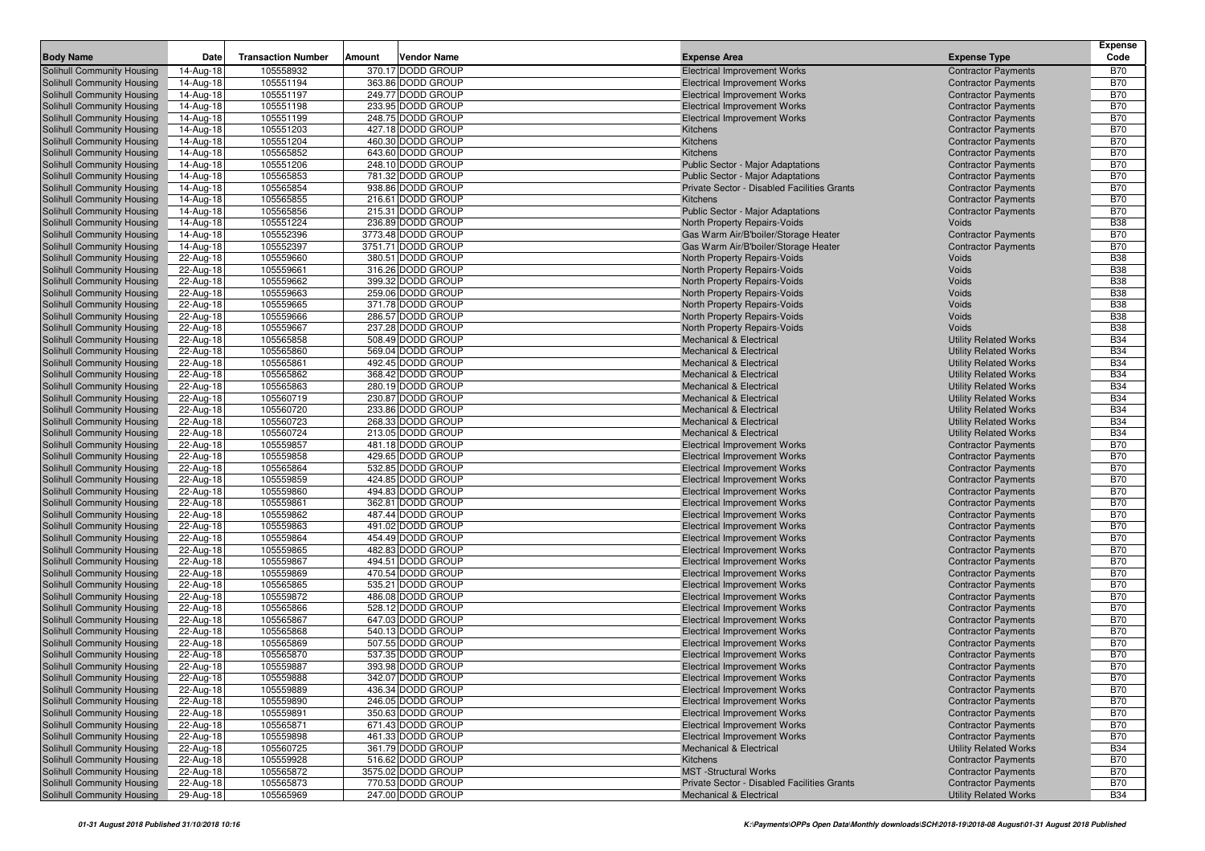|                                                          |                         |                           |                                         |                                                                            |                                                          | <b>Expense</b>           |
|----------------------------------------------------------|-------------------------|---------------------------|-----------------------------------------|----------------------------------------------------------------------------|----------------------------------------------------------|--------------------------|
| <b>Body Name</b>                                         | Date                    | <b>Transaction Number</b> | Amount<br>Vendor Name                   | <b>Expense Area</b>                                                        | <b>Expense Type</b>                                      | Code                     |
| Solihull Community Housing                               | 14-Aug-18               | 105558932                 | 370.17 DODD GROUP                       | <b>Electrical Improvement Works</b>                                        | <b>Contractor Payments</b>                               | <b>B70</b>               |
| Solihull Community Housing                               | 14-Aug-18               | 105551194                 | 363.86 DODD GROUP                       | <b>Electrical Improvement Works</b>                                        | <b>Contractor Payments</b>                               | <b>B70</b>               |
| Solihull Community Housing                               | 14-Aug-18               | 105551197                 | 249.77 DODD GROUP                       | <b>Electrical Improvement Works</b>                                        | <b>Contractor Payments</b>                               | <b>B70</b>               |
| Solihull Community Housing                               | 14-Aug-18               | 105551198                 | 233.95 DODD GROUP                       | <b>Electrical Improvement Works</b>                                        | <b>Contractor Payments</b>                               | <b>B70</b>               |
| Solihull Community Housing                               | 14-Aug-18               | 105551199                 | 248.75 DODD GROUP                       | <b>Electrical Improvement Works</b>                                        | <b>Contractor Payments</b>                               | <b>B70</b>               |
| Solihull Community Housing                               | 14-Aug-18               | 105551203                 | 427.18 DODD GROUP                       | Kitchens                                                                   | <b>Contractor Payments</b>                               | <b>B70</b>               |
| Solihull Community Housing                               | 14-Aug-18               | 105551204                 | 460.30 DODD GROUP                       | <b>Kitchens</b>                                                            | <b>Contractor Payments</b>                               | <b>B70</b>               |
| Solihull Community Housing                               | 14-Aug-18               | 105565852                 | 643.60 DODD GROUP                       | Kitchens                                                                   | <b>Contractor Payments</b>                               | <b>B70</b>               |
| Solihull Community Housing                               | 14-Aug-18               | 105551206                 | 248.10 DODD GROUP                       | <b>Public Sector - Major Adaptations</b>                                   | <b>Contractor Payments</b>                               | <b>B70</b>               |
| Solihull Community Housing                               | 14-Aug-18               | 105565853                 | 781.32 DODD GROUP                       | Public Sector - Major Adaptations                                          | <b>Contractor Payments</b>                               | <b>B70</b>               |
| Solihull Community Housing                               | 14-Aug-18               | 105565854                 | 938.86 DODD GROUP<br>216.61 DODD GROUP  | Private Sector - Disabled Facilities Grants<br><b>Kitchens</b>             | <b>Contractor Payments</b>                               | <b>B70</b><br><b>B70</b> |
| Solihull Community Housing<br>Solihull Community Housing | 14-Aug-18<br>14-Aug-18  | 105565855<br>105565856    | 215.31 DODD GROUP                       | Public Sector - Major Adaptations                                          | <b>Contractor Payments</b><br><b>Contractor Payments</b> | <b>B70</b>               |
| Solihull Community Housing                               | 14-Aug-18               | 105551224                 | 236.89 DODD GROUP                       | North Property Repairs-Voids                                               | Voids                                                    | <b>B38</b>               |
| Solihull Community Housing                               | 14-Aug-18               | 105552396                 | 3773.48 DODD GROUP                      | Gas Warm Air/B'boiler/Storage Heater                                       | <b>Contractor Payments</b>                               | <b>B70</b>               |
| Solihull Community Housing                               | 14-Aug-18               | 105552397                 | 3751.71 DODD GROUP                      | Gas Warm Air/B'boiler/Storage Heater                                       | <b>Contractor Payments</b>                               | <b>B70</b>               |
| Solihull Community Housing                               | 22-Aug-18               | 105559660                 | 380.51 DODD GROUP                       | North Property Repairs-Voids                                               | Voids                                                    | <b>B38</b>               |
| Solihull Community Housing                               | 22-Aug-18               | 105559661                 | 316.26 DODD GROUP                       | North Property Repairs-Voids                                               | Voids                                                    | <b>B38</b>               |
| Solihull Community Housing                               | 22-Aug-18               | 105559662                 | 399.32 DODD GROUP                       | North Property Repairs-Voids                                               | Voids                                                    | <b>B38</b>               |
| Solihull Community Housing                               | 22-Aug-18               | 105559663                 | 259.06 DODD GROUP                       | North Property Repairs-Voids                                               | Voids                                                    | <b>B38</b>               |
| Solihull Community Housing                               | 22-Aug-18               | 105559665                 | 371.78 DODD GROUP                       | North Property Repairs-Voids                                               | Voids                                                    | <b>B38</b>               |
| Solihull Community Housing                               | 22-Aug-18               | 105559666                 | 286.57 DODD GROUP                       | North Property Repairs-Voids                                               | Voids                                                    | <b>B38</b>               |
| Solihull Community Housing                               | 22-Aug-18               | 105559667                 | 237.28 DODD GROUP                       | North Property Repairs-Voids                                               | Voids                                                    | <b>B38</b>               |
| Solihull Community Housing                               | 22-Aug-18               | 105565858                 | 508.49 DODD GROUP                       | <b>Mechanical &amp; Electrical</b>                                         | <b>Utility Related Works</b>                             | <b>B34</b>               |
| Solihull Community Housing                               | 22-Aug-18               | 105565860                 | 569.04 DODD GROUP                       | <b>Mechanical &amp; Electrical</b>                                         | <b>Utility Related Works</b>                             | <b>B34</b>               |
| Solihull Community Housing                               | 22-Aug-18               | 105565861                 | 492.45 DODD GROUP                       | <b>Mechanical &amp; Electrical</b>                                         | <b>Utility Related Works</b>                             | <b>B34</b>               |
| Solihull Community Housing                               | 22-Aug-18               | 105565862                 | 368.42 DODD GROUP                       | Mechanical & Electrical                                                    | <b>Utility Related Works</b>                             | <b>B34</b>               |
| Solihull Community Housing                               | 22-Aug-18               | 105565863                 | 280.19 DODD GROUP                       | <b>Mechanical &amp; Electrical</b>                                         | <b>Utility Related Works</b>                             | <b>B34</b>               |
| Solihull Community Housing                               | 22-Aug-18               | 105560719                 | 230.87 DODD GROUP                       | <b>Mechanical &amp; Electrical</b>                                         | <b>Utility Related Works</b>                             | <b>B34</b>               |
| Solihull Community Housing                               | 22-Aug-18               | 105560720                 | 233.86 DODD GROUP                       | <b>Mechanical &amp; Electrical</b>                                         | <b>Utility Related Works</b>                             | <b>B34</b>               |
| Solihull Community Housing                               | 22-Aug-18               | 105560723                 | 268.33 DODD GROUP                       | <b>Mechanical &amp; Electrical</b>                                         | <b>Utility Related Works</b>                             | <b>B34</b>               |
| Solihull Community Housing                               | 22-Aug-18               | 105560724                 | 213.05 DODD GROUP                       | <b>Mechanical &amp; Electrical</b>                                         | <b>Utility Related Works</b>                             | <b>B34</b>               |
| Solihull Community Housing                               | 22-Aug-18               | 105559857                 | 481.18 DODD GROUP                       | <b>Electrical Improvement Works</b>                                        | <b>Contractor Payments</b>                               | <b>B70</b>               |
| Solihull Community Housing                               | 22-Aug-18               | 105559858                 | 429.65 DODD GROUP                       | <b>Electrical Improvement Works</b>                                        | <b>Contractor Payments</b>                               | <b>B70</b>               |
| Solihull Community Housing                               | 22-Aug-18               | 105565864<br>105559859    | 532.85 DODD GROUP<br>424.85 DODD GROUP  | <b>Electrical Improvement Works</b>                                        | <b>Contractor Payments</b>                               | <b>B70</b><br><b>B70</b> |
| Solihull Community Housing<br>Solihull Community Housing | 22-Aug-18<br>22-Aug-18  | 105559860                 | 494.83 DODD GROUP                       | <b>Electrical Improvement Works</b><br><b>Electrical Improvement Works</b> | <b>Contractor Payments</b><br><b>Contractor Payments</b> | <b>B70</b>               |
| Solihull Community Housing                               | 22-Aug-18               | 105559861                 | 362.81 DODD GROUP                       | <b>Electrical Improvement Works</b>                                        | <b>Contractor Payments</b>                               | <b>B70</b>               |
| Solihull Community Housing                               | 22-Aug-18               | 105559862                 | 487.44 DODD GROUP                       | <b>Electrical Improvement Works</b>                                        | <b>Contractor Payments</b>                               | <b>B70</b>               |
| Solihull Community Housing                               | 22-Aug-18               | 105559863                 | 491.02 DODD GROUP                       | <b>Electrical Improvement Works</b>                                        | <b>Contractor Payments</b>                               | <b>B70</b>               |
| Solihull Community Housing                               | 22-Aug-18               | 105559864                 | 454.49 DODD GROUP                       | <b>Electrical Improvement Works</b>                                        | <b>Contractor Payments</b>                               | <b>B70</b>               |
| Solihull Community Housing                               | 22-Aug-18               | 105559865                 | 482.83 DODD GROUP                       | <b>Electrical Improvement Works</b>                                        | <b>Contractor Payments</b>                               | <b>B70</b>               |
| Solihull Community Housing                               | 22-Aug-18               | 105559867                 | 494.51 DODD GROUP                       | <b>Electrical Improvement Works</b>                                        | <b>Contractor Payments</b>                               | <b>B70</b>               |
| Solihull Community Housing                               | 22-Aug-18               | 105559869                 | 470.54 DODD GROUP                       | <b>Electrical Improvement Works</b>                                        | <b>Contractor Payments</b>                               | <b>B70</b>               |
| Solihull Community Housing                               | 22-Aug-18               | 105565865                 | 535.21 DODD GROUP                       | <b>Electrical Improvement Works</b>                                        | <b>Contractor Payments</b>                               | <b>B70</b>               |
| Solihull Community Housing                               | 22-Aug-18               | 105559872                 | 486.08 DODD GROUP                       | <b>Electrical Improvement Works</b>                                        | <b>Contractor Payments</b>                               | <b>B70</b>               |
| Solihull Community Housing                               | 22-Aug-18               | 105565866                 | 528.12 DODD GROUP                       | <b>Electrical Improvement Works</b>                                        | <b>Contractor Payments</b>                               | <b>B70</b>               |
| Solihull Community Housing                               | 22-Aug-18               | 105565867                 | 647.03 DODD GROUP                       | <b>Electrical Improvement Works</b>                                        | <b>Contractor Payments</b>                               | <b>B70</b>               |
| Solihull Community Housing                               | 22-Aug-18               | 105565868                 | 540.13 DODD GROUP                       | <b>Electrical Improvement Works</b>                                        | <b>Contractor Payments</b>                               | <b>B70</b>               |
| <b>Solihull Community Housing</b>                        | 22-Aug-18               | 105565869                 | 507.55 DODD GROUP                       | <b>Electrical Improvement Works</b>                                        | <b>Contractor Payments</b>                               | <b>B70</b>               |
| Solihull Community Housing                               | 22-Aug-18               | 105565870                 | 537.35 DODD GROUP                       | <b>Electrical Improvement Works</b>                                        | <b>Contractor Payments</b>                               | <b>B70</b>               |
| Solihull Community Housing                               | 22-Aug-18               | 105559887                 | 393.98 DODD GROUP                       | <b>Electrical Improvement Works</b>                                        | <b>Contractor Payments</b>                               | <b>B70</b>               |
| Solihull Community Housing                               | $\overline{22}$ -Aug-18 | 105559888                 | 342.07 DODD GROUP                       | Electrical Improvement Works                                               | <b>Contractor Payments</b>                               | <b>B70</b>               |
| <b>Solihull Community Housing</b>                        | 22-Aug-18               | 105559889                 | 436.34 DODD GROUP                       | <b>Electrical Improvement Works</b>                                        | <b>Contractor Payments</b>                               | <b>B70</b>               |
| Solihull Community Housing                               | 22-Aug-18               | 105559890                 | 246.05 DODD GROUP                       | <b>Electrical Improvement Works</b>                                        | <b>Contractor Payments</b>                               | <b>B70</b>               |
| Solihull Community Housing                               | 22-Aug-18               | 105559891                 | 350.63 DODD GROUP                       | <b>Electrical Improvement Works</b>                                        | <b>Contractor Payments</b>                               | <b>B70</b>               |
| Solihull Community Housing                               | 22-Aug-18               | 105565871                 | 671.43 DODD GROUP                       | <b>Electrical Improvement Works</b>                                        | <b>Contractor Payments</b>                               | <b>B70</b>               |
| Solihull Community Housing                               | 22-Aug-18               | 105559898                 | 461.33 DODD GROUP                       | <b>Electrical Improvement Works</b>                                        | <b>Contractor Payments</b>                               | <b>B70</b>               |
| Solihull Community Housing                               | 22-Aug-18               | 105560725                 | 361.79 DODD GROUP                       | <b>Mechanical &amp; Electrical</b>                                         | <b>Utility Related Works</b>                             | <b>B34</b>               |
| Solihull Community Housing<br>Solihull Community Housing | 22-Aug-18<br>22-Aug-18  | 105559928<br>105565872    | 516.62 DODD GROUP<br>3575.02 DODD GROUP | Kitchens<br><b>MST</b> -Structural Works                                   | <b>Contractor Payments</b><br><b>Contractor Payments</b> | <b>B70</b><br><b>B70</b> |
| Solihull Community Housing                               | 22-Aug-18               | 105565873                 | 770.53 DODD GROUP                       | Private Sector - Disabled Facilities Grants                                | <b>Contractor Payments</b>                               | <b>B70</b>               |
| Solihull Community Housing                               | 29-Aug-18               | 105565969                 | 247.00 DODD GROUP                       | <b>Mechanical &amp; Electrical</b>                                         | <b>Utility Related Works</b>                             | <b>B34</b>               |
|                                                          |                         |                           |                                         |                                                                            |                                                          |                          |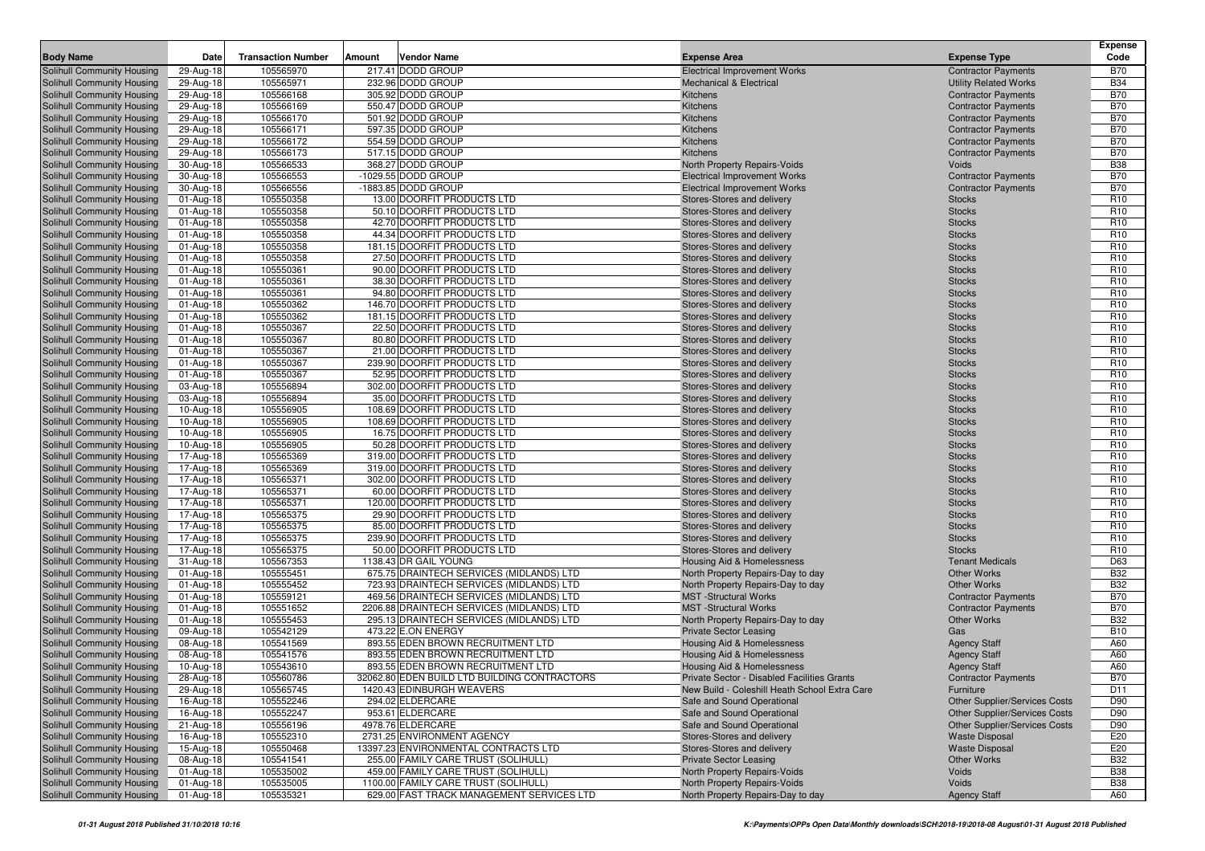|                                                          |                        |                           |        |                                                                            |                                                                   |                                                                       | <b>Expense</b>    |
|----------------------------------------------------------|------------------------|---------------------------|--------|----------------------------------------------------------------------------|-------------------------------------------------------------------|-----------------------------------------------------------------------|-------------------|
| <b>Body Name</b>                                         | Date                   | <b>Transaction Number</b> | Amount | Vendor Name                                                                | <b>Expense Area</b>                                               | <b>Expense Type</b>                                                   | Code              |
| Solihull Community Housing                               | 29-Aug-18              | 105565970                 |        | 217.41 DODD GROUP                                                          | <b>Electrical Improvement Works</b>                               | <b>Contractor Payments</b>                                            | <b>B70</b>        |
| Solihull Community Housing                               | 29-Aug-18              | 105565971                 |        | 232.96 DODD GROUP                                                          | Mechanical & Electrical                                           | <b>Utility Related Works</b>                                          | <b>B34</b>        |
| Solihull Community Housing                               | 29-Aug-18              | 105566168                 |        | 305.92 DODD GROUP                                                          | Kitchens                                                          | <b>Contractor Payments</b>                                            | <b>B70</b>        |
| Solihull Community Housing                               | 29-Aug-18              | 105566169                 |        | 550.47 DODD GROUP                                                          | Kitchens                                                          | <b>Contractor Payments</b>                                            | <b>B70</b>        |
| Solihull Community Housing                               | 29-Aug-18              | 105566170                 |        | 501.92 DODD GROUP                                                          | Kitchens                                                          | <b>Contractor Payments</b>                                            | <b>B70</b>        |
| Solihull Community Housing                               | 29-Aug-18              | 105566171                 |        | 597.35 DODD GROUP                                                          | Kitchens                                                          | <b>Contractor Payments</b>                                            | <b>B70</b>        |
| Solihull Community Housing                               | 29-Aug-18              | 105566172                 |        | 554.59 DODD GROUP                                                          | Kitchens                                                          | <b>Contractor Payments</b>                                            | <b>B70</b>        |
| Solihull Community Housing                               | 29-Aug-18              | 105566173                 |        | 517.15 DODD GROUP                                                          | Kitchens                                                          | <b>Contractor Payments</b>                                            | <b>B70</b>        |
| Solihull Community Housing                               | 30-Aug-18              | 105566533                 |        | 368.27 DODD GROUP                                                          | North Property Repairs-Voids                                      | Voids                                                                 | <b>B38</b>        |
| Solihull Community Housing                               | 30-Aug-18              | 105566553                 |        | -1029.55 DODD GROUP                                                        | <b>Electrical Improvement Works</b>                               | <b>Contractor Payments</b>                                            | <b>B70</b>        |
| Solihull Community Housing                               | 30-Aug-18              | 105566556                 |        | -1883.85 DODD GROUP                                                        | <b>Electrical Improvement Works</b>                               | <b>Contractor Payments</b>                                            | <b>B70</b>        |
| Solihull Community Housing                               | 01-Aug-18              | 105550358                 |        | 13.00 DOORFIT PRODUCTS LTD                                                 | Stores-Stores and delivery                                        | <b>Stocks</b>                                                         | R <sub>10</sub>   |
| Solihull Community Housing                               | 01-Aug-18              | 105550358                 |        | 50.10 DOORFIT PRODUCTS LTD                                                 | Stores-Stores and delivery                                        | <b>Stocks</b>                                                         | R <sub>10</sub>   |
| Solihull Community Housing                               | 01-Aug-18              | 105550358                 |        | 42.70 DOORFIT PRODUCTS LTD                                                 | Stores-Stores and delivery                                        | <b>Stocks</b>                                                         | R <sub>10</sub>   |
| Solihull Community Housing                               | 01-Aug-18              | 105550358                 |        | 44.34 DOORFIT PRODUCTS LTD                                                 | Stores-Stores and delivery                                        | <b>Stocks</b>                                                         | R <sub>10</sub>   |
| Solihull Community Housing                               | 01-Aug-18              | 105550358                 |        | 181.15 DOORFIT PRODUCTS LTD                                                | Stores-Stores and delivery                                        | <b>Stocks</b>                                                         | R <sub>10</sub>   |
| Solihull Community Housing                               | 01-Aug-18              | 105550358                 |        | 27.50 DOORFIT PRODUCTS LTD                                                 | Stores-Stores and delivery                                        | <b>Stocks</b>                                                         | R <sub>10</sub>   |
| Solihull Community Housing                               | 01-Aug-18              | 105550361                 |        | 90.00 DOORFIT PRODUCTS LTD                                                 | Stores-Stores and delivery                                        | <b>Stocks</b>                                                         | R <sub>10</sub>   |
| Solihull Community Housing                               | 01-Aug-18              | 105550361                 |        | 38.30 DOORFIT PRODUCTS LTD                                                 | Stores-Stores and delivery                                        | <b>Stocks</b>                                                         | R <sub>10</sub>   |
| Solihull Community Housing                               | 01-Aug-18              | 105550361                 |        | 94.80 DOORFIT PRODUCTS LTD                                                 | Stores-Stores and delivery                                        | <b>Stocks</b>                                                         | R <sub>10</sub>   |
| Solihull Community Housing                               | 01-Aug-18              | 105550362                 |        | 146.70 DOORFIT PRODUCTS LTD                                                | Stores-Stores and delivery                                        | <b>Stocks</b>                                                         | R <sub>10</sub>   |
| Solihull Community Housing                               | 01-Aug-18              | 105550362                 |        | 181.15 DOORFIT PRODUCTS LTD                                                | Stores-Stores and delivery                                        | <b>Stocks</b>                                                         | R <sub>10</sub>   |
| Solihull Community Housing                               | 01-Aug-18              | 105550367                 |        | 22.50 DOORFIT PRODUCTS LTD                                                 | Stores-Stores and delivery                                        | <b>Stocks</b>                                                         | R <sub>10</sub>   |
| Solihull Community Housing                               | 01-Aug-18              | 105550367                 |        | 80.80 DOORFIT PRODUCTS LTD                                                 | Stores-Stores and delivery                                        | <b>Stocks</b>                                                         | R <sub>10</sub>   |
| Solihull Community Housing                               | 01-Aug-18              | 105550367                 |        | 21.00 DOORFIT PRODUCTS LTD                                                 | Stores-Stores and delivery                                        | <b>Stocks</b>                                                         | R <sub>10</sub>   |
| Solihull Community Housing                               | 01-Aug-18              | 105550367                 |        | 239.90 DOORFIT PRODUCTS LTD                                                | Stores-Stores and delivery                                        | <b>Stocks</b>                                                         | R <sub>10</sub>   |
| Solihull Community Housing                               | 01-Aug-18              | 105550367                 |        | 52.95 DOORFIT PRODUCTS LTD                                                 | Stores-Stores and delivery                                        | <b>Stocks</b>                                                         | R <sub>10</sub>   |
| Solihull Community Housing                               | 03-Aug-18              | 105556894                 |        | 302.00 DOORFIT PRODUCTS LTD                                                | Stores-Stores and delivery                                        | <b>Stocks</b>                                                         | R <sub>10</sub>   |
| Solihull Community Housing                               | 03-Aug-18              | 105556894                 |        | 35.00 DOORFIT PRODUCTS LTD                                                 | Stores-Stores and delivery                                        | <b>Stocks</b>                                                         | R <sub>10</sub>   |
| Solihull Community Housing                               | 10-Aug-18              | 105556905                 |        | 108.69 DOORFIT PRODUCTS LTD                                                | Stores-Stores and delivery                                        | <b>Stocks</b>                                                         | R <sub>10</sub>   |
| Solihull Community Housing                               | 10-Aug-18              | 105556905                 |        | 108.69 DOORFIT PRODUCTS LTD                                                | Stores-Stores and delivery                                        | <b>Stocks</b>                                                         | R <sub>10</sub>   |
| Solihull Community Housing                               | 10-Aug-18              | 105556905                 |        | 16.75 DOORFIT PRODUCTS LTD                                                 | Stores-Stores and delivery                                        | <b>Stocks</b>                                                         | R <sub>10</sub>   |
| Solihull Community Housing                               | 10-Aug-18              | 105556905                 |        | 50.28 DOORFIT PRODUCTS LTD                                                 | Stores-Stores and delivery                                        | <b>Stocks</b>                                                         | R <sub>10</sub>   |
| Solihull Community Housing                               | 17-Aug-18              | 105565369                 |        | 319.00 DOORFIT PRODUCTS LTD                                                | Stores-Stores and delivery                                        | <b>Stocks</b>                                                         | R <sub>10</sub>   |
| Solihull Community Housing                               | 17-Aug-18              | 105565369                 |        | 319.00 DOORFIT PRODUCTS LTD                                                | Stores-Stores and delivery                                        | <b>Stocks</b>                                                         | R <sub>10</sub>   |
| Solihull Community Housing                               | 17-Aug-18              | 105565371                 |        | 302.00 DOORFIT PRODUCTS LTD                                                | Stores-Stores and delivery                                        | <b>Stocks</b>                                                         | R <sub>10</sub>   |
| Solihull Community Housing                               | 17-Aug-18              | 105565371                 |        | 60.00 DOORFIT PRODUCTS LTD                                                 | Stores-Stores and delivery                                        | <b>Stocks</b>                                                         | R <sub>10</sub>   |
| Solihull Community Housing                               | 17-Aug-18              | 105565371                 |        | 120.00 DOORFIT PRODUCTS LTD                                                | Stores-Stores and delivery                                        | <b>Stocks</b>                                                         | R <sub>10</sub>   |
| Solihull Community Housing                               | 17-Aug-18              | 105565375                 |        | 29.90 DOORFIT PRODUCTS LTD                                                 | Stores-Stores and delivery                                        | <b>Stocks</b>                                                         | R <sub>10</sub>   |
| Solihull Community Housing                               | 17-Aug-18              | 105565375                 |        | 85.00 DOORFIT PRODUCTS LTD                                                 | Stores-Stores and delivery                                        | <b>Stocks</b>                                                         | R <sub>10</sub>   |
| Solihull Community Housing                               | 17-Aug-18              | 105565375                 |        | 239.90 DOORFIT PRODUCTS LTD                                                | Stores-Stores and delivery                                        | <b>Stocks</b>                                                         | R <sub>10</sub>   |
| Solihull Community Housing                               | 17-Aug-18              | 105565375                 |        | 50.00 DOORFIT PRODUCTS LTD                                                 | Stores-Stores and delivery                                        | <b>Stocks</b>                                                         | R <sub>10</sub>   |
| Solihull Community Housing                               | 31-Aug-18              | 105567353                 |        | 1138.43 DR GAIL YOUNG                                                      | Housing Aid & Homelessness                                        | <b>Tenant Medicals</b>                                                | D63               |
| Solihull Community Housing                               | 01-Aug-18              | 105555451                 |        | 675.75 DRAINTECH SERVICES (MIDLANDS) LTD                                   | North Property Repairs-Day to day                                 | <b>Other Works</b>                                                    | <b>B32</b>        |
| Solihull Community Housing                               | 01-Aug-18              | 105555452                 |        | 723.93 DRAINTECH SERVICES (MIDLANDS) LTD                                   | North Property Repairs-Day to day                                 | <b>Other Works</b>                                                    | <b>B32</b>        |
| Solihull Community Housing                               | 01-Aug-18              | 105559121                 |        | 469.56 DRAINTECH SERVICES (MIDLANDS) LTD                                   | <b>MST</b> -Structural Works                                      | <b>Contractor Payments</b>                                            | <b>B70</b>        |
| Solihull Community Housing                               | 01-Aug-18              | 105551652                 |        | 2206.88 DRAINTECH SERVICES (MIDLANDS) LTD                                  | <b>MST</b> -Structural Works                                      | <b>Contractor Payments</b>                                            | <b>B70</b>        |
| Solihull Community Housing                               | 01-Aug-18              | 105555453                 |        | 295.13 DRAINTECH SERVICES (MIDLANDS) LTD                                   | North Property Repairs-Day to day                                 | <b>Other Works</b>                                                    | <b>B32</b>        |
| Solihull Community Housing                               | 09-Aug-18              | 105542129                 |        | 473.22 E.ON ENERGY                                                         | <b>Private Sector Leasing</b>                                     | Gas                                                                   | <b>B10</b>        |
| Solihull Community Housing                               | 08-Aug-18              | 105541569                 |        | 893.55 EDEN BROWN RECRUITMENT LTD                                          | <b>Housing Aid &amp; Homelessness</b>                             | <b>Agency Staff</b>                                                   | A60               |
| Solihull Community Housing                               | 08-Aug-18              | 105541576                 |        | 893.55 EDEN BROWN RECRUITMENT LTD                                          | Housing Aid & Homelessness                                        | <b>Agency Staff</b>                                                   | A60               |
| Solihull Community Housing                               | 10-Aug-18              | 105543610                 |        | 893.55 EDEN BROWN RECRUITMENT LTD                                          | Housing Aid & Homelessness                                        | <b>Agency Staff</b>                                                   | A60               |
| Solihull Community Housing                               | 28-Aug-18              | 105560786                 |        | 32062.80 EDEN BUILD LTD BUILDING CONTRACTORS                               | Private Sector - Disabled Facilities Grants                       | <b>Contractor Payments</b>                                            | <b>B70</b>        |
| Solihull Community Housing                               | 29-Aug-18              | 105565745                 |        | 1420.43 EDINBURGH WEAVERS                                                  | New Build - Coleshill Heath School Extra Care                     | Furniture                                                             | D <sub>11</sub>   |
|                                                          |                        | 105552246                 |        | 294.02 ELDERCARE                                                           |                                                                   |                                                                       |                   |
| Solihull Community Housing<br>Solihull Community Housing | 16-Aug-18              | 105552247                 |        | 953.61 ELDERCARE                                                           | Safe and Sound Operational<br>Safe and Sound Operational          | Other Supplier/Services Costs<br><b>Other Supplier/Services Costs</b> | D90<br>D90        |
| Solihull Community Housing                               | 16-Aug-18              | 105556196                 |        | 4978.76 ELDERCARE                                                          | Safe and Sound Operational                                        | Other Supplier/Services Costs                                         | D90               |
|                                                          | 21-Aug-18              |                           |        | 2731.25 ENVIRONMENT AGENCY                                                 | Stores-Stores and delivery                                        |                                                                       |                   |
| Solihull Community Housing                               | 16-Aug-18              | 105552310                 |        |                                                                            |                                                                   | <b>Waste Disposal</b>                                                 | E20               |
| Solihull Community Housing<br>Solihull Community Housing | 15-Aug-18<br>08-Aug-18 | 105550468                 |        | 13397.23 ENVIRONMENTAL CONTRACTS LTD                                       | Stores-Stores and delivery                                        | <b>Waste Disposal</b><br>Other Works                                  | E20<br><b>B32</b> |
| Solihull Community Housing                               |                        | 105541541<br>105535002    |        | 255.00 FAMILY CARE TRUST (SOLIHULL)<br>459.00 FAMILY CARE TRUST (SOLIHULL) | <b>Private Sector Leasing</b><br>North Property Repairs-Voids     | Voids                                                                 | <b>B38</b>        |
| Solihull Community Housing                               | 01-Aug-18              |                           |        | 1100.00 FAMILY CARE TRUST (SOLIHULL)                                       |                                                                   | Voids                                                                 | <b>B38</b>        |
| Solihull Community Housing                               | 01-Aug-18              | 105535005                 |        |                                                                            | North Property Repairs-Voids<br>North Property Repairs-Day to day |                                                                       |                   |
|                                                          | 01-Aug-18              | 105535321                 |        | 629.00 FAST TRACK MANAGEMENT SERVICES LTD                                  |                                                                   | <b>Agency Staff</b>                                                   | A60               |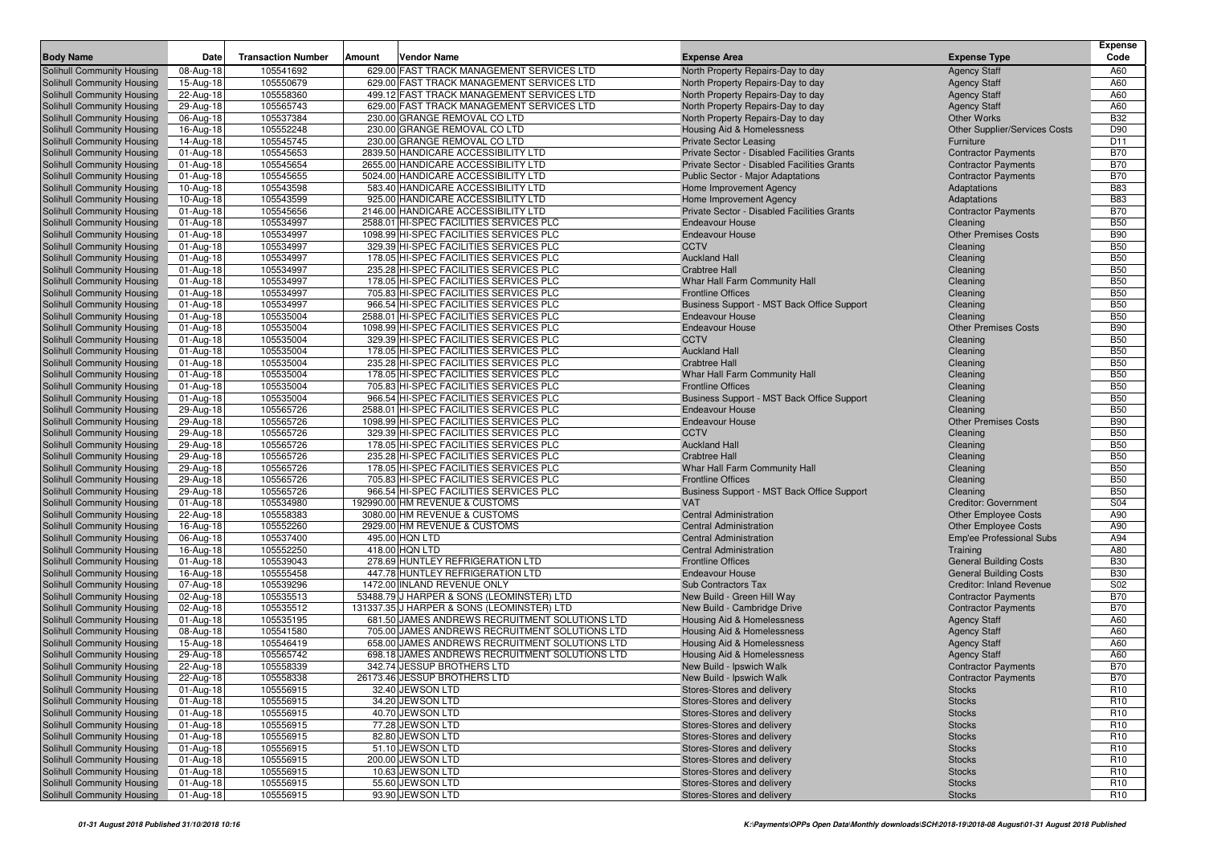|                                                          |                        |                           |        |                                                                                   |                                                          |                                             |                                         | <b>Expense</b>                     |
|----------------------------------------------------------|------------------------|---------------------------|--------|-----------------------------------------------------------------------------------|----------------------------------------------------------|---------------------------------------------|-----------------------------------------|------------------------------------|
| <b>Body Name</b>                                         | Date                   | <b>Transaction Number</b> | Amount | Vendor Name                                                                       | <b>Expense Area</b>                                      |                                             | <b>Expense Type</b>                     | Code                               |
| Solihull Community Housing                               | 08-Aug-18              | 105541692                 |        | 629.00 FAST TRACK MANAGEMENT SERVICES LTD                                         | North Property Repairs-Day to day                        |                                             | <b>Agency Staff</b>                     | A60                                |
| Solihull Community Housing                               | 15-Aug-18              | 105550679                 |        | 629.00 FAST TRACK MANAGEMENT SERVICES LTD                                         | North Property Repairs-Day to day                        |                                             | <b>Agency Staff</b>                     | A60                                |
| Solihull Community Housing                               | 22-Aug-18              | 105558360                 |        | 499.12 FAST TRACK MANAGEMENT SERVICES LTD                                         | North Property Repairs-Day to day                        |                                             | <b>Agency Staff</b>                     | A60                                |
| Solihull Community Housing                               | 29-Aug-18              | 105565743                 |        | 629.00 FAST TRACK MANAGEMENT SERVICES LTD                                         | North Property Repairs-Day to day                        |                                             | <b>Agency Staff</b>                     | A60                                |
| Solihull Community Housing                               | 06-Aug-18              | 105537384                 |        | 230.00 GRANGE REMOVAL CO LTD                                                      | North Property Repairs-Day to day                        |                                             | <b>Other Works</b>                      | <b>B32</b>                         |
| Solihull Community Housing                               | 16-Aug-18              | 105552248                 |        | 230.00 GRANGE REMOVAL CO LTD                                                      | Housing Aid & Homelessness                               |                                             | <b>Other Supplier/Services Costs</b>    | D90                                |
| Solihull Community Housing                               | 14-Aug-18              | 105545745                 |        | 230.00 GRANGE REMOVAL CO LTD                                                      | <b>Private Sector Leasing</b>                            |                                             | Furniture                               | D <sub>11</sub>                    |
| Solihull Community Housing                               | 01-Aug-18              | 105545653                 |        | 2839.50 HANDICARE ACCESSIBILITY LTD                                               |                                                          | Private Sector - Disabled Facilities Grants | <b>Contractor Payments</b>              | <b>B70</b>                         |
| Solihull Community Housing                               | 01-Aug-18              | 105545654                 |        | 2655.00 HANDICARE ACCESSIBILITY LTD                                               |                                                          | Private Sector - Disabled Facilities Grants | <b>Contractor Payments</b>              | <b>B70</b>                         |
| Solihull Community Housing                               | 01-Aug-18              | 105545655                 |        | 5024.00 HANDICARE ACCESSIBILITY LTD                                               | Public Sector - Major Adaptations                        |                                             | <b>Contractor Payments</b>              | <b>B70</b>                         |
| Solihull Community Housing                               | 10-Aug-18              | 105543598                 |        | 583.40 HANDICARE ACCESSIBILITY LTD                                                | Home Improvement Agency                                  |                                             | Adaptations                             | <b>B83</b>                         |
| Solihull Community Housing                               | 10-Aug-18              | 105543599                 |        | 925.00 HANDICARE ACCESSIBILITY LTD                                                | Home Improvement Agency                                  |                                             | Adaptations                             | <b>B83</b>                         |
| Solihull Community Housing                               | 01-Aug-18              | 105545656                 |        | 2146.00 HANDICARE ACCESSIBILITY LTD                                               |                                                          | Private Sector - Disabled Facilities Grants | <b>Contractor Payments</b>              | <b>B70</b>                         |
| Solihull Community Housing                               | 01-Aug-18              | 105534997                 |        | 2588.01 HI-SPEC FACILITIES SERVICES PLC                                           | <b>Endeavour House</b>                                   |                                             | Cleaning                                | <b>B50</b>                         |
| Solihull Community Housing                               | 01-Aug-18              | 105534997                 |        | 1098.99 HI-SPEC FACILITIES SERVICES PLC                                           | <b>Endeavour House</b>                                   |                                             | <b>Other Premises Costs</b>             | <b>B90</b>                         |
| <b>Solihull Community Housing</b>                        | 01-Aug-18              | 105534997                 |        | 329.39 HI-SPEC FACILITIES SERVICES PLC                                            | <b>CCTV</b>                                              |                                             | Cleaning                                | <b>B50</b>                         |
| Solihull Community Housing                               | 01-Aug-18              | 105534997                 |        | 178.05 HI-SPEC FACILITIES SERVICES PLC                                            | <b>Auckland Hall</b>                                     |                                             | Cleaning                                | <b>B50</b>                         |
| Solihull Community Housing                               | 01-Aug-18              | 105534997                 |        | 235.28 HI-SPEC FACILITIES SERVICES PLC                                            | <b>Crabtree Hall</b>                                     |                                             | Cleaning                                | <b>B50</b>                         |
| Solihull Community Housing                               | 01-Aug-18              | 105534997                 |        | 178.05 HI-SPEC FACILITIES SERVICES PLC                                            | Whar Hall Farm Community Hall                            |                                             | Cleaning                                | <b>B50</b>                         |
| Solihull Community Housing                               | 01-Aug-18              | 105534997                 |        | 705.83 HI-SPEC FACILITIES SERVICES PLC                                            | <b>Frontline Offices</b>                                 |                                             | Cleaning                                | <b>B50</b>                         |
| Solihull Community Housing                               | 01-Aug-18              | 105534997                 |        | 966.54 HI-SPEC FACILITIES SERVICES PLC<br>2588.01 HI-SPEC FACILITIES SERVICES PLC |                                                          | Business Support - MST Back Office Support  | Cleaning                                | <b>B50</b><br><b>B50</b>           |
| Solihull Community Housing                               | 01-Aug-18              | 105535004<br>105535004    |        | 1098.99 HI-SPEC FACILITIES SERVICES PLC                                           | <b>Endeavour House</b><br><b>Endeavour House</b>         |                                             | Cleaning<br><b>Other Premises Costs</b> | <b>B90</b>                         |
| Solihull Community Housing<br>Solihull Community Housing | 01-Aug-18              | 105535004                 |        | 329.39 HI-SPEC FACILITIES SERVICES PLC                                            | <b>CCTV</b>                                              |                                             |                                         | <b>B50</b>                         |
| Solihull Community Housing                               | 01-Aug-18<br>01-Aug-18 | 105535004                 |        | 178.05 HI-SPEC FACILITIES SERVICES PLC                                            | <b>Auckland Hall</b>                                     |                                             | Cleaning<br>Cleaning                    | <b>B50</b>                         |
| Solihull Community Housing                               | 01-Aug-18              | 105535004                 |        | 235.28 HI-SPEC FACILITIES SERVICES PLC                                            | <b>Crabtree Hall</b>                                     |                                             | Cleaning                                | <b>B50</b>                         |
| Solihull Community Housing                               | 01-Aug-18              | 105535004                 |        | 178.05 HI-SPEC FACILITIES SERVICES PLC                                            | Whar Hall Farm Community Hall                            |                                             | Cleaning                                | <b>B50</b>                         |
| Solihull Community Housing                               | 01-Aug-18              | 105535004                 |        | 705.83 HI-SPEC FACILITIES SERVICES PLC                                            | <b>Frontline Offices</b>                                 |                                             | Cleaning                                | <b>B50</b>                         |
| Solihull Community Housing                               | 01-Aug-18              | 105535004                 |        | 966.54 HI-SPEC FACILITIES SERVICES PLC                                            |                                                          | Business Support - MST Back Office Support  | Cleaning                                | <b>B50</b>                         |
| Solihull Community Housing                               | 29-Aug-18              | 105565726                 |        | 2588.01 HI-SPEC FACILITIES SERVICES PLC                                           | <b>Endeavour House</b>                                   |                                             | Cleaning                                | <b>B50</b>                         |
| Solihull Community Housing                               | 29-Aug-18              | 105565726                 |        | 1098.99 HI-SPEC FACILITIES SERVICES PLC                                           | <b>Endeavour House</b>                                   |                                             | <b>Other Premises Costs</b>             | <b>B90</b>                         |
| Solihull Community Housing                               | 29-Aug-18              | 105565726                 |        | 329.39 HI-SPEC FACILITIES SERVICES PLC                                            | <b>CCTV</b>                                              |                                             | Cleaning                                | <b>B50</b>                         |
| Solihull Community Housing                               | 29-Aug-18              | 105565726                 |        | 178.05 HI-SPEC FACILITIES SERVICES PLC                                            | <b>Auckland Hall</b>                                     |                                             | Cleaning                                | <b>B50</b>                         |
| Solihull Community Housing                               | 29-Aug-18              | 105565726                 |        | 235.28 HI-SPEC FACILITIES SERVICES PLC                                            | <b>Crabtree Hall</b>                                     |                                             | Cleaning                                | <b>B50</b>                         |
| Solihull Community Housing                               | 29-Aug-18              | 105565726                 |        | 178.05 HI-SPEC FACILITIES SERVICES PLC                                            | Whar Hall Farm Community Hall                            |                                             | Cleaning                                | <b>B50</b>                         |
| Solihull Community Housing                               | 29-Aug-18              | 105565726                 |        | 705.83 HI-SPEC FACILITIES SERVICES PLC                                            | <b>Frontline Offices</b>                                 |                                             | Cleaning                                | <b>B50</b>                         |
| Solihull Community Housing                               | 29-Aug-18              | 105565726                 |        | 966.54 HI-SPEC FACILITIES SERVICES PLC                                            |                                                          | Business Support - MST Back Office Support  | Cleaning                                | <b>B50</b>                         |
| Solihull Community Housing                               | 01-Aug-18              | 105534980                 |        | 192990.00 HM REVENUE & CUSTOMS                                                    | <b>VAT</b>                                               |                                             | <b>Creditor: Government</b>             | S04                                |
| Solihull Community Housing                               | 22-Aug-18              | 105558383                 |        | 3080.00 HM REVENUE & CUSTOMS                                                      | <b>Central Administration</b>                            |                                             | <b>Other Employee Costs</b>             | A90                                |
| Solihull Community Housing                               | 16-Aug-18              | 105552260                 |        | 2929.00 HM REVENUE & CUSTOMS                                                      | <b>Central Administration</b>                            |                                             | <b>Other Employee Costs</b>             | A90                                |
| Solihull Community Housing                               | 06-Aug-18              | 105537400                 |        | 495.00 HQN LTD                                                                    | <b>Central Administration</b>                            |                                             | Emp'ee Professional Subs                | A94                                |
| Solihull Community Housing                               | 16-Aug-18              | 105552250                 |        | 418.00 HQN LTD                                                                    | <b>Central Administration</b>                            |                                             | Training                                | A80                                |
| Solihull Community Housing                               | 01-Aug-18              | 105539043                 |        | 278.69 HUNTLEY REFRIGERATION LTD                                                  | <b>Frontline Offices</b>                                 |                                             | <b>General Building Costs</b>           | <b>B30</b>                         |
| Solihull Community Housing                               | 16-Aug-18              | 105555458                 |        | 447.78 HUNTLEY REFRIGERATION LTD                                                  | <b>Endeavour House</b>                                   |                                             | <b>General Building Costs</b>           | <b>B30</b>                         |
| Solihull Community Housing                               | 07-Aug-18              | 105539296                 |        | 1472.00 INLAND REVENUE ONLY                                                       | Sub Contractors Tax                                      |                                             | <b>Creditor: Inland Revenue</b>         | S02                                |
| Solihull Community Housing                               | 02-Aug-18              | 105535513                 |        | 53488.79 J HARPER & SONS (LEOMINSTER) LTD                                         | New Build - Green Hill Way                               |                                             | <b>Contractor Payments</b>              | <b>B70</b>                         |
| Solihull Community Housing                               | 02-Aug-18              | 105535512                 |        | 131337.35 J HARPER & SONS (LEOMINSTER) LTD                                        | New Build - Cambridge Drive                              |                                             | <b>Contractor Payments</b>              | <b>B70</b>                         |
| Solihull Community Housing                               | 01-Aug-18              | 105535195                 |        | 681.50 JAMES ANDREWS RECRUITMENT SOLUTIONS LTD                                    | <b>Housing Aid &amp; Homelessness</b>                    |                                             | <b>Agency Staff</b>                     | A60                                |
| Solihull Community Housing                               | 08-Aug-18              | 105541580                 |        | 705.00 JAMES ANDREWS RECRUITMENT SOLUTIONS LTD                                    | Housing Aid & Homelessness                               |                                             | <b>Agency Staff</b>                     | A60                                |
| Solihull Community Housing                               | 15-Aug-18              | 105546419                 |        | 658.00 JAMES ANDREWS RECRUITMENT SOLUTIONS LTD                                    | Housing Aid & Homelessness                               |                                             | <b>Agency Staff</b>                     | A60                                |
| Solihull Community Housing                               | 29-Aug-18              | 105565742                 |        | 698.18 JAMES ANDREWS RECRUITMENT SOLUTIONS LTD                                    | Housing Aid & Homelessness                               |                                             | <b>Agency Staff</b>                     | A60                                |
| Solihull Community Housing                               | 22-Aug-18              | 105558339                 |        | 342.74 JESSUP BROTHERS LTD                                                        | New Build - Ipswich Walk                                 |                                             | <b>Contractor Payments</b>              | <b>B70</b>                         |
| Solihull Community Housing                               | 22-Aug-18              | 105558338                 |        | 26173.46 JESSUP BROTHERS LTD                                                      | New Build - Ipswich Walk                                 |                                             | <b>Contractor Payments</b>              | <b>B70</b>                         |
| Solihull Community Housing                               | 01-Aug-18              | 105556915                 |        | 32.40 JEWSON LTD                                                                  | Stores-Stores and delivery                               |                                             | <b>Stocks</b>                           | R <sub>10</sub>                    |
| Solihull Community Housing                               | 01-Aug-18              | 105556915                 |        | 34.20 JEWSON LTD                                                                  | Stores-Stores and delivery                               |                                             | <b>Stocks</b>                           | R <sub>10</sub>                    |
| Solihull Community Housing                               | 01-Aug-18              | 105556915                 |        | 40.70 JEWSON LTD                                                                  | Stores-Stores and delivery                               |                                             | <b>Stocks</b>                           | R <sub>10</sub>                    |
| Solihull Community Housing                               | 01-Aug-18              | 105556915                 |        | 77.28 JEWSON LTD                                                                  | Stores-Stores and delivery                               |                                             | <b>Stocks</b>                           | R <sub>10</sub>                    |
| Solihull Community Housing                               | 01-Aug-18              | 105556915                 |        | 82.80 JEWSON LTD                                                                  | Stores-Stores and delivery                               |                                             | <b>Stocks</b>                           | R <sub>10</sub>                    |
| Solihull Community Housing<br>Solihull Community Housing | 01-Aug-18<br>01-Aug-18 | 105556915<br>105556915    |        | 51.10 JEWSON LTD<br>200.00 JEWSON LTD                                             | Stores-Stores and delivery<br>Stores-Stores and delivery |                                             | <b>Stocks</b>                           | R <sub>10</sub><br>R <sub>10</sub> |
| Solihull Community Housing                               | 01-Aug-18              | 105556915                 |        | 10.63 JEWSON LTD                                                                  | Stores-Stores and delivery                               |                                             | <b>Stocks</b><br><b>Stocks</b>          | R <sub>10</sub>                    |
| Solihull Community Housing                               | 01-Aug-18              | 105556915                 |        | 55.60 JEWSON LTD                                                                  | Stores-Stores and delivery                               |                                             | <b>Stocks</b>                           | R <sub>10</sub>                    |
| Solihull Community Housing                               | 01-Aug-18              | 105556915                 |        | 93.90 JEWSON LTD                                                                  | Stores-Stores and delivery                               |                                             | <b>Stocks</b>                           | R <sub>10</sub>                    |
|                                                          |                        |                           |        |                                                                                   |                                                          |                                             |                                         |                                    |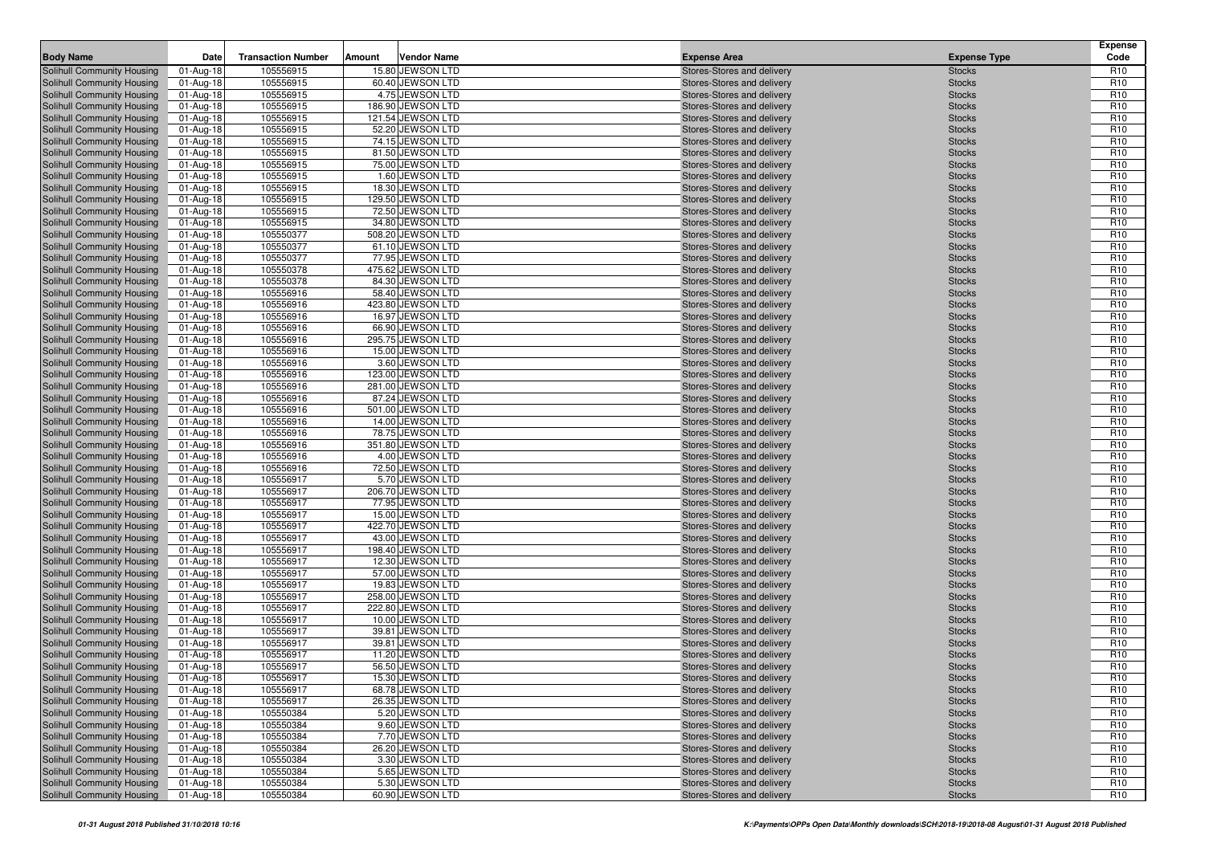| <b>Body Name</b>                  | Date        | <b>Transaction Number</b> | Amount | <b>Vendor Name</b> | <b>Expense Area</b>        | <b>Expense Type</b> | <b>Expense</b><br>Code |
|-----------------------------------|-------------|---------------------------|--------|--------------------|----------------------------|---------------------|------------------------|
| Solihull Community Housing        | 01-Aug-18   | 105556915                 |        | 15.80 JEWSON LTD   | Stores-Stores and delivery | <b>Stocks</b>       | R <sub>10</sub>        |
| Solihull Community Housing        | 01-Aug-18   | 105556915                 |        | 60.40 JEWSON LTD   | Stores-Stores and delivery | <b>Stocks</b>       | R <sub>10</sub>        |
| Solihull Community Housing        | 01-Aug-18   | 105556915                 |        | 4.75 JEWSON LTD    | Stores-Stores and delivery | <b>Stocks</b>       | R <sub>10</sub>        |
| Solihull Community Housing        | 01-Aug-18   | 105556915                 |        | 186.90 JEWSON LTD  | Stores-Stores and delivery | <b>Stocks</b>       | R <sub>10</sub>        |
| Solihull Community Housing        | 01-Aug-18   | 105556915                 |        | 121.54 JEWSON LTD  | Stores-Stores and delivery | <b>Stocks</b>       | R <sub>10</sub>        |
| Solihull Community Housing        | 01-Aug-18   | 105556915                 |        | 52.20 JEWSON LTD   | Stores-Stores and delivery | <b>Stocks</b>       | R <sub>10</sub>        |
| Solihull Community Housing        | 01-Aug-18   | 105556915                 |        | 74.15 JEWSON LTD   | Stores-Stores and delivery | <b>Stocks</b>       | R <sub>10</sub>        |
| Solihull Community Housing        | 01-Aug-18   | 105556915                 |        | 81.50 JEWSON LTD   | Stores-Stores and delivery | <b>Stocks</b>       | R <sub>10</sub>        |
| Solihull Community Housing        | 01-Aug-18   | 105556915                 |        | 75.00 JEWSON LTD   | Stores-Stores and delivery | <b>Stocks</b>       | R <sub>10</sub>        |
| <b>Solihull Community Housing</b> | 01-Aug-18   | 105556915                 |        | 1.60 JEWSON LTD    | Stores-Stores and delivery | <b>Stocks</b>       | R <sub>10</sub>        |
| Solihull Community Housing        | 01-Aug-18   | 105556915                 |        | 18.30 JEWSON LTD   | Stores-Stores and delivery | <b>Stocks</b>       | R <sub>10</sub>        |
| Solihull Community Housing        | 01-Aug-18   | 105556915                 |        | 129.50 JEWSON LTD  | Stores-Stores and delivery | <b>Stocks</b>       | R <sub>10</sub>        |
| Solihull Community Housing        | 01-Aug-18   | 105556915                 |        | 72.50 JEWSON LTD   | Stores-Stores and delivery | <b>Stocks</b>       | R <sub>10</sub>        |
| Solihull Community Housing        | 01-Aug-18   | 105556915                 |        | 34.80 JEWSON LTD   | Stores-Stores and delivery | <b>Stocks</b>       | R <sub>10</sub>        |
| Solihull Community Housing        | 01-Aug-18   | 105550377                 |        | 508.20 JEWSON LTD  | Stores-Stores and delivery | <b>Stocks</b>       | R <sub>10</sub>        |
| Solihull Community Housing        | 01-Aug-18   | 105550377                 |        | 61.10 JEWSON LTD   | Stores-Stores and delivery | <b>Stocks</b>       | R <sub>10</sub>        |
| Solihull Community Housing        | 01-Aug-18   | 105550377                 |        | 77.95 JEWSON LTD   | Stores-Stores and delivery | <b>Stocks</b>       | R <sub>10</sub>        |
| Solihull Community Housing        | 01-Aug-18   | 105550378                 |        | 475.62 JEWSON LTD  | Stores-Stores and delivery | <b>Stocks</b>       | R <sub>10</sub>        |
| Solihull Community Housing        | 01-Aug-18   | 105550378                 |        | 84.30 JEWSON LTD   | Stores-Stores and delivery | <b>Stocks</b>       | R <sub>10</sub>        |
| Solihull Community Housing        | 01-Aug-18   | 105556916                 |        | 58.40 JEWSON LTD   | Stores-Stores and delivery | <b>Stocks</b>       | R <sub>10</sub>        |
| Solihull Community Housing        | 01-Aug-18   | 105556916                 |        | 423.80 JEWSON LTD  | Stores-Stores and delivery | <b>Stocks</b>       | R <sub>10</sub>        |
| Solihull Community Housing        | 01-Aug-18   | 105556916                 |        | 16.97 JEWSON LTD   | Stores-Stores and delivery | <b>Stocks</b>       | R <sub>10</sub>        |
| Solihull Community Housing        | 01-Aug-18   | 105556916                 |        | 66.90 JEWSON LTD   | Stores-Stores and delivery | <b>Stocks</b>       | R <sub>10</sub>        |
| Solihull Community Housing        | 01-Aug-18   | 105556916                 |        | 295.75 JEWSON LTD  | Stores-Stores and delivery | <b>Stocks</b>       | R <sub>10</sub>        |
| Solihull Community Housing        | 01-Aug-18   | 105556916                 |        | 15.00 JEWSON LTD   | Stores-Stores and delivery | <b>Stocks</b>       | R <sub>10</sub>        |
| Solihull Community Housing        | 01-Aug-18   | 105556916                 |        | 3.60 JEWSON LTD    | Stores-Stores and delivery | <b>Stocks</b>       | R <sub>10</sub>        |
| Solihull Community Housing        | 01-Aug-18   | 105556916                 |        | 123.00 JEWSON LTD  | Stores-Stores and delivery | <b>Stocks</b>       | R <sub>10</sub>        |
| Solihull Community Housing        | 01-Aug-18   | 105556916                 |        | 281.00 JEWSON LTD  | Stores-Stores and delivery | <b>Stocks</b>       | R <sub>10</sub>        |
| Solihull Community Housing        | 01-Aug-18   | 105556916                 |        | 87.24 JEWSON LTD   | Stores-Stores and delivery | <b>Stocks</b>       | R <sub>10</sub>        |
| Solihull Community Housing        | 01-Aug-18   | 105556916                 |        | 501.00 JEWSON LTD  | Stores-Stores and delivery | <b>Stocks</b>       | R <sub>10</sub>        |
| Solihull Community Housing        | 01-Aug-18   | 105556916                 |        | 14.00 JEWSON LTD   | Stores-Stores and delivery | <b>Stocks</b>       | R <sub>10</sub>        |
| Solihull Community Housing        | 01-Aug-18   | 105556916                 |        | 78.75 JEWSON LTD   | Stores-Stores and delivery | <b>Stocks</b>       | R <sub>10</sub>        |
| Solihull Community Housing        | 01-Aug-18   | 105556916                 |        | 351.80 JEWSON LTD  | Stores-Stores and delivery | <b>Stocks</b>       | R <sub>10</sub>        |
| Solihull Community Housing        | 01-Aug-18   | 105556916                 |        | 4.00 JEWSON LTD    | Stores-Stores and delivery | <b>Stocks</b>       | R <sub>10</sub>        |
| <b>Solihull Community Housing</b> | 01-Aug-18   | 105556916                 |        | 72.50 JEWSON LTD   | Stores-Stores and delivery | <b>Stocks</b>       | R <sub>10</sub>        |
| Solihull Community Housing        | 01-Aug-18   | 105556917                 |        | 5.70 JEWSON LTD    | Stores-Stores and delivery | <b>Stocks</b>       | R <sub>10</sub>        |
| Solihull Community Housing        | 01-Aug-18   | 105556917                 |        | 206.70 JEWSON LTD  | Stores-Stores and delivery | <b>Stocks</b>       | R <sub>10</sub>        |
| Solihull Community Housing        | 01-Aug-18   | 105556917                 |        | 77.95 JEWSON LTD   | Stores-Stores and delivery | <b>Stocks</b>       | R <sub>10</sub>        |
| <b>Solihull Community Housing</b> | 01-Aug-18   | 105556917                 |        | 15.00 JEWSON LTD   | Stores-Stores and delivery | <b>Stocks</b>       | R <sub>10</sub>        |
| Solihull Community Housing        | 01-Aug-18   | 105556917                 |        | 422.70 JEWSON LTD  | Stores-Stores and delivery | <b>Stocks</b>       | R <sub>10</sub>        |
| Solihull Community Housing        | 01-Aug-18   | 105556917                 |        | 43.00 JEWSON LTD   | Stores-Stores and delivery | <b>Stocks</b>       | R <sub>10</sub>        |
| Solihull Community Housing        | 01-Aug-18   | 105556917                 |        | 198.40 JEWSON LTD  | Stores-Stores and delivery | <b>Stocks</b>       | R <sub>10</sub>        |
| Solihull Community Housing        | 01-Aug-18   | 105556917                 |        | 12.30 JEWSON LTD   | Stores-Stores and delivery | <b>Stocks</b>       | R <sub>10</sub>        |
| Solihull Community Housing        | 01-Aug-18   | 105556917                 |        | 57.00 JEWSON LTD   | Stores-Stores and delivery | <b>Stocks</b>       | R <sub>10</sub>        |
| Solihull Community Housing        | 01-Aug-18   | 105556917                 |        | 19.83 JEWSON LTD   | Stores-Stores and delivery | <b>Stocks</b>       | R <sub>10</sub>        |
| Solihull Community Housing        | 01-Aug-18   | 105556917                 |        | 258.00 JEWSON LTD  | Stores-Stores and delivery | <b>Stocks</b>       | R <sub>10</sub>        |
| Solihull Community Housing        | 01-Aug-18   | 105556917                 |        | 222.80 JEWSON LTD  | Stores-Stores and delivery | <b>Stocks</b>       | R <sub>10</sub>        |
| Solihull Community Housing        | 01-Aug-18   | 105556917                 |        | 10.00 JEWSON LTD   | Stores-Stores and delivery | <b>Stocks</b>       | R <sub>10</sub>        |
| Solihull Community Housing        | 01-Aug-18   | 105556917                 |        | 39.81 JEWSON LTD   | Stores-Stores and delivery | <b>Stocks</b>       | R <sub>10</sub>        |
| Solihull Community Housing        | 01-Aug-18   | 105556917                 |        | 39.81 JEWSON LTD   | Stores-Stores and delivery | <b>Stocks</b>       | R <sub>10</sub>        |
| Solihull Community Housing        | 01-Aug-18   | 105556917                 |        | 11.20 JEWSON LTD   | Stores-Stores and delivery | <b>Stocks</b>       | R <sub>10</sub>        |
| Solihull Community Housing        | 01-Aug-18   | 105556917                 |        | 56.50 JEWSON LTD   | Stores-Stores and delivery | <b>Stocks</b>       | R <sub>10</sub>        |
| Solihull Community Housing        | $01-Aug-18$ | 105556917                 |        | 15.30 JEWSON LTD   | Stores-Stores and delivery | <b>Stocks</b>       | R <sub>10</sub>        |
| Solihull Community Housing        | 01-Aug-18   | 105556917                 |        | 68.78 JEWSON LTD   | Stores-Stores and delivery | <b>Stocks</b>       | R <sub>10</sub>        |
| Solihull Community Housing        | 01-Aug-18   | 105556917                 |        | 26.35 JEWSON LTD   | Stores-Stores and delivery | <b>Stocks</b>       | R <sub>10</sub>        |
| Solihull Community Housing        | 01-Aug-18   | 105550384                 |        | 5.20 JEWSON LTD    | Stores-Stores and delivery | <b>Stocks</b>       | R <sub>10</sub>        |
| Solihull Community Housing        | 01-Aug-18   | 105550384                 |        | 9.60 JEWSON LTD    | Stores-Stores and delivery | <b>Stocks</b>       | R <sub>10</sub>        |
| Solihull Community Housing        | 01-Aug-18   | 105550384                 |        | 7.70 JEWSON LTD    | Stores-Stores and delivery | <b>Stocks</b>       | R <sub>10</sub>        |
| Solihull Community Housing        | 01-Aug-18   | 105550384                 |        | 26.20 JEWSON LTD   | Stores-Stores and delivery | <b>Stocks</b>       | R <sub>10</sub>        |
| <b>Solihull Community Housing</b> | 01-Aug-18   | 105550384                 |        | 3.30 JEWSON LTD    | Stores-Stores and delivery | <b>Stocks</b>       | R <sub>10</sub>        |
| Solihull Community Housing        | 01-Aug-18   | 105550384                 |        | 5.65 JEWSON LTD    | Stores-Stores and delivery | <b>Stocks</b>       | R <sub>10</sub>        |
| Solihull Community Housing        | 01-Aug-18   | 105550384                 |        | 5.30 JEWSON LTD    | Stores-Stores and delivery | <b>Stocks</b>       | R <sub>10</sub>        |
| Solihull Community Housing        | 01-Aug-18   | 105550384                 |        | 60.90 JEWSON LTD   | Stores-Stores and delivery | <b>Stocks</b>       | R <sub>10</sub>        |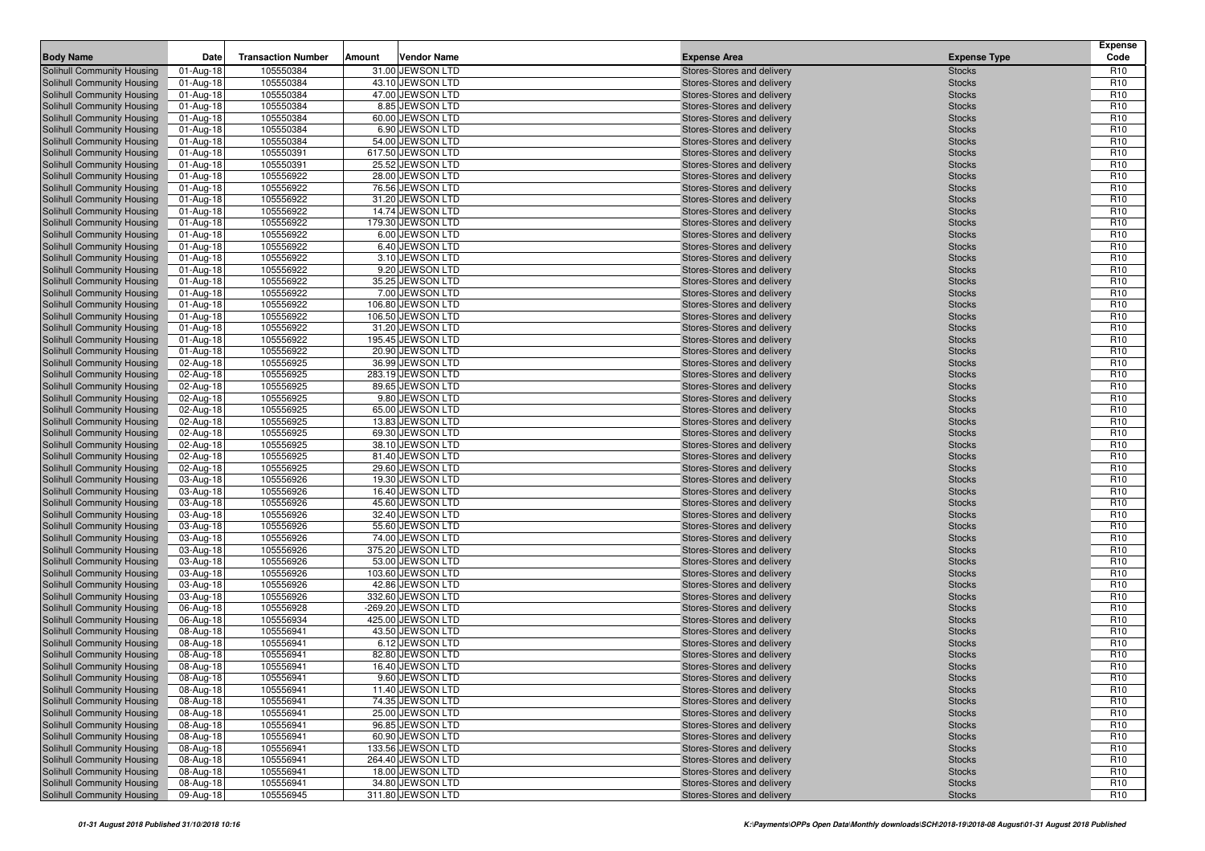| <b>Body Name</b>                                         | Date                   | <b>Transaction Number</b> | Amount | <b>Vendor Name</b>                  | <b>Expense Area</b>                                      | <b>Expense Type</b>            | <b>Expense</b><br>Code             |
|----------------------------------------------------------|------------------------|---------------------------|--------|-------------------------------------|----------------------------------------------------------|--------------------------------|------------------------------------|
| Solihull Community Housing                               | 01-Aug-18              | 105550384                 |        | 31.00 JEWSON LTD                    | Stores-Stores and delivery                               | <b>Stocks</b>                  | R <sub>10</sub>                    |
| Solihull Community Housing                               | 01-Aug-18              | 105550384                 |        | 43.10 JEWSON LTD                    | Stores-Stores and delivery                               | <b>Stocks</b>                  | R <sub>10</sub>                    |
| Solihull Community Housing                               | 01-Aug-18              | 105550384                 |        | 47.00 JEWSON LTD                    | Stores-Stores and delivery                               | <b>Stocks</b>                  | R <sub>10</sub>                    |
| Solihull Community Housing                               | 01-Aug-18              | 105550384                 |        | 8.85 JEWSON LTD                     | Stores-Stores and delivery                               | <b>Stocks</b>                  | R <sub>10</sub>                    |
| Solihull Community Housing                               | 01-Aug-18              | 105550384                 |        | 60.00 JEWSON LTD                    | Stores-Stores and delivery                               | <b>Stocks</b>                  | R <sub>10</sub>                    |
| Solihull Community Housing                               | 01-Aug-18              | 105550384                 |        | 6.90 JEWSON LTD                     | Stores-Stores and delivery                               | <b>Stocks</b>                  | R <sub>10</sub>                    |
| Solihull Community Housing                               | 01-Aug-18              | 105550384                 |        | 54.00 JEWSON LTD                    | Stores-Stores and delivery                               | <b>Stocks</b>                  | R <sub>10</sub>                    |
| Solihull Community Housing                               | 01-Aug-18              | 105550391                 |        | 617.50 JEWSON LTD                   | Stores-Stores and delivery                               | <b>Stocks</b>                  | R <sub>10</sub>                    |
| Solihull Community Housing                               | 01-Aug-18              | 105550391                 |        | 25.52 JEWSON LTD                    | Stores-Stores and delivery                               | <b>Stocks</b>                  | R <sub>10</sub>                    |
| Solihull Community Housing                               | 01-Aug-18              | 105556922                 |        | 28.00 JEWSON LTD                    | Stores-Stores and delivery                               | <b>Stocks</b>                  | R <sub>10</sub>                    |
| Solihull Community Housing                               | 01-Aug-18              | 105556922                 |        | 76.56 JEWSON LTD                    | Stores-Stores and delivery                               | <b>Stocks</b>                  | R <sub>10</sub>                    |
| Solihull Community Housing                               | 01-Aug-18              | 105556922                 |        | 31.20 JEWSON LTD                    | Stores-Stores and delivery                               | <b>Stocks</b>                  | R <sub>10</sub>                    |
| Solihull Community Housing                               | 01-Aug-18              | 105556922                 |        | 14.74 JEWSON LTD                    | Stores-Stores and delivery                               | <b>Stocks</b>                  | R <sub>10</sub>                    |
| Solihull Community Housing                               | 01-Aug-18              | 105556922                 |        | 179.30 JEWSON LTD                   | Stores-Stores and delivery                               | <b>Stocks</b>                  | R <sub>10</sub>                    |
| Solihull Community Housing                               | 01-Aug-18              | 105556922                 |        | 6.00 JEWSON LTD                     | Stores-Stores and delivery                               | <b>Stocks</b>                  | R <sub>10</sub>                    |
| Solihull Community Housing                               | 01-Aug-18              | 105556922                 |        | 6.40 JEWSON LTD                     | Stores-Stores and delivery                               | <b>Stocks</b>                  | R <sub>10</sub>                    |
| Solihull Community Housing                               | 01-Aug-18              | 105556922                 |        | 3.10 JEWSON LTD                     | Stores-Stores and delivery                               | <b>Stocks</b>                  | R <sub>10</sub>                    |
| Solihull Community Housing                               | 01-Aug-18              | 105556922                 |        | 9.20 JEWSON LTD                     | Stores-Stores and delivery                               | <b>Stocks</b>                  | R <sub>10</sub>                    |
| Solihull Community Housing                               | 01-Aug-18              | 105556922                 |        | 35.25 JEWSON LTD                    | Stores-Stores and delivery                               | <b>Stocks</b>                  | R <sub>10</sub>                    |
| Solihull Community Housing                               | 01-Aug-18              | 105556922                 |        | 7.00 JEWSON LTD                     | Stores-Stores and delivery                               | <b>Stocks</b>                  | R <sub>10</sub>                    |
| Solihull Community Housing                               | 01-Aug-18              | 105556922                 |        | 106.80 JEWSON LTD                   | Stores-Stores and delivery                               | <b>Stocks</b>                  | R <sub>10</sub>                    |
| Solihull Community Housing                               | 01-Aug-18              | 105556922                 |        | 106.50 JEWSON LTD                   | Stores-Stores and delivery                               | <b>Stocks</b>                  | R <sub>10</sub>                    |
| Solihull Community Housing                               | 01-Aug-18              | 105556922                 |        | 31.20 JEWSON LTD                    | Stores-Stores and delivery                               | <b>Stocks</b>                  | R <sub>10</sub>                    |
| Solihull Community Housing                               | 01-Aug-18              | 105556922                 |        | 195.45 JEWSON LTD                   | Stores-Stores and delivery                               | <b>Stocks</b>                  | R <sub>10</sub>                    |
| Solihull Community Housing                               | 01-Aug-18              | 105556922                 |        | 20.90 JEWSON LTD                    | Stores-Stores and delivery                               | <b>Stocks</b>                  | R <sub>10</sub>                    |
| Solihull Community Housing                               | 02-Aug-18              | 105556925                 |        | 36.99 JEWSON LTD                    | Stores-Stores and delivery                               | <b>Stocks</b>                  | R <sub>10</sub>                    |
| Solihull Community Housing                               | 02-Aug-18              | 105556925                 |        | 283.19 JEWSON LTD                   | Stores-Stores and delivery<br>Stores-Stores and delivery | <b>Stocks</b>                  | R <sub>10</sub>                    |
| Solihull Community Housing                               | 02-Aug-18              | 105556925<br>105556925    |        | 89.65 JEWSON LTD<br>9.80 JEWSON LTD |                                                          | <b>Stocks</b>                  | R <sub>10</sub><br>R <sub>10</sub> |
| Solihull Community Housing<br>Solihull Community Housing | 02-Aug-18<br>02-Aug-18 | 105556925                 |        | 65.00 JEWSON LTD                    | Stores-Stores and delivery<br>Stores-Stores and delivery | <b>Stocks</b><br><b>Stocks</b> | R <sub>10</sub>                    |
| Solihull Community Housing                               | 02-Aug-18              | 105556925                 |        | 13.83 JEWSON LTD                    | Stores-Stores and delivery                               | <b>Stocks</b>                  | R <sub>10</sub>                    |
| Solihull Community Housing                               | 02-Aug-18              | 105556925                 |        | 69.30 JEWSON LTD                    | Stores-Stores and delivery                               | <b>Stocks</b>                  | R <sub>10</sub>                    |
| Solihull Community Housing                               | 02-Aug-18              | 105556925                 |        | 38.10 JEWSON LTD                    | Stores-Stores and delivery                               | <b>Stocks</b>                  | R <sub>10</sub>                    |
| Solihull Community Housing                               | 02-Aug-18              | 105556925                 |        | 81.40 JEWSON LTD                    | Stores-Stores and delivery                               | <b>Stocks</b>                  | R <sub>10</sub>                    |
| <b>Solihull Community Housing</b>                        | 02-Aug-18              | 105556925                 |        | 29.60 JEWSON LTD                    | Stores-Stores and delivery                               | <b>Stocks</b>                  | R <sub>10</sub>                    |
| Solihull Community Housing                               | 03-Aug-18              | 105556926                 |        | 19.30 JEWSON LTD                    | Stores-Stores and delivery                               | <b>Stocks</b>                  | R <sub>10</sub>                    |
| Solihull Community Housing                               | 03-Aug-18              | 105556926                 |        | 16.40 JEWSON LTD                    | Stores-Stores and delivery                               | <b>Stocks</b>                  | R <sub>10</sub>                    |
| Solihull Community Housing                               | 03-Aug-18              | 105556926                 |        | 45.60 JEWSON LTD                    | Stores-Stores and delivery                               | <b>Stocks</b>                  | R <sub>10</sub>                    |
| <b>Solihull Community Housing</b>                        | 03-Aug-18              | 105556926                 |        | 32.40 JEWSON LTD                    | Stores-Stores and delivery                               | <b>Stocks</b>                  | R <sub>10</sub>                    |
| Solihull Community Housing                               | 03-Aug-18              | 105556926                 |        | 55.60 JEWSON LTD                    | Stores-Stores and delivery                               | <b>Stocks</b>                  | R <sub>10</sub>                    |
| Solihull Community Housing                               | 03-Aug-18              | 105556926                 |        | 74.00 JEWSON LTD                    | Stores-Stores and delivery                               | <b>Stocks</b>                  | R <sub>10</sub>                    |
| Solihull Community Housing                               | 03-Aug-18              | 105556926                 |        | 375.20 JEWSON LTD                   | Stores-Stores and delivery                               | <b>Stocks</b>                  | R <sub>10</sub>                    |
| Solihull Community Housing                               | 03-Aug-18              | 105556926                 |        | 53.00 JEWSON LTD                    | Stores-Stores and delivery                               | <b>Stocks</b>                  | R <sub>10</sub>                    |
| Solihull Community Housing                               | 03-Aug-18              | 105556926                 |        | 103.60 JEWSON LTD                   | Stores-Stores and delivery                               | <b>Stocks</b>                  | R <sub>10</sub>                    |
| Solihull Community Housing                               | 03-Aug-18              | 105556926                 |        | 42.86 JEWSON LTD                    | Stores-Stores and delivery                               | <b>Stocks</b>                  | R <sub>10</sub>                    |
| Solihull Community Housing                               | 03-Aug-18              | 105556926                 |        | 332.60 JEWSON LTD                   | Stores-Stores and delivery                               | <b>Stocks</b>                  | R <sub>10</sub>                    |
| Solihull Community Housing                               | 06-Aug-18              | 105556928                 |        | -269.20 JEWSON LTD                  | Stores-Stores and delivery                               | <b>Stocks</b>                  | R <sub>10</sub>                    |
| Solihull Community Housing                               | 06-Aug-18              | 105556934                 |        | 425.00 JEWSON LTD                   | Stores-Stores and delivery                               | <b>Stocks</b>                  | R <sub>10</sub>                    |
| Solihull Community Housing                               | 08-Aug-18              | 105556941                 |        | 43.50 JEWSON LTD                    | Stores-Stores and delivery                               | <b>Stocks</b>                  | R <sub>10</sub>                    |
| Solihull Community Housing                               | 08-Aug-18              | 105556941                 |        | 6.12 JEWSON LTD                     | Stores-Stores and delivery                               | <b>Stocks</b>                  | R <sub>10</sub>                    |
| Solihull Community Housing                               | 08-Aug-18              | 105556941                 |        | 82.80 JEWSON LTD                    | Stores-Stores and delivery                               | <b>Stocks</b>                  | R <sub>10</sub>                    |
| Solihull Community Housing                               | 08-Aug-18              | 105556941                 |        | 16.40 JEWSON LTD                    | Stores-Stores and delivery                               | <b>Stocks</b>                  | R <sub>10</sub>                    |
| Solihull Community Housing                               | 08-Aug-18              | 105556941                 |        | 9.60 JEWSON LTD                     | Stores-Stores and delivery                               | <b>Stocks</b>                  | R <sub>10</sub>                    |
| Solihull Community Housing                               | 08-Aug-18              | 105556941                 |        | 11.40 JEWSON LTD                    | Stores-Stores and delivery                               | <b>Stocks</b>                  | R <sub>10</sub>                    |
| Solihull Community Housing                               | 08-Aug-18              | 105556941                 |        | 74.35 JEWSON LTD                    | Stores-Stores and delivery                               | <b>Stocks</b>                  | R <sub>10</sub>                    |
| Solihull Community Housing                               | 08-Aug-18              | 105556941                 |        | 25.00 JEWSON LTD                    | Stores-Stores and delivery                               | <b>Stocks</b>                  | R <sub>10</sub>                    |
| Solihull Community Housing                               | 08-Aug-18              | 105556941                 |        | 96.85 JEWSON LTD                    | Stores-Stores and delivery                               | <b>Stocks</b>                  | R <sub>10</sub>                    |
| Solihull Community Housing                               | 08-Aug-18              | 105556941                 |        | 60.90 JEWSON LTD                    | Stores-Stores and delivery                               | <b>Stocks</b>                  | R <sub>10</sub>                    |
| Solihull Community Housing                               | 08-Aug-18              | 105556941                 |        | 133.56 JEWSON LTD                   | Stores-Stores and delivery                               | <b>Stocks</b>                  | R <sub>10</sub>                    |
| <b>Solihull Community Housing</b>                        | 08-Aug-18              | 105556941                 |        | 264.40 JEWSON LTD                   | Stores-Stores and delivery                               | <b>Stocks</b>                  | R <sub>10</sub>                    |
| Solihull Community Housing                               | 08-Aug-18              | 105556941                 |        | 18.00 JEWSON LTD                    | Stores-Stores and delivery                               | <b>Stocks</b>                  | R <sub>10</sub>                    |
| Solihull Community Housing                               | 08-Aug-18              | 105556941                 |        | 34.80 JEWSON LTD                    | Stores-Stores and delivery                               | <b>Stocks</b>                  | R <sub>10</sub>                    |
| Solihull Community Housing                               | 09-Aug-18              | 105556945                 |        | 311.80 JEWSON LTD                   | Stores-Stores and delivery                               | <b>Stocks</b>                  | R <sub>10</sub>                    |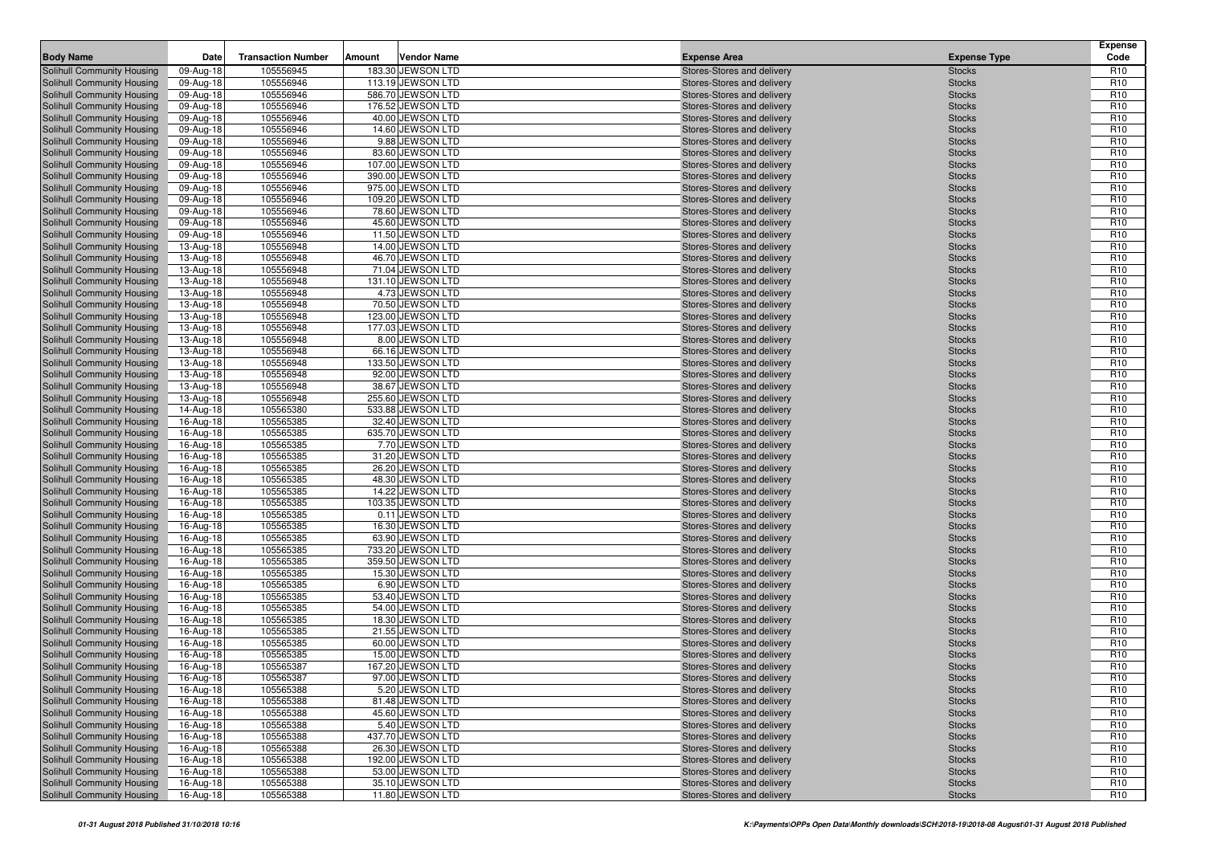| <b>Body Name</b>                                         | Date                   | <b>Transaction Number</b> | Amount | <b>Vendor Name</b>                  | <b>Expense Area</b>                                      | <b>Expense Type</b>            | <b>Expense</b><br>Code             |
|----------------------------------------------------------|------------------------|---------------------------|--------|-------------------------------------|----------------------------------------------------------|--------------------------------|------------------------------------|
| Solihull Community Housing                               | 09-Aug-18              | 105556945                 |        | 183.30 JEWSON LTD                   | Stores-Stores and delivery                               | <b>Stocks</b>                  | R <sub>10</sub>                    |
| Solihull Community Housing                               | 09-Aug-18              | 105556946                 |        | 113.19 JEWSON LTD                   | Stores-Stores and delivery                               | <b>Stocks</b>                  | R <sub>10</sub>                    |
| Solihull Community Housing                               | 09-Aug-18              | 105556946                 |        | 586.70 JEWSON LTD                   | Stores-Stores and delivery                               | <b>Stocks</b>                  | R <sub>10</sub>                    |
| Solihull Community Housing                               | 09-Aug-18              | 105556946                 |        | 176.52 JEWSON LTD                   | Stores-Stores and delivery                               | <b>Stocks</b>                  | R <sub>10</sub>                    |
| Solihull Community Housing                               | 09-Aug-18              | 105556946                 |        | 40.00 JEWSON LTD                    | Stores-Stores and delivery                               | <b>Stocks</b>                  | R <sub>10</sub>                    |
| Solihull Community Housing                               | 09-Aug-18              | 105556946                 |        | 14.60 JEWSON LTD                    | Stores-Stores and delivery                               | <b>Stocks</b>                  | R <sub>10</sub>                    |
| Solihull Community Housing                               | 09-Aug-18              | 105556946                 |        | 9.88 JEWSON LTD                     | Stores-Stores and delivery                               | <b>Stocks</b>                  | R <sub>10</sub>                    |
| Solihull Community Housing                               | 09-Aug-18              | 105556946                 |        | 83.60 JEWSON LTD                    | Stores-Stores and delivery                               | <b>Stocks</b>                  | R <sub>10</sub>                    |
| Solihull Community Housing                               | 09-Aug-18              | 105556946                 |        | 107.00 JEWSON LTD                   | Stores-Stores and delivery                               | <b>Stocks</b>                  | R <sub>10</sub>                    |
| Solihull Community Housing                               | 09-Aug-18              | 105556946                 |        | 390.00 JEWSON LTD                   | Stores-Stores and delivery                               | <b>Stocks</b>                  | R <sub>10</sub>                    |
| Solihull Community Housing                               | 09-Aug-18              | 105556946                 |        | 975.00 JEWSON LTD                   | Stores-Stores and delivery                               | <b>Stocks</b>                  | R <sub>10</sub>                    |
| Solihull Community Housing                               | 09-Aug-18              | 105556946                 |        | 109.20 JEWSON LTD                   | Stores-Stores and delivery                               | <b>Stocks</b>                  | R <sub>10</sub>                    |
| Solihull Community Housing                               | 09-Aug-18              | 105556946                 |        | 78.60 JEWSON LTD                    | Stores-Stores and delivery                               | <b>Stocks</b>                  | R <sub>10</sub>                    |
| Solihull Community Housing                               | 09-Aug-18              | 105556946                 |        | 45.60 JEWSON LTD                    | Stores-Stores and delivery                               | <b>Stocks</b>                  | R <sub>10</sub>                    |
| Solihull Community Housing                               | 09-Aug-18              | 105556946                 |        | 11.50 JEWSON LTD                    | Stores-Stores and delivery                               | <b>Stocks</b>                  | R <sub>10</sub>                    |
| Solihull Community Housing                               | 13-Aug-18              | 105556948                 |        | 14.00 JEWSON LTD                    | Stores-Stores and delivery                               | <b>Stocks</b>                  | R <sub>10</sub>                    |
| Solihull Community Housing                               | 13-Aug-18              | 105556948                 |        | 46.70 JEWSON LTD                    | Stores-Stores and delivery                               | <b>Stocks</b>                  | R <sub>10</sub>                    |
| Solihull Community Housing                               | 13-Aug-18              | 105556948                 |        | 71.04 JEWSON LTD                    | Stores-Stores and delivery                               | <b>Stocks</b>                  | R <sub>10</sub>                    |
| Solihull Community Housing                               | 13-Aug-18              | 105556948                 |        | 131.10 JEWSON LTD                   | Stores-Stores and delivery                               | <b>Stocks</b>                  | R <sub>10</sub>                    |
| Solihull Community Housing                               | 13-Aug-18              | 105556948                 |        | 4.73 JEWSON LTD                     | Stores-Stores and delivery                               | <b>Stocks</b>                  | R <sub>10</sub>                    |
| Solihull Community Housing                               | 13-Aug-18              | 105556948                 |        | 70.50 JEWSON LTD                    | Stores-Stores and delivery                               | <b>Stocks</b>                  | R <sub>10</sub>                    |
| Solihull Community Housing                               | 13-Aug-18              | 105556948                 |        | 123.00 JEWSON LTD                   | Stores-Stores and delivery                               | <b>Stocks</b>                  | R <sub>10</sub>                    |
| Solihull Community Housing                               | 13-Aug-18              | 105556948                 |        | 177.03 JEWSON LTD                   | Stores-Stores and delivery                               | <b>Stocks</b>                  | R <sub>10</sub>                    |
| Solihull Community Housing                               | 13-Aug-18              | 105556948                 |        | 8.00 JEWSON LTD                     | Stores-Stores and delivery                               | <b>Stocks</b>                  | R <sub>10</sub>                    |
| Solihull Community Housing                               | 13-Aug-18              | 105556948                 |        | 66.16 JEWSON LTD                    | Stores-Stores and delivery                               | <b>Stocks</b>                  | R <sub>10</sub>                    |
| Solihull Community Housing                               | 13-Aug-18              | 105556948                 |        | 133.50 JEWSON LTD                   | Stores-Stores and delivery                               | <b>Stocks</b>                  | R <sub>10</sub>                    |
| Solihull Community Housing                               | 13-Aug-18              | 105556948                 |        | 92.00 JEWSON LTD                    | Stores-Stores and delivery                               | <b>Stocks</b>                  | R <sub>10</sub>                    |
| Solihull Community Housing                               | 13-Aug-18              | 105556948                 |        | 38.67 JEWSON LTD                    | Stores-Stores and delivery                               | <b>Stocks</b>                  | R <sub>10</sub>                    |
| Solihull Community Housing                               | 13-Aug-18              | 105556948                 |        | 255.60 JEWSON LTD                   | Stores-Stores and delivery                               | <b>Stocks</b>                  | R <sub>10</sub>                    |
| Solihull Community Housing                               | 14-Aug-18              | 105565380                 |        | 533.88 JEWSON LTD                   | Stores-Stores and delivery                               | <b>Stocks</b>                  | R <sub>10</sub>                    |
| Solihull Community Housing                               | 16-Aug-18              | 105565385                 |        | 32.40 JEWSON LTD                    | Stores-Stores and delivery                               | <b>Stocks</b>                  | R <sub>10</sub>                    |
| Solihull Community Housing                               | 16-Aug-18              | 105565385                 |        | 635.70 JEWSON LTD                   | Stores-Stores and delivery                               | <b>Stocks</b>                  | R <sub>10</sub>                    |
| Solihull Community Housing                               | 16-Aug-18              | 105565385<br>105565385    |        | 7.70 JEWSON LTD<br>31.20 JEWSON LTD | Stores-Stores and delivery                               | <b>Stocks</b>                  | R <sub>10</sub><br>R <sub>10</sub> |
| Solihull Community Housing<br>Solihull Community Housing | 16-Aug-18              | 105565385                 |        | 26.20 JEWSON LTD                    | Stores-Stores and delivery<br>Stores-Stores and delivery | <b>Stocks</b><br><b>Stocks</b> | R <sub>10</sub>                    |
| Solihull Community Housing                               | 16-Aug-18<br>16-Aug-18 | 105565385                 |        | 48.30 JEWSON LTD                    | Stores-Stores and delivery                               | <b>Stocks</b>                  | R <sub>10</sub>                    |
| Solihull Community Housing                               | 16-Aug-18              | 105565385                 |        | 14.22 JEWSON LTD                    | Stores-Stores and delivery                               | <b>Stocks</b>                  | R <sub>10</sub>                    |
| Solihull Community Housing                               | 16-Aug-18              | 105565385                 |        | 103.35 JEWSON LTD                   | Stores-Stores and delivery                               | <b>Stocks</b>                  | R <sub>10</sub>                    |
| Solihull Community Housing                               | 16-Aug-18              | 105565385                 |        | 0.11 JEWSON LTD                     | Stores-Stores and delivery                               | <b>Stocks</b>                  | R <sub>10</sub>                    |
| Solihull Community Housing                               | 16-Aug-18              | 105565385                 |        | 16.30 JEWSON LTD                    | Stores-Stores and delivery                               | <b>Stocks</b>                  | R <sub>10</sub>                    |
| Solihull Community Housing                               | 16-Aug-18              | 105565385                 |        | 63.90 JEWSON LTD                    | Stores-Stores and delivery                               | <b>Stocks</b>                  | R <sub>10</sub>                    |
| Solihull Community Housing                               | 16-Aug-18              | 105565385                 |        | 733.20 JEWSON LTD                   | Stores-Stores and delivery                               | <b>Stocks</b>                  | R <sub>10</sub>                    |
| Solihull Community Housing                               | 16-Aug-18              | 105565385                 |        | 359.50 JEWSON LTD                   | Stores-Stores and delivery                               | <b>Stocks</b>                  | R <sub>10</sub>                    |
| Solihull Community Housing                               | 16-Aug-18              | 105565385                 |        | 15.30 JEWSON LTD                    | Stores-Stores and delivery                               | <b>Stocks</b>                  | R <sub>10</sub>                    |
| Solihull Community Housing                               | 16-Aug-18              | 105565385                 |        | 6.90 JEWSON LTD                     | Stores-Stores and delivery                               | <b>Stocks</b>                  | R <sub>10</sub>                    |
| Solihull Community Housing                               | 16-Aug-18              | 105565385                 |        | 53.40 JEWSON LTD                    | Stores-Stores and delivery                               | <b>Stocks</b>                  | R <sub>10</sub>                    |
| Solihull Community Housing                               | 16-Aug-18              | 105565385                 |        | 54.00 JEWSON LTD                    | Stores-Stores and delivery                               | <b>Stocks</b>                  | R <sub>10</sub>                    |
| Solihull Community Housing                               | 16-Aug-18              | 105565385                 |        | 18.30 JEWSON LTD                    | Stores-Stores and delivery                               | <b>Stocks</b>                  | R <sub>10</sub>                    |
| Solihull Community Housing                               | 16-Aug-18              | 105565385                 |        | 21.55 JEWSON LTD                    | Stores-Stores and delivery                               | <b>Stocks</b>                  | R <sub>10</sub>                    |
| Solihull Community Housing                               | 16-Aug-18              | 105565385                 |        | 60.00 JEWSON LTD                    | Stores-Stores and delivery                               | <b>Stocks</b>                  | R <sub>10</sub>                    |
| Solihull Community Housing                               | 16-Aug-18              | 105565385                 |        | 15.00 JEWSON LTD                    | Stores-Stores and delivery                               | <b>Stocks</b>                  | R <sub>10</sub>                    |
| <b>Solihull Community Housing</b>                        | 16-Aug-18              | 105565387                 |        | 167.20 JEWSON LTD                   | Stores-Stores and delivery                               | <b>Stocks</b>                  | R <sub>10</sub>                    |
| Solihull Community Housing                               | 16-Aug-18              | 105565387                 |        | 97.00 JEWSON LTD                    | Stores-Stores and delivery                               | <b>Stocks</b>                  | R <sub>10</sub>                    |
| Solihull Community Housing                               | 16-Aug-18              | 105565388                 |        | 5.20 JEWSON LTD                     | Stores-Stores and delivery                               | <b>Stocks</b>                  | R <sub>10</sub>                    |
| Solihull Community Housing                               | 16-Aug-18              | 105565388                 |        | 81.48 JEWSON LTD                    | Stores-Stores and delivery                               | <b>Stocks</b>                  | R <sub>10</sub>                    |
| Solihull Community Housing                               | 16-Aug-18              | 105565388                 |        | 45.60 JEWSON LTD                    | Stores-Stores and delivery                               | <b>Stocks</b>                  | R <sub>10</sub>                    |
| Solihull Community Housing                               | 16-Aug-18              | 105565388                 |        | 5.40 JEWSON LTD                     | Stores-Stores and delivery                               | <b>Stocks</b>                  | R <sub>10</sub>                    |
| Solihull Community Housing                               | 16-Aug-18              | 105565388                 |        | 437.70 JEWSON LTD                   | Stores-Stores and delivery                               | <b>Stocks</b>                  | R <sub>10</sub>                    |
| Solihull Community Housing                               | 16-Aug-18              | 105565388                 |        | 26.30 JEWSON LTD                    | Stores-Stores and delivery                               | <b>Stocks</b>                  | R <sub>10</sub>                    |
| Solihull Community Housing                               | 16-Aug-18              | 105565388                 |        | 192.00 JEWSON LTD                   | Stores-Stores and delivery                               | <b>Stocks</b>                  | R <sub>10</sub>                    |
| Solihull Community Housing                               | 16-Aug-18              | 105565388                 |        | 53.00 JEWSON LTD                    | Stores-Stores and delivery                               | <b>Stocks</b>                  | R <sub>10</sub>                    |
| Solihull Community Housing                               | 16-Aug-18              | 105565388                 |        | 35.10 JEWSON LTD                    | Stores-Stores and delivery                               | <b>Stocks</b>                  | R <sub>10</sub>                    |
| Solihull Community Housing                               | 16-Aug-18              | 105565388                 |        | 11.80 JEWSON LTD                    | Stores-Stores and delivery                               | <b>Stocks</b>                  | R <sub>10</sub>                    |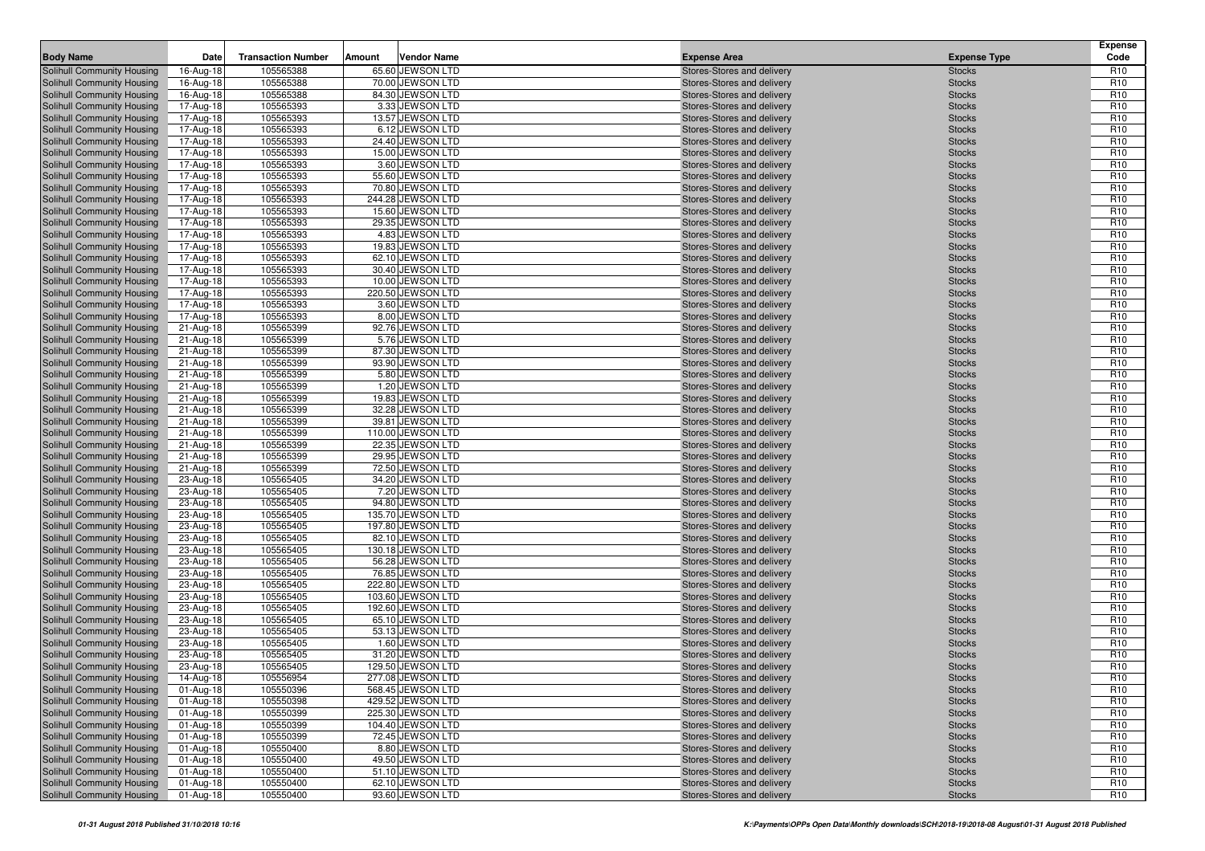| <b>Body Name</b>                                         | Date                   | <b>Transaction Number</b> | Amount | <b>Vendor Name</b>                    | <b>Expense Area</b>                                      | <b>Expense Type</b>            | <b>Expense</b><br>Code             |
|----------------------------------------------------------|------------------------|---------------------------|--------|---------------------------------------|----------------------------------------------------------|--------------------------------|------------------------------------|
| Solihull Community Housing                               | 16-Aug-18              | 105565388                 |        | 65.60 JEWSON LTD                      | Stores-Stores and delivery                               | <b>Stocks</b>                  | R <sub>10</sub>                    |
| Solihull Community Housing                               | 16-Aug-18              | 105565388                 |        | 70.00 JEWSON LTD                      | Stores-Stores and delivery                               | <b>Stocks</b>                  | R <sub>10</sub>                    |
| Solihull Community Housing                               | 16-Aug-18              | 105565388                 |        | 84.30 JEWSON LTD                      | Stores-Stores and delivery                               | <b>Stocks</b>                  | R <sub>10</sub>                    |
| Solihull Community Housing                               | 17-Aug-18              | 105565393                 |        | 3.33 JEWSON LTD                       | Stores-Stores and delivery                               | <b>Stocks</b>                  | R <sub>10</sub>                    |
| Solihull Community Housing                               | 17-Aug-18              | 105565393                 |        | 13.57 JEWSON LTD                      | Stores-Stores and delivery                               | <b>Stocks</b>                  | R <sub>10</sub>                    |
| Solihull Community Housing                               | 17-Aug-18              | 105565393                 |        | 6.12 JEWSON LTD                       | Stores-Stores and delivery                               | <b>Stocks</b>                  | R <sub>10</sub>                    |
| Solihull Community Housing                               | 17-Aug-18              | 105565393                 |        | 24.40 JEWSON LTD                      | Stores-Stores and delivery                               | <b>Stocks</b>                  | R <sub>10</sub>                    |
| Solihull Community Housing                               | 17-Aug-18              | 105565393                 |        | 15.00 JEWSON LTD                      | Stores-Stores and delivery                               | <b>Stocks</b>                  | R <sub>10</sub>                    |
| Solihull Community Housing                               | 17-Aug-18              | 105565393                 |        | 3.60 JEWSON LTD                       | Stores-Stores and delivery                               | <b>Stocks</b>                  | R <sub>10</sub>                    |
| Solihull Community Housing                               | 17-Aug-18              | 105565393                 |        | 55.60 JEWSON LTD                      | Stores-Stores and delivery                               | <b>Stocks</b>                  | R <sub>10</sub>                    |
| Solihull Community Housing                               | 17-Aug-18              | 105565393                 |        | 70.80 JEWSON LTD                      | Stores-Stores and delivery                               | <b>Stocks</b>                  | R <sub>10</sub>                    |
| Solihull Community Housing                               | 17-Aug-18              | 105565393                 |        | 244.28 JEWSON LTD                     | Stores-Stores and delivery                               | <b>Stocks</b>                  | R <sub>10</sub>                    |
| Solihull Community Housing                               | 17-Aug-18              | 105565393                 |        | 15.60 JEWSON LTD                      | Stores-Stores and delivery                               | <b>Stocks</b>                  | R <sub>10</sub>                    |
| Solihull Community Housing                               | 17-Aug-18              | 105565393                 |        | 29.35 JEWSON LTD                      | Stores-Stores and delivery                               | <b>Stocks</b>                  | R <sub>10</sub>                    |
| Solihull Community Housing                               | 17-Aug-18              | 105565393                 |        | 4.83 JEWSON LTD                       | Stores-Stores and delivery                               | <b>Stocks</b>                  | R <sub>10</sub>                    |
| Solihull Community Housing                               | 17-Aug-18              | 105565393                 |        | 19.83 JEWSON LTD                      | Stores-Stores and delivery                               | <b>Stocks</b>                  | R <sub>10</sub>                    |
| Solihull Community Housing                               | 17-Aug-18              | 105565393                 |        | 62.10 JEWSON LTD                      | Stores-Stores and delivery                               | <b>Stocks</b>                  | R <sub>10</sub>                    |
| Solihull Community Housing                               | 17-Aug-18              | 105565393                 |        | 30.40 JEWSON LTD                      | Stores-Stores and delivery                               | <b>Stocks</b>                  | R <sub>10</sub>                    |
| Solihull Community Housing                               | 17-Aug-18              | 105565393                 |        | 10.00 JEWSON LTD                      | Stores-Stores and delivery                               | <b>Stocks</b>                  | R <sub>10</sub>                    |
| Solihull Community Housing                               | 17-Aug-18              | 105565393                 |        | 220.50 JEWSON LTD                     | Stores-Stores and delivery                               | <b>Stocks</b>                  | R <sub>10</sub>                    |
| Solihull Community Housing                               | 17-Aug-18              | 105565393                 |        | 3.60 JEWSON LTD                       | Stores-Stores and delivery                               | <b>Stocks</b>                  | R <sub>10</sub>                    |
| Solihull Community Housing                               | 17-Aug-18              | 105565393                 |        | 8.00 JEWSON LTD                       | Stores-Stores and delivery                               | <b>Stocks</b>                  | R <sub>10</sub>                    |
| Solihull Community Housing                               | 21-Aug-18              | 105565399                 |        | 92.76 JEWSON LTD                      | Stores-Stores and delivery                               | <b>Stocks</b>                  | R <sub>10</sub>                    |
| Solihull Community Housing                               | 21-Aug-18              | 105565399                 |        | 5.76 JEWSON LTD                       | Stores-Stores and delivery                               | <b>Stocks</b>                  | R <sub>10</sub>                    |
| Solihull Community Housing                               | 21-Aug-18              | 105565399<br>105565399    |        | 87.30 JEWSON LTD<br>93.90 JEWSON LTD  | Stores-Stores and delivery<br>Stores-Stores and delivery | <b>Stocks</b><br><b>Stocks</b> | R <sub>10</sub><br>R <sub>10</sub> |
| Solihull Community Housing<br>Solihull Community Housing | 21-Aug-18<br>21-Aug-18 | 105565399                 |        | 5.80 JEWSON LTD                       | Stores-Stores and delivery                               | <b>Stocks</b>                  | R <sub>10</sub>                    |
| Solihull Community Housing                               | 21-Aug-18              | 105565399                 |        | 1.20 JEWSON LTD                       | Stores-Stores and delivery                               | <b>Stocks</b>                  | R <sub>10</sub>                    |
| Solihull Community Housing                               | 21-Aug-18              | 105565399                 |        | 19.83 JEWSON LTD                      | Stores-Stores and delivery                               | <b>Stocks</b>                  | R <sub>10</sub>                    |
| Solihull Community Housing                               | 21-Aug-18              | 105565399                 |        | 32.28 JEWSON LTD                      | Stores-Stores and delivery                               | <b>Stocks</b>                  | R <sub>10</sub>                    |
| Solihull Community Housing                               | 21-Aug-18              | 105565399                 |        | 39.81 JEWSON LTD                      | Stores-Stores and delivery                               | <b>Stocks</b>                  | R <sub>10</sub>                    |
| Solihull Community Housing                               | 21-Aug-18              | 105565399                 |        | 110.00 JEWSON LTD                     | Stores-Stores and delivery                               | <b>Stocks</b>                  | R <sub>10</sub>                    |
| Solihull Community Housing                               | 21-Aug-18              | 105565399                 |        | 22.35 JEWSON LTD                      | Stores-Stores and delivery                               | <b>Stocks</b>                  | R <sub>10</sub>                    |
| Solihull Community Housing                               | 21-Aug-18              | 105565399                 |        | 29.95 JEWSON LTD                      | Stores-Stores and delivery                               | <b>Stocks</b>                  | R <sub>10</sub>                    |
| <b>Solihull Community Housing</b>                        | 21-Aug-18              | 105565399                 |        | 72.50 JEWSON LTD                      | Stores-Stores and delivery                               | <b>Stocks</b>                  | R <sub>10</sub>                    |
| Solihull Community Housing                               | 23-Aug-18              | 105565405                 |        | 34.20 JEWSON LTD                      | Stores-Stores and delivery                               | <b>Stocks</b>                  | R <sub>10</sub>                    |
| Solihull Community Housing                               | 23-Aug-18              | 105565405                 |        | 7.20 JEWSON LTD                       | Stores-Stores and delivery                               | <b>Stocks</b>                  | R <sub>10</sub>                    |
| Solihull Community Housing                               | 23-Aug-18              | 105565405                 |        | 94.80 JEWSON LTD                      | Stores-Stores and delivery                               | <b>Stocks</b>                  | R <sub>10</sub>                    |
| <b>Solihull Community Housing</b>                        | 23-Aug-18              | 105565405                 |        | 135.70 JEWSON LTD                     | Stores-Stores and delivery                               | <b>Stocks</b>                  | R <sub>10</sub>                    |
| Solihull Community Housing                               | 23-Aug-18              | 105565405                 |        | 197.80 JEWSON LTD                     | Stores-Stores and delivery                               | <b>Stocks</b>                  | R <sub>10</sub>                    |
| Solihull Community Housing                               | 23-Aug-18              | 105565405                 |        | 82.10 JEWSON LTD                      | Stores-Stores and delivery                               | <b>Stocks</b>                  | R <sub>10</sub>                    |
| Solihull Community Housing                               | 23-Aug-18              | 105565405                 |        | 130.18 JEWSON LTD                     | Stores-Stores and delivery                               | <b>Stocks</b>                  | R <sub>10</sub>                    |
| Solihull Community Housing                               | 23-Aug-18              | 105565405                 |        | 56.28 JEWSON LTD                      | Stores-Stores and delivery                               | <b>Stocks</b>                  | R <sub>10</sub>                    |
| Solihull Community Housing                               | 23-Aug-18              | 105565405                 |        | 76.85 JEWSON LTD                      | Stores-Stores and delivery                               | <b>Stocks</b>                  | R <sub>10</sub>                    |
| Solihull Community Housing                               | 23-Aug-18              | 105565405                 |        | 222.80 JEWSON LTD                     | Stores-Stores and delivery                               | <b>Stocks</b>                  | R <sub>10</sub>                    |
| Solihull Community Housing                               | 23-Aug-18              | 105565405                 |        | 103.60 JEWSON LTD                     | Stores-Stores and delivery                               | <b>Stocks</b>                  | R <sub>10</sub>                    |
| Solihull Community Housing                               | 23-Aug-18              | 105565405                 |        | 192.60 JEWSON LTD                     | Stores-Stores and delivery                               | <b>Stocks</b>                  | R <sub>10</sub>                    |
| Solihull Community Housing                               | 23-Aug-18              | 105565405                 |        | 65.10 JEWSON LTD                      | Stores-Stores and delivery                               | <b>Stocks</b>                  | R <sub>10</sub>                    |
| Solihull Community Housing                               | 23-Aug-18              | 105565405                 |        | 53.13 JEWSON LTD                      | Stores-Stores and delivery                               | <b>Stocks</b>                  | R <sub>10</sub>                    |
| Solihull Community Housing                               | 23-Aug-18              | 105565405                 |        | 1.60 JEWSON LTD                       | Stores-Stores and delivery                               | <b>Stocks</b>                  | R <sub>10</sub>                    |
| Solihull Community Housing                               | 23-Aug-18              | 105565405                 |        | 31.20 JEWSON LTD                      | Stores-Stores and delivery                               | <b>Stocks</b>                  | R <sub>10</sub>                    |
| Solihull Community Housing                               | 23-Aug-18              | 105565405                 |        | 129.50 JEWSON LTD                     | Stores-Stores and delivery                               | <b>Stocks</b>                  | R <sub>10</sub>                    |
| Solihull Community Housing                               | $14-Aug-18$            | 105556954                 |        | 277.08 JEWSON LTD                     | Stores-Stores and delivery                               | <b>Stocks</b>                  | R <sub>10</sub>                    |
| Solihull Community Housing                               | 01-Aug-18              | 105550396                 |        | 568.45 JEWSON LTD                     | Stores-Stores and delivery                               | <b>Stocks</b>                  | R <sub>10</sub>                    |
| Solihull Community Housing                               | 01-Aug-18              | 105550398                 |        | 429.52 JEWSON LTD                     | Stores-Stores and delivery                               | <b>Stocks</b>                  | R <sub>10</sub>                    |
| Solihull Community Housing                               | 01-Aug-18              | 105550399                 |        | 225.30 JEWSON LTD                     | Stores-Stores and delivery                               | <b>Stocks</b>                  | R <sub>10</sub>                    |
| Solihull Community Housing<br>Solihull Community Housing | 01-Aug-18              | 105550399<br>105550399    |        | 104.40 JEWSON LTD<br>72.45 JEWSON LTD | Stores-Stores and delivery<br>Stores-Stores and delivery | <b>Stocks</b>                  | R <sub>10</sub><br>R <sub>10</sub> |
| Solihull Community Housing                               | 01-Aug-18              | 105550400                 |        | 8.80 JEWSON LTD                       | Stores-Stores and delivery                               | <b>Stocks</b>                  | R <sub>10</sub>                    |
| <b>Solihull Community Housing</b>                        | 01-Aug-18<br>01-Aug-18 | 105550400                 |        | 49.50 JEWSON LTD                      | Stores-Stores and delivery                               | <b>Stocks</b><br><b>Stocks</b> | R <sub>10</sub>                    |
| Solihull Community Housing                               | 01-Aug-18              | 105550400                 |        | 51.10 JEWSON LTD                      | Stores-Stores and delivery                               | <b>Stocks</b>                  | R <sub>10</sub>                    |
| Solihull Community Housing                               | 01-Aug-18              | 105550400                 |        | 62.10 JEWSON LTD                      | Stores-Stores and delivery                               | <b>Stocks</b>                  | R <sub>10</sub>                    |
| Solihull Community Housing                               | 01-Aug-18              | 105550400                 |        | 93.60 JEWSON LTD                      | Stores-Stores and delivery                               | <b>Stocks</b>                  | R <sub>10</sub>                    |
|                                                          |                        |                           |        |                                       |                                                          |                                |                                    |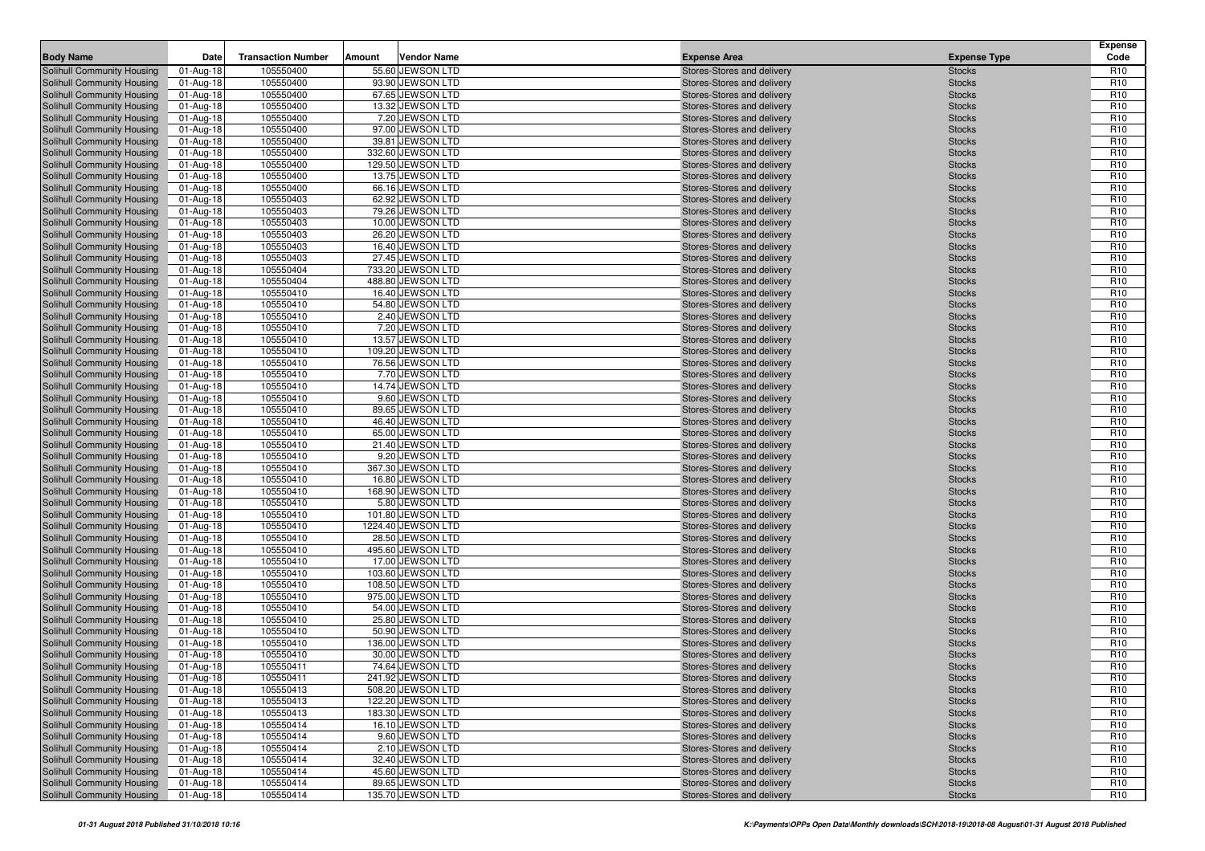| <b>Body Name</b>                                         | Date                   | <b>Transaction Number</b> | Amount | <b>Vendor Name</b>                  | <b>Expense Area</b>                                      | <b>Expense Type</b>            | <b>Expense</b><br>Code             |
|----------------------------------------------------------|------------------------|---------------------------|--------|-------------------------------------|----------------------------------------------------------|--------------------------------|------------------------------------|
| Solihull Community Housing                               | 01-Aug-18              | 105550400                 |        | 55.60 JEWSON LTD                    | Stores-Stores and delivery                               | <b>Stocks</b>                  | R <sub>10</sub>                    |
| Solihull Community Housing                               | 01-Aug-18              | 105550400                 |        | 93.90 JEWSON LTD                    | Stores-Stores and delivery                               | <b>Stocks</b>                  | R <sub>10</sub>                    |
| Solihull Community Housing                               | 01-Aug-18              | 105550400                 |        | 67.65 JEWSON LTD                    | Stores-Stores and delivery                               | <b>Stocks</b>                  | R <sub>10</sub>                    |
| Solihull Community Housing                               | 01-Aug-18              | 105550400                 |        | 13.32 JEWSON LTD                    | Stores-Stores and delivery                               | <b>Stocks</b>                  | R <sub>10</sub>                    |
| Solihull Community Housing                               | 01-Aug-18              | 105550400                 |        | 7.20 JEWSON LTD                     | Stores-Stores and delivery                               | <b>Stocks</b>                  | R <sub>10</sub>                    |
| Solihull Community Housing                               | 01-Aug-18              | 105550400                 |        | 97.00 JEWSON LTD                    | Stores-Stores and delivery                               | <b>Stocks</b>                  | R <sub>10</sub>                    |
| Solihull Community Housing                               | 01-Aug-18              | 105550400                 |        | 39.81 JEWSON LTD                    | Stores-Stores and delivery                               | <b>Stocks</b>                  | R <sub>10</sub>                    |
| Solihull Community Housing                               | 01-Aug-18              | 105550400                 |        | 332.60 JEWSON LTD                   | Stores-Stores and delivery                               | <b>Stocks</b>                  | R <sub>10</sub>                    |
| Solihull Community Housing                               | 01-Aug-18              | 105550400                 |        | 129.50 JEWSON LTD                   | Stores-Stores and delivery                               | <b>Stocks</b>                  | R <sub>10</sub>                    |
| Solihull Community Housing                               | 01-Aug-18              | 105550400                 |        | 13.75 JEWSON LTD                    | Stores-Stores and delivery                               | <b>Stocks</b>                  | R <sub>10</sub>                    |
| Solihull Community Housing                               | 01-Aug-18              | 105550400                 |        | 66.16 JEWSON LTD                    | Stores-Stores and delivery                               | <b>Stocks</b>                  | R <sub>10</sub>                    |
| Solihull Community Housing                               | 01-Aug-18              | 105550403                 |        | 62.92 JEWSON LTD                    | Stores-Stores and delivery                               | <b>Stocks</b>                  | R <sub>10</sub>                    |
| Solihull Community Housing                               | 01-Aug-18              | 105550403                 |        | 79.26 JEWSON LTD                    | Stores-Stores and delivery                               | <b>Stocks</b>                  | R <sub>10</sub>                    |
| Solihull Community Housing                               | 01-Aug-18              | 105550403                 |        | 10.00 JEWSON LTD                    | Stores-Stores and delivery                               | <b>Stocks</b>                  | R <sub>10</sub>                    |
| Solihull Community Housing                               | 01-Aug-18              | 105550403                 |        | 26.20 JEWSON LTD                    | Stores-Stores and delivery                               | <b>Stocks</b>                  | R <sub>10</sub>                    |
| Solihull Community Housing                               | 01-Aug-18              | 105550403                 |        | 16.40 JEWSON LTD                    | Stores-Stores and delivery                               | <b>Stocks</b>                  | R <sub>10</sub>                    |
| Solihull Community Housing                               | 01-Aug-18              | 105550403                 |        | 27.45 JEWSON LTD                    | Stores-Stores and delivery                               | <b>Stocks</b>                  | R <sub>10</sub>                    |
| Solihull Community Housing                               | 01-Aug-18              | 105550404                 |        | 733.20 JEWSON LTD                   | Stores-Stores and delivery                               | <b>Stocks</b>                  | R <sub>10</sub>                    |
| Solihull Community Housing                               | 01-Aug-18              | 105550404                 |        | 488.80 JEWSON LTD                   | Stores-Stores and delivery                               | <b>Stocks</b>                  | R <sub>10</sub>                    |
| Solihull Community Housing                               | 01-Aug-18              | 105550410                 |        | 16.40 JEWSON LTD                    | Stores-Stores and delivery                               | <b>Stocks</b>                  | R <sub>10</sub>                    |
| Solihull Community Housing                               | 01-Aug-18              | 105550410                 |        | 54.80 JEWSON LTD                    | Stores-Stores and delivery                               | <b>Stocks</b>                  | R <sub>10</sub>                    |
| Solihull Community Housing                               | 01-Aug-18              | 105550410                 |        | 2.40 JEWSON LTD                     | Stores-Stores and delivery                               | <b>Stocks</b>                  | R <sub>10</sub>                    |
| Solihull Community Housing                               | 01-Aug-18              | 105550410                 |        | 7.20 JEWSON LTD                     | Stores-Stores and delivery                               | <b>Stocks</b>                  | R <sub>10</sub>                    |
| Solihull Community Housing                               | 01-Aug-18              | 105550410                 |        | 13.57 JEWSON LTD                    | Stores-Stores and delivery                               | <b>Stocks</b>                  | R <sub>10</sub>                    |
| Solihull Community Housing                               | 01-Aug-18              | 105550410                 |        | 109.20 JEWSON LTD                   | Stores-Stores and delivery                               | <b>Stocks</b>                  | R <sub>10</sub>                    |
| Solihull Community Housing<br>Solihull Community Housing | 01-Aug-18              | 105550410                 |        | 76.56 JEWSON LTD                    | Stores-Stores and delivery<br>Stores-Stores and delivery | <b>Stocks</b>                  | R <sub>10</sub><br>R <sub>10</sub> |
|                                                          | 01-Aug-18              | 105550410<br>105550410    |        | 7.70 JEWSON LTD<br>14.74 JEWSON LTD | Stores-Stores and delivery                               | <b>Stocks</b>                  | R <sub>10</sub>                    |
| Solihull Community Housing<br>Solihull Community Housing | 01-Aug-18<br>01-Aug-18 | 105550410                 |        | 9.60 JEWSON LTD                     | Stores-Stores and delivery                               | <b>Stocks</b><br><b>Stocks</b> | R <sub>10</sub>                    |
| Solihull Community Housing                               | 01-Aug-18              | 105550410                 |        | 89.65 JEWSON LTD                    | Stores-Stores and delivery                               | <b>Stocks</b>                  | R <sub>10</sub>                    |
| Solihull Community Housing                               | 01-Aug-18              | 105550410                 |        | 46.40 JEWSON LTD                    | Stores-Stores and delivery                               | <b>Stocks</b>                  | R <sub>10</sub>                    |
| Solihull Community Housing                               | 01-Aug-18              | 105550410                 |        | 65.00 JEWSON LTD                    | Stores-Stores and delivery                               | <b>Stocks</b>                  | R <sub>10</sub>                    |
| Solihull Community Housing                               | 01-Aug-18              | 105550410                 |        | 21.40 JEWSON LTD                    | Stores-Stores and delivery                               | <b>Stocks</b>                  | R <sub>10</sub>                    |
| Solihull Community Housing                               | 01-Aug-18              | 105550410                 |        | 9.20 JEWSON LTD                     | Stores-Stores and delivery                               | <b>Stocks</b>                  | R <sub>10</sub>                    |
| Solihull Community Housing                               | 01-Aug-18              | 105550410                 |        | 367.30 JEWSON LTD                   | Stores-Stores and delivery                               | <b>Stocks</b>                  | R <sub>10</sub>                    |
| Solihull Community Housing                               | 01-Aug-18              | 105550410                 |        | 16.80 JEWSON LTD                    | Stores-Stores and delivery                               | <b>Stocks</b>                  | R <sub>10</sub>                    |
| Solihull Community Housing                               | 01-Aug-18              | 105550410                 |        | 168.90 JEWSON LTD                   | Stores-Stores and delivery                               | <b>Stocks</b>                  | R <sub>10</sub>                    |
| Solihull Community Housing                               | 01-Aug-18              | 105550410                 |        | 5.80 JEWSON LTD                     | Stores-Stores and delivery                               | <b>Stocks</b>                  | R <sub>10</sub>                    |
| Solihull Community Housing                               | 01-Aug-18              | 105550410                 |        | 101.80 JEWSON LTD                   | Stores-Stores and delivery                               | <b>Stocks</b>                  | R <sub>10</sub>                    |
| Solihull Community Housing                               | 01-Aug-18              | 105550410                 |        | 1224.40 JEWSON LTD                  | Stores-Stores and delivery                               | <b>Stocks</b>                  | R <sub>10</sub>                    |
| Solihull Community Housing                               | 01-Aug-18              | 105550410                 |        | 28.50 JEWSON LTD                    | Stores-Stores and delivery                               | <b>Stocks</b>                  | R <sub>10</sub>                    |
| Solihull Community Housing                               | 01-Aug-18              | 105550410                 |        | 495.60 JEWSON LTD                   | Stores-Stores and delivery                               | <b>Stocks</b>                  | R <sub>10</sub>                    |
| Solihull Community Housing                               | 01-Aug-18              | 105550410                 |        | 17.00 JEWSON LTD                    | Stores-Stores and delivery                               | <b>Stocks</b>                  | R <sub>10</sub>                    |
| Solihull Community Housing                               | 01-Aug-18              | 105550410                 |        | 103.60 JEWSON LTD                   | Stores-Stores and delivery                               | <b>Stocks</b>                  | R <sub>10</sub>                    |
| Solihull Community Housing                               | 01-Aug-18              | 105550410                 |        | 108.50 JEWSON LTD                   | Stores-Stores and delivery                               | <b>Stocks</b>                  | R <sub>10</sub>                    |
| Solihull Community Housing                               | 01-Aug-18              | 105550410                 |        | 975.00 JEWSON LTD                   | Stores-Stores and delivery                               | <b>Stocks</b>                  | R <sub>10</sub>                    |
| Solihull Community Housing                               | 01-Aug-18              | 105550410                 |        | 54.00 JEWSON LTD                    | Stores-Stores and delivery                               | <b>Stocks</b>                  | R <sub>10</sub>                    |
| Solihull Community Housing                               | 01-Aug-18              | 105550410                 |        | 25.80 JEWSON LTD                    | Stores-Stores and delivery                               | <b>Stocks</b>                  | R <sub>10</sub>                    |
| Solihull Community Housing                               | 01-Aug-18              | 105550410                 |        | 50.90 JEWSON LTD                    | Stores-Stores and delivery                               | <b>Stocks</b>                  | R <sub>10</sub>                    |
| Solihull Community Housing                               | 01-Aug-18              | 105550410                 |        | 136.00 JEWSON LTD                   | Stores-Stores and delivery                               | <b>Stocks</b>                  | R <sub>10</sub>                    |
| Solihull Community Housing                               | 01-Aug-18              | 105550410                 |        | 30.00 JEWSON LTD                    | Stores-Stores and delivery                               | <b>Stocks</b>                  | R <sub>10</sub>                    |
| <b>Solihull Community Housing</b>                        | 01-Aug-18              | 105550411                 |        | 74.64 JEWSON LTD                    | Stores-Stores and delivery                               | <b>Stocks</b>                  | R <sub>10</sub>                    |
| Solihull Community Housing                               | $01-Aug-18$            | 105550411                 |        | 241.92 JEWSON LTD                   | Stores-Stores and delivery                               | <b>Stocks</b>                  | R <sub>10</sub>                    |
| Solihull Community Housing                               | 01-Aug-18              | 105550413                 |        | 508.20 JEWSON LTD                   | Stores-Stores and delivery                               | <b>Stocks</b>                  | R <sub>10</sub>                    |
| Solihull Community Housing                               | 01-Aug-18              | 105550413                 |        | 122.20 JEWSON LTD                   | Stores-Stores and delivery                               | <b>Stocks</b>                  | R <sub>10</sub>                    |
| Solihull Community Housing                               | 01-Aug-18              | 105550413                 |        | 183.30 JEWSON LTD                   | Stores-Stores and delivery                               | <b>Stocks</b>                  | R <sub>10</sub>                    |
| Solihull Community Housing                               | 01-Aug-18              | 105550414                 |        | 16.10 JEWSON LTD                    | Stores-Stores and delivery                               | <b>Stocks</b>                  | R <sub>10</sub>                    |
| Solihull Community Housing                               | 01-Aug-18              | 105550414                 |        | 9.60 JEWSON LTD                     | Stores-Stores and delivery                               | <b>Stocks</b>                  | R <sub>10</sub>                    |
| Solihull Community Housing                               | 01-Aug-18              | 105550414                 |        | 2.10 JEWSON LTD                     | Stores-Stores and delivery                               | <b>Stocks</b>                  | R <sub>10</sub>                    |
| Solihull Community Housing<br>Solihull Community Housing | 01-Aug-18              | 105550414                 |        | 32.40 JEWSON LTD                    | Stores-Stores and delivery                               | <b>Stocks</b>                  | R <sub>10</sub>                    |
|                                                          | 01-Aug-18              | 105550414                 |        | 45.60 JEWSON LTD                    | Stores-Stores and delivery                               | <b>Stocks</b>                  | R <sub>10</sub>                    |
| Solihull Community Housing                               | 01-Aug-18              | 105550414                 |        | 89.65 JEWSON LTD                    | Stores-Stores and delivery                               | <b>Stocks</b>                  | R <sub>10</sub>                    |
| Solihull Community Housing                               | 01-Aug-18              | 105550414                 |        | 135.70 JEWSON LTD                   | Stores-Stores and delivery                               | <b>Stocks</b>                  | R <sub>10</sub>                    |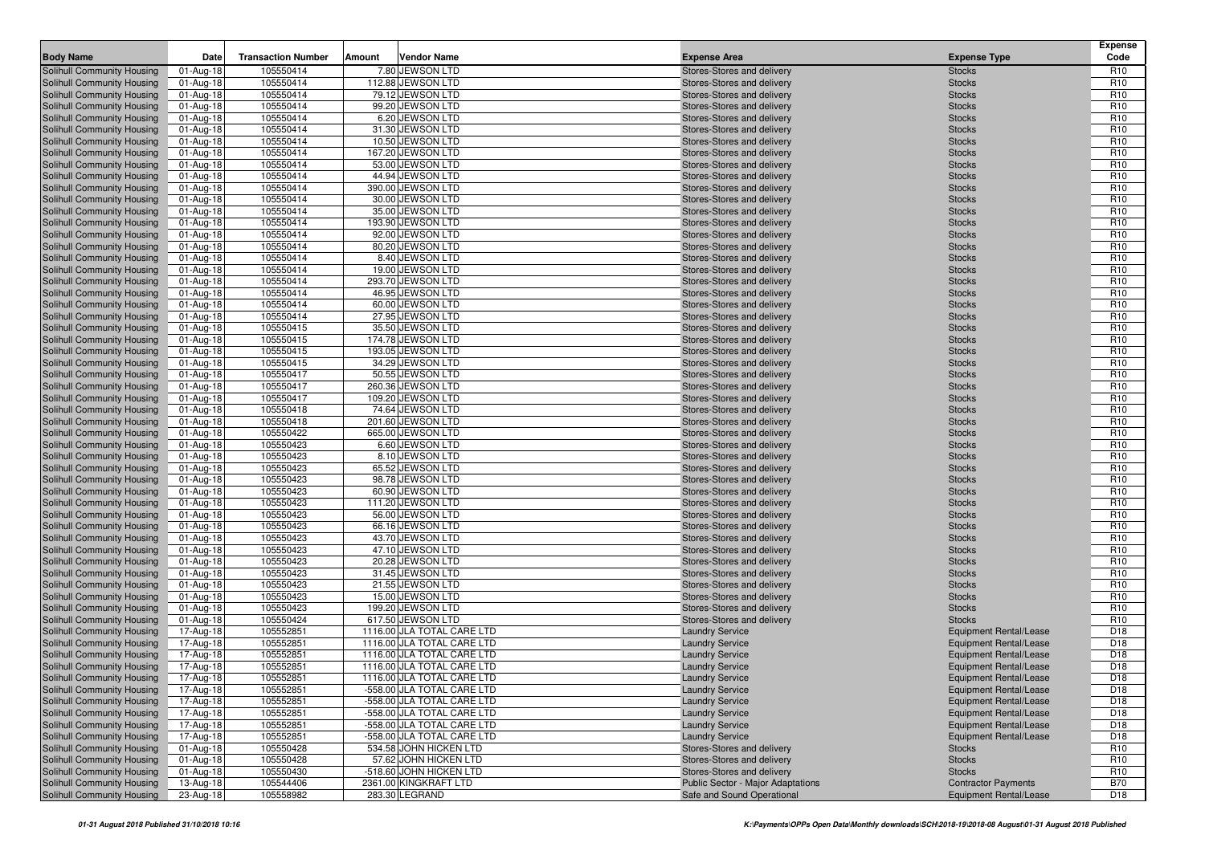|                                                          |                        |                           |        |                                                  |                                                                        |                                             | <b>Expense</b>                     |
|----------------------------------------------------------|------------------------|---------------------------|--------|--------------------------------------------------|------------------------------------------------------------------------|---------------------------------------------|------------------------------------|
| <b>Body Name</b>                                         | Date                   | <b>Transaction Number</b> | Amount | <b>Vendor Name</b>                               | <b>Expense Area</b>                                                    | <b>Expense Type</b>                         | Code                               |
| Solihull Community Housing                               | 01-Aug-18              | 105550414                 |        | 7.80 JEWSON LTD                                  | Stores-Stores and delivery                                             | <b>Stocks</b>                               | R <sub>10</sub>                    |
| Solihull Community Housing                               | 01-Aug-18              | 105550414                 |        | 112.88 JEWSON LTD                                | Stores-Stores and delivery                                             | <b>Stocks</b>                               | R <sub>10</sub>                    |
| Solihull Community Housing                               | 01-Aug-18              | 105550414                 |        | 79.12 JEWSON LTD                                 | Stores-Stores and delivery                                             | <b>Stocks</b>                               | R <sub>10</sub>                    |
| Solihull Community Housing                               | 01-Aug-18              | 105550414<br>105550414    |        | 99.20 JEWSON LTD<br>6.20 JEWSON LTD              | Stores-Stores and delivery                                             | <b>Stocks</b>                               | R <sub>10</sub><br>R <sub>10</sub> |
| Solihull Community Housing<br>Solihull Community Housing | 01-Aug-18              | 105550414                 |        | 31.30 JEWSON LTD                                 | Stores-Stores and delivery<br>Stores-Stores and delivery               | <b>Stocks</b><br><b>Stocks</b>              | R <sub>10</sub>                    |
| Solihull Community Housing                               | 01-Aug-18<br>01-Aug-18 | 105550414                 |        | 10.50 JEWSON LTD                                 | Stores-Stores and delivery                                             | <b>Stocks</b>                               | R <sub>10</sub>                    |
| Solihull Community Housing                               | 01-Aug-18              | 105550414                 |        | 167.20 JEWSON LTD                                | Stores-Stores and delivery                                             | <b>Stocks</b>                               | R <sub>10</sub>                    |
| Solihull Community Housing                               | 01-Aug-18              | 105550414                 |        | 53.00 JEWSON LTD                                 | Stores-Stores and delivery                                             | <b>Stocks</b>                               | R <sub>10</sub>                    |
| Solihull Community Housing                               | 01-Aug-18              | 105550414                 |        | 44.94 JEWSON LTD                                 | Stores-Stores and delivery                                             | <b>Stocks</b>                               | R <sub>10</sub>                    |
| Solihull Community Housing                               | 01-Aug-18              | 105550414                 |        | 390.00 JEWSON LTD                                | Stores-Stores and delivery                                             | <b>Stocks</b>                               | R <sub>10</sub>                    |
| Solihull Community Housing                               | 01-Aug-18              | 105550414                 |        | 30.00 JEWSON LTD                                 | Stores-Stores and delivery                                             | <b>Stocks</b>                               | R <sub>10</sub>                    |
| Solihull Community Housing                               | 01-Aug-18              | 105550414                 |        | 35.00 JEWSON LTD                                 | Stores-Stores and delivery                                             | <b>Stocks</b>                               | R <sub>10</sub>                    |
| Solihull Community Housing                               | 01-Aug-18              | 105550414                 |        | 193.90 JEWSON LTD                                | Stores-Stores and delivery                                             | <b>Stocks</b>                               | R <sub>10</sub>                    |
| Solihull Community Housing                               | 01-Aug-18              | 105550414                 |        | 92.00 JEWSON LTD                                 | Stores-Stores and delivery                                             | <b>Stocks</b>                               | R <sub>10</sub>                    |
| Solihull Community Housing                               | 01-Aug-18              | 105550414                 |        | 80.20 JEWSON LTD                                 | Stores-Stores and delivery                                             | <b>Stocks</b>                               | R <sub>10</sub>                    |
| Solihull Community Housing                               | 01-Aug-18              | 105550414                 |        | 8.40 JEWSON LTD                                  | Stores-Stores and delivery                                             | <b>Stocks</b>                               | R <sub>10</sub>                    |
| Solihull Community Housing                               | 01-Aug-18              | 105550414                 |        | 19.00 JEWSON LTD                                 | Stores-Stores and delivery                                             | <b>Stocks</b>                               | R <sub>10</sub>                    |
| Solihull Community Housing                               | 01-Aug-18              | 105550414                 |        | 293.70 JEWSON LTD                                | Stores-Stores and delivery                                             | <b>Stocks</b>                               | R <sub>10</sub>                    |
| Solihull Community Housing                               | 01-Aug-18              | 105550414                 |        | 46.95 JEWSON LTD                                 | Stores-Stores and delivery                                             | <b>Stocks</b>                               | R <sub>10</sub>                    |
| Solihull Community Housing                               | 01-Aug-18              | 105550414                 |        | 60.00 JEWSON LTD                                 | Stores-Stores and delivery                                             | <b>Stocks</b>                               | R <sub>10</sub>                    |
| Solihull Community Housing                               | 01-Aug-18              | 105550414                 |        | 27.95 JEWSON LTD                                 | Stores-Stores and delivery                                             | <b>Stocks</b>                               | R <sub>10</sub>                    |
| Solihull Community Housing                               | 01-Aug-18              | 105550415                 |        | 35.50 JEWSON LTD                                 | Stores-Stores and delivery                                             | <b>Stocks</b>                               | R <sub>10</sub>                    |
| Solihull Community Housing                               | 01-Aug-18              | 105550415                 |        | 174.78 JEWSON LTD                                | Stores-Stores and delivery                                             | <b>Stocks</b>                               | R <sub>10</sub>                    |
| Solihull Community Housing<br>Solihull Community Housing | 01-Aug-18<br>01-Aug-18 | 105550415<br>105550415    |        | 193.05 JEWSON LTD<br>34.29 JEWSON LTD            | Stores-Stores and delivery<br>Stores-Stores and delivery               | <b>Stocks</b><br><b>Stocks</b>              | R <sub>10</sub><br>R <sub>10</sub> |
| Solihull Community Housing                               | 01-Aug-18              | 105550417                 |        | 50.55 JEWSON LTD                                 | Stores-Stores and delivery                                             | <b>Stocks</b>                               | R <sub>10</sub>                    |
| Solihull Community Housing                               | 01-Aug-18              | 105550417                 |        | 260.36 JEWSON LTD                                | Stores-Stores and delivery                                             | <b>Stocks</b>                               | R <sub>10</sub>                    |
| Solihull Community Housing                               | 01-Aug-18              | 105550417                 |        | 109.20 JEWSON LTD                                | Stores-Stores and delivery                                             | <b>Stocks</b>                               | R <sub>10</sub>                    |
| Solihull Community Housing                               | 01-Aug-18              | 105550418                 |        | 74.64 JEWSON LTD                                 | Stores-Stores and delivery                                             | <b>Stocks</b>                               | R <sub>10</sub>                    |
| Solihull Community Housing                               | 01-Aug-18              | 105550418                 |        | 201.60 JEWSON LTD                                | Stores-Stores and delivery                                             | <b>Stocks</b>                               | R <sub>10</sub>                    |
| Solihull Community Housing                               | 01-Aug-18              | 105550422                 |        | 665.00 JEWSON LTD                                | Stores-Stores and delivery                                             | <b>Stocks</b>                               | R <sub>10</sub>                    |
| Solihull Community Housing                               | 01-Aug-18              | 105550423                 |        | 6.60 JEWSON LTD                                  | Stores-Stores and delivery                                             | <b>Stocks</b>                               | R <sub>10</sub>                    |
| Solihull Community Housing                               | 01-Aug-18              | 105550423                 |        | 8.10 JEWSON LTD                                  | Stores-Stores and delivery                                             | <b>Stocks</b>                               | R <sub>10</sub>                    |
| Solihull Community Housing                               | 01-Aug-18              | 105550423                 |        | 65.52 JEWSON LTD                                 | Stores-Stores and delivery                                             | <b>Stocks</b>                               | R <sub>10</sub>                    |
| Solihull Community Housing                               | 01-Aug-18              | 105550423                 |        | 98.78 JEWSON LTD                                 | Stores-Stores and delivery                                             | <b>Stocks</b>                               | R <sub>10</sub>                    |
| Solihull Community Housing                               | 01-Aug-18              | 105550423                 |        | 60.90 JEWSON LTD                                 | Stores-Stores and delivery                                             | <b>Stocks</b>                               | R <sub>10</sub>                    |
| Solihull Community Housing                               | 01-Aug-18              | 105550423                 |        | 111.20 JEWSON LTD                                | Stores-Stores and delivery                                             | <b>Stocks</b>                               | R <sub>10</sub>                    |
| Solihull Community Housing                               | 01-Aug-18              | 105550423                 |        | 56.00 JEWSON LTD                                 | Stores-Stores and delivery                                             | <b>Stocks</b>                               | R <sub>10</sub>                    |
| Solihull Community Housing                               | 01-Aug-18              | 105550423                 |        | 66.16 JEWSON LTD                                 | Stores-Stores and delivery                                             | <b>Stocks</b>                               | R <sub>10</sub>                    |
| Solihull Community Housing                               | 01-Aug-18              | 105550423                 |        | 43.70 JEWSON LTD                                 | Stores-Stores and delivery                                             | <b>Stocks</b>                               | R <sub>10</sub><br>R <sub>10</sub> |
| Solihull Community Housing<br>Solihull Community Housing | 01-Aug-18<br>01-Aug-18 | 105550423<br>105550423    |        | 47.10 JEWSON LTD<br>20.28 JEWSON LTD             | Stores-Stores and delivery<br>Stores-Stores and delivery               | <b>Stocks</b><br><b>Stocks</b>              | R <sub>10</sub>                    |
| Solihull Community Housing                               | 01-Aug-18              | 105550423                 |        | 31.45 JEWSON LTD                                 | Stores-Stores and delivery                                             | <b>Stocks</b>                               | R <sub>10</sub>                    |
| Solihull Community Housing                               | 01-Aug-18              | 105550423                 |        | 21.55 JEWSON LTD                                 | Stores-Stores and delivery                                             | <b>Stocks</b>                               | R <sub>10</sub>                    |
| Solihull Community Housing                               | 01-Aug-18              | 105550423                 |        | 15.00 JEWSON LTD                                 | Stores-Stores and delivery                                             | <b>Stocks</b>                               | R <sub>10</sub>                    |
| Solihull Community Housing                               | 01-Aug-18              | 105550423                 |        | 199.20 JEWSON LTD                                | Stores-Stores and delivery                                             | <b>Stocks</b>                               | R <sub>10</sub>                    |
| Solihull Community Housing                               | 01-Aug-18              | 105550424                 |        | 617.50 JEWSON LTD                                | Stores-Stores and delivery                                             | <b>Stocks</b>                               | R <sub>10</sub>                    |
| Solihull Community Housing                               | 17-Aug-18              | 105552851                 |        | 1116.00 JLA TOTAL CARE LTD                       | <b>Laundry Service</b>                                                 | <b>Equipment Rental/Lease</b>               | D <sub>18</sub>                    |
| <b>Solihull Community Housing</b>                        | 17-Aug-18              | 105552851                 |        | 1116.00 JLA TOTAL CARE LTD                       | <b>Laundry Service</b>                                                 | <b>Equipment Rental/Lease</b>               | D <sub>18</sub>                    |
| Solihull Community Housing                               | 17-Aug-18              | 105552851                 |        | 1116.00 JLA TOTAL CARE LTD                       | <b>Laundry Service</b>                                                 | <b>Equipment Rental/Lease</b>               | D <sub>18</sub>                    |
| Solihull Community Housing                               | 17-Aug-18              | 105552851                 |        | 1116.00 JLA TOTAL CARE LTD                       | <b>Laundry Service</b>                                                 | <b>Equipment Rental/Lease</b>               | D <sub>18</sub>                    |
| Solihull Community Housing                               | 17-Aug-18              | 105552851                 |        | 1116.00 JLA TOTAL CARE LTD                       | <b>Laundry Service</b>                                                 | <b>Equipment Rental/Lease</b>               | D <sub>18</sub>                    |
| Solihull Community Housing                               | 17-Aug-18              | 105552851                 |        | -558.00 JLA TOTAL CARE LTD                       | <b>Laundry Service</b>                                                 | <b>Equipment Rental/Lease</b>               | D <sub>18</sub>                    |
| Solihull Community Housing                               | 17-Aug-18              | 105552851                 |        | -558.00 JLA TOTAL CARE LTD                       | <b>Laundry Service</b>                                                 | <b>Equipment Rental/Lease</b>               | D <sub>18</sub>                    |
| Solihull Community Housing                               | 17-Aug-18              | 105552851                 |        | -558.00 JLA TOTAL CARE LTD                       | <b>Laundry Service</b>                                                 | <b>Equipment Rental/Lease</b>               | D <sub>18</sub>                    |
| Solihull Community Housing                               | 17-Aug-18              | 105552851                 |        | -558.00 JLA TOTAL CARE LTD                       | <b>Laundry Service</b>                                                 | <b>Equipment Rental/Lease</b>               | D18                                |
| Solihull Community Housing                               | 17-Aug-18              | 105552851                 |        | -558.00 JLA TOTAL CARE LTD                       | <b>Laundry Service</b>                                                 | <b>Equipment Rental/Lease</b>               | D <sub>18</sub>                    |
| Solihull Community Housing                               | 01-Aug-18              | 105550428                 |        | 534.58 JOHN HICKEN LTD                           | Stores-Stores and delivery                                             | <b>Stocks</b>                               | R <sub>10</sub>                    |
| Solihull Community Housing<br>Solihull Community Housing | 01-Aug-18              | 105550428                 |        | 57.62 JOHN HICKEN LTD                            | Stores-Stores and delivery                                             | <b>Stocks</b>                               | R <sub>10</sub>                    |
| Solihull Community Housing                               | 01-Aug-18              | 105550430<br>105544406    |        | -518.60 JOHN HICKEN LTD<br>2361.00 KINGKRAFT LTD | Stores-Stores and delivery<br><b>Public Sector - Major Adaptations</b> | <b>Stocks</b><br><b>Contractor Payments</b> | R <sub>10</sub><br><b>B70</b>      |
| Solihull Community Housing                               | 13-Aug-18<br>23-Aug-18 | 105558982                 |        | 283.30 LEGRAND                                   | Safe and Sound Operational                                             | <b>Equipment Rental/Lease</b>               | D18                                |
|                                                          |                        |                           |        |                                                  |                                                                        |                                             |                                    |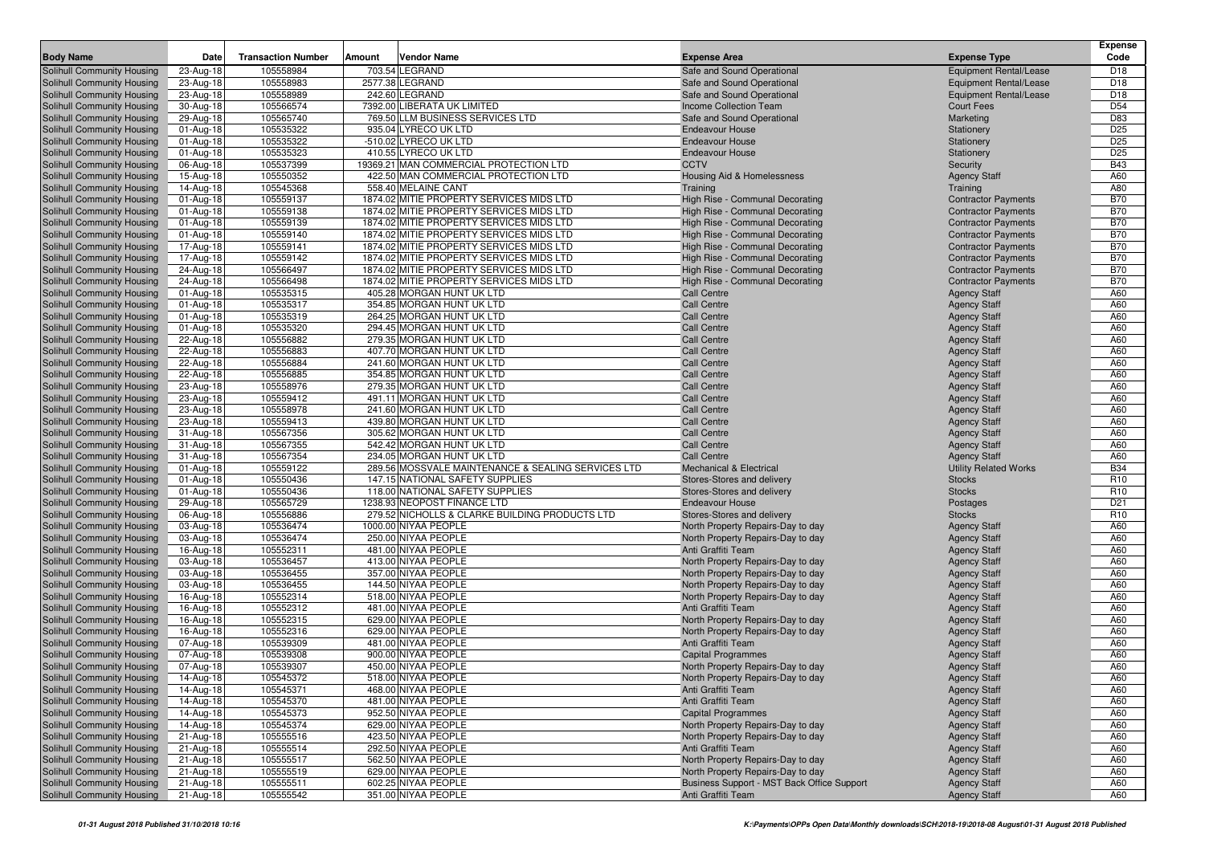|                                                          |                         |                           |        |                                                                                      |                                                                        |                                                          | <b>Expense</b>           |
|----------------------------------------------------------|-------------------------|---------------------------|--------|--------------------------------------------------------------------------------------|------------------------------------------------------------------------|----------------------------------------------------------|--------------------------|
| <b>Body Name</b>                                         | Date                    | <b>Transaction Number</b> | Amount | <b>Vendor Name</b>                                                                   | <b>Expense Area</b>                                                    | <b>Expense Type</b>                                      | Code                     |
| Solihull Community Housing                               | 23-Aug-18               | 105558984                 |        | 703.54 LEGRAND                                                                       | Safe and Sound Operational                                             | <b>Equipment Rental/Lease</b>                            | D <sub>18</sub>          |
| Solihull Community Housing                               | 23-Aug-18               | 105558983                 |        | 2577.38 LEGRAND                                                                      | Safe and Sound Operational                                             | <b>Equipment Rental/Lease</b>                            | D <sub>18</sub>          |
| Solihull Community Housing                               | 23-Aug-18               | 105558989                 |        | 242.60 LEGRAND                                                                       | Safe and Sound Operational                                             | <b>Equipment Rental/Lease</b>                            | D <sub>18</sub>          |
| Solihull Community Housing                               | 30-Aug-18               | 105566574                 |        | 7392.00 LIBERATA UK LIMITED                                                          | Income Collection Team                                                 | <b>Court Fees</b>                                        | D <sub>54</sub>          |
| Solihull Community Housing                               | 29-Aug-18               | 105565740                 |        | 769.50 LLM BUSINESS SERVICES LTD                                                     | Safe and Sound Operational                                             | Marketing                                                | D83                      |
| Solihull Community Housing                               | 01-Aug-18               | 105535322                 |        | 935.04 LYRECO UK LTD                                                                 | <b>Endeavour House</b>                                                 | Stationery                                               | D <sub>25</sub>          |
| Solihull Community Housing                               | 01-Aug-18               | 105535322                 |        | -510.02 LYRECO UK LTD                                                                | <b>Endeavour House</b>                                                 | Stationery                                               | D <sub>25</sub>          |
| Solihull Community Housing                               | 01-Aug-18               | 105535323                 |        | 410.55 LYRECO UK LTD                                                                 | <b>Endeavour House</b>                                                 | Stationery                                               | D <sub>25</sub>          |
| Solihull Community Housing                               | 06-Aug-18               | 105537399                 |        | 19369.21 MAN COMMERCIAL PROTECTION LTD                                               | <b>CCTV</b>                                                            | Security                                                 | <b>B43</b>               |
| Solihull Community Housing                               | 15-Aug-18               | 105550352                 |        | 422.50 MAN COMMERCIAL PROTECTION LTD                                                 | Housing Aid & Homelessness                                             | <b>Agency Staff</b>                                      | A60                      |
| Solihull Community Housing                               | 14-Aug-18               | 105545368                 |        | 558.40 MELAINE CANT                                                                  | Training                                                               | Training                                                 | A80                      |
| Solihull Community Housing                               | 01-Aug-18               | 105559137                 |        | 1874.02 MITIE PROPERTY SERVICES MIDS LTD                                             | High Rise - Communal Decorating                                        | <b>Contractor Payments</b>                               | <b>B70</b>               |
| Solihull Community Housing                               | 01-Aug-18               | 105559138                 |        | 1874.02 MITIE PROPERTY SERVICES MIDS LTD                                             | High Rise - Communal Decorating                                        | <b>Contractor Payments</b>                               | <b>B70</b>               |
| Solihull Community Housing                               | 01-Aug-18               | 105559139                 |        | 1874.02 MITIE PROPERTY SERVICES MIDS LTD                                             | High Rise - Communal Decorating                                        | <b>Contractor Payments</b>                               | <b>B70</b>               |
| Solihull Community Housing                               | 01-Aug-18               | 105559140                 |        | 1874.02 MITIE PROPERTY SERVICES MIDS LTD                                             | High Rise - Communal Decorating                                        | <b>Contractor Payments</b>                               | <b>B70</b>               |
| Solihull Community Housing                               | 17-Aug-18               | 105559141<br>105559142    |        | 1874.02 MITIE PROPERTY SERVICES MIDS LTD                                             | High Rise - Communal Decorating                                        | <b>Contractor Payments</b>                               | <b>B70</b><br><b>B70</b> |
| Solihull Community Housing                               | 17-Aug-18<br>24-Aug-18  | 105566497                 |        | 1874.02 MITIE PROPERTY SERVICES MIDS LTD<br>1874.02 MITIE PROPERTY SERVICES MIDS LTD | High Rise - Communal Decorating<br>High Rise - Communal Decorating     | <b>Contractor Payments</b>                               | <b>B70</b>               |
| Solihull Community Housing<br>Solihull Community Housing | 24-Aug-18               | 105566498                 |        | 1874.02 MITIE PROPERTY SERVICES MIDS LTD                                             | High Rise - Communal Decorating                                        | <b>Contractor Payments</b><br><b>Contractor Payments</b> | <b>B70</b>               |
| Solihull Community Housing                               | 01-Aug-18               | 105535315                 |        | 405.28 MORGAN HUNT UK LTD                                                            | Call Centre                                                            | <b>Agency Staff</b>                                      | A60                      |
| Solihull Community Housing                               | 01-Aug-18               | 105535317                 |        | 354.85 MORGAN HUNT UK LTD                                                            | <b>Call Centre</b>                                                     | <b>Agency Staff</b>                                      | A60                      |
| Solihull Community Housing                               | 01-Aug-18               | 105535319                 |        | 264.25 MORGAN HUNT UK LTD                                                            | <b>Call Centre</b>                                                     | <b>Agency Staff</b>                                      | A60                      |
| Solihull Community Housing                               | 01-Aug-18               | 105535320                 |        | 294.45 MORGAN HUNT UK LTD                                                            | <b>Call Centre</b>                                                     | <b>Agency Staff</b>                                      | A60                      |
| Solihull Community Housing                               | 22-Aug-18               | 105556882                 |        | 279.35 MORGAN HUNT UK LTD                                                            | <b>Call Centre</b>                                                     | <b>Agency Staff</b>                                      | A60                      |
| Solihull Community Housing                               | 22-Aug-18               | 105556883                 |        | 407.70 MORGAN HUNT UK LTD                                                            | <b>Call Centre</b>                                                     | <b>Agency Staff</b>                                      | A60                      |
| Solihull Community Housing                               | 22-Aug-18               | 105556884                 |        | 241.60 MORGAN HUNT UK LTD                                                            | <b>Call Centre</b>                                                     | <b>Agency Staff</b>                                      | A60                      |
| Solihull Community Housing                               | 22-Aug-18               | 105556885                 |        | 354.85 MORGAN HUNT UK LTD                                                            | <b>Call Centre</b>                                                     | <b>Agency Staff</b>                                      | A60                      |
| Solihull Community Housing                               | 23-Aug-18               | 105558976                 |        | 279.35 MORGAN HUNT UK LTD                                                            | <b>Call Centre</b>                                                     | <b>Agency Staff</b>                                      | A60                      |
| Solihull Community Housing                               | 23-Aug-18               | 105559412                 |        | 491.11 MORGAN HUNT UK LTD                                                            | <b>Call Centre</b>                                                     | <b>Agency Staff</b>                                      | A60                      |
| Solihull Community Housing                               | 23-Aug-18               | 105558978                 |        | 241.60 MORGAN HUNT UK LTD                                                            | <b>Call Centre</b>                                                     | <b>Agency Staff</b>                                      | A60                      |
| Solihull Community Housing                               | 23-Aug-18               | 105559413                 |        | 439.80 MORGAN HUNT UK LTD                                                            | <b>Call Centre</b>                                                     | <b>Agency Staff</b>                                      | A60                      |
| Solihull Community Housing                               | 31-Aug-18               | 105567356                 |        | 305.62 MORGAN HUNT UK LTD                                                            | <b>Call Centre</b>                                                     | <b>Agency Staff</b>                                      | A60                      |
| Solihull Community Housing                               | 31-Aug-18               | 105567355                 |        | 542.42 MORGAN HUNT UK LTD                                                            | Call Centre                                                            | <b>Agency Staff</b>                                      | A60                      |
| Solihull Community Housing                               | 31-Aug-18               | 105567354                 |        | 234.05 MORGAN HUNT UK LTD                                                            | <b>Call Centre</b>                                                     | <b>Agency Staff</b>                                      | A60                      |
| Solihull Community Housing                               | 01-Aug-18               | 105559122                 |        | 289.56 MOSSVALE MAINTENANCE & SEALING SERVICES LTD                                   | <b>Mechanical &amp; Electrical</b>                                     | <b>Utility Related Works</b>                             | <b>B34</b>               |
| Solihull Community Housing                               | 01-Aug-18               | 105550436                 |        | 147.15 NATIONAL SAFETY SUPPLIES                                                      | Stores-Stores and delivery                                             | <b>Stocks</b>                                            | R <sub>10</sub>          |
| Solihull Community Housing                               | 01-Aug-18               | 105550436                 |        | 118.00 NATIONAL SAFETY SUPPLIES                                                      | Stores-Stores and delivery                                             | <b>Stocks</b>                                            | R <sub>10</sub>          |
| Solihull Community Housing                               | 29-Aug-18               | 105565729                 |        | 1238.93 NEOPOST FINANCE LTD                                                          | <b>Endeavour House</b>                                                 | Postages                                                 | D <sub>21</sub>          |
| Solihull Community Housing                               | 06-Aug-18               | 105556886                 |        | 279.52 NICHOLLS & CLARKE BUILDING PRODUCTS LTD                                       | Stores-Stores and delivery                                             | <b>Stocks</b>                                            | R <sub>10</sub>          |
| Solihull Community Housing                               | 03-Aug-18               | 105536474                 |        | 1000.00 NIYAA PEOPLE                                                                 | North Property Repairs-Day to day                                      | <b>Agency Staff</b>                                      | A60                      |
| Solihull Community Housing                               | 03-Aug-18               | 105536474                 |        | 250.00 NIYAA PEOPLE                                                                  | North Property Repairs-Day to day                                      | <b>Agency Staff</b>                                      | A60                      |
| Solihull Community Housing                               | 16-Aug-18               | 105552311<br>105536457    |        | 481.00 NIYAA PEOPLE<br>413.00 NIYAA PEOPLE                                           | Anti Graffiti Team                                                     | <b>Agency Staff</b>                                      | A60<br>A60               |
| Solihull Community Housing<br>Solihull Community Housing | 03-Aug-18<br>03-Aug-18  | 105536455                 |        | 357.00 NIYAA PEOPLE                                                                  | North Property Repairs-Day to day<br>North Property Repairs-Day to day | <b>Agency Staff</b><br><b>Agency Staff</b>               | A60                      |
| Solihull Community Housing                               | 03-Aug-18               | 105536455                 |        | 144.50 NIYAA PEOPLE                                                                  | North Property Repairs-Day to day                                      | <b>Agency Staff</b>                                      | A60                      |
| Solihull Community Housing                               | 16-Aug-18               | 105552314                 |        | 518.00 NIYAA PEOPLE                                                                  | North Property Repairs-Day to day                                      | <b>Agency Staff</b>                                      | A60                      |
| Solihull Community Housing                               | 16-Aug-18               | 105552312                 |        | 481.00 NIYAA PEOPLE                                                                  | Anti Graffiti Team                                                     | <b>Agency Staff</b>                                      | A60                      |
| Solihull Community Housing                               | 16-Aug-18               | 105552315                 |        | 629.00 NIYAA PEOPLE                                                                  | North Property Repairs-Day to day                                      | <b>Agency Staff</b>                                      | A60                      |
| Solihull Community Housing                               | 16-Aug-18               | 105552316                 |        | 629.00 NIYAA PEOPLE                                                                  | North Property Repairs-Day to day                                      | <b>Agency Staff</b>                                      | A60                      |
| Solihull Community Housing                               | 07-Aug-18               | 105539309                 |        | 481.00 NIYAA PEOPLE                                                                  | Anti Graffiti Team                                                     | <b>Agency Staff</b>                                      | A60                      |
| Solihull Community Housing                               | 07-Aug-18               | 105539308                 |        | 900.00 NIYAA PEOPLE                                                                  | <b>Capital Programmes</b>                                              | <b>Agency Staff</b>                                      | A60                      |
| Solihull Community Housing                               | 07-Aug-18               | 105539307                 |        | 450.00 NIYAA PEOPLE                                                                  | North Property Repairs-Day to day                                      | <b>Agency Staff</b>                                      | A60                      |
| Solihull Community Housing                               | $14$ -Aug-18            | 105545372                 |        | 518.00 NIYAA PEOPLE                                                                  | North Property Repairs-Day to day                                      | <b>Agency Staff</b>                                      | A60                      |
| Solihull Community Housing                               | 14-Aug-18               | 105545371                 |        | 468.00 NIYAA PEOPLE                                                                  | Anti Graffiti Team                                                     | <b>Agency Staff</b>                                      | A60                      |
| Solihull Community Housing                               | 14-Aug-18               | 105545370                 |        | 481.00 NIYAA PEOPLE                                                                  | Anti Graffiti Team                                                     | <b>Agency Staff</b>                                      | A60                      |
| Solihull Community Housing                               | 14-Aug-18               | 105545373                 |        | 952.50 NIYAA PEOPLE                                                                  | <b>Capital Programmes</b>                                              | <b>Agency Staff</b>                                      | A60                      |
| Solihull Community Housing                               | 14-Aug-18               | 105545374                 |        | 629.00 NIYAA PEOPLE                                                                  | North Property Repairs-Day to day                                      | <b>Agency Staff</b>                                      | A60                      |
| Solihull Community Housing                               | 21-Aug-18               | 105555516                 |        | 423.50 NIYAA PEOPLE                                                                  | North Property Repairs-Day to day                                      | <b>Agency Staff</b>                                      | A60                      |
| Solihull Community Housing                               | 21-Aug-18               | 105555514                 |        | 292.50 NIYAA PEOPLE                                                                  | Anti Graffiti Team                                                     | <b>Agency Staff</b>                                      | A60                      |
| Solihull Community Housing                               | $\overline{2}$ 1-Aug-18 | 105555517                 |        | 562.50 NIYAA PEOPLE                                                                  | North Property Repairs-Day to day                                      | <b>Agency Staff</b>                                      | A60                      |
| Solihull Community Housing                               | 21-Aug-18               | 105555519                 |        | 629.00 NIYAA PEOPLE                                                                  | North Property Repairs-Day to day                                      | <b>Agency Staff</b>                                      | A60                      |
| Solihull Community Housing                               | 21-Aug-18               | 105555511                 |        | 602.25 NIYAA PEOPLE                                                                  | Business Support - MST Back Office Support                             | <b>Agency Staff</b>                                      | A60                      |
| Solihull Community Housing                               | 21-Aug-18               | 105555542                 |        | 351.00 NIYAA PEOPLE                                                                  | Anti Graffiti Team                                                     | <b>Agency Staff</b>                                      | A60                      |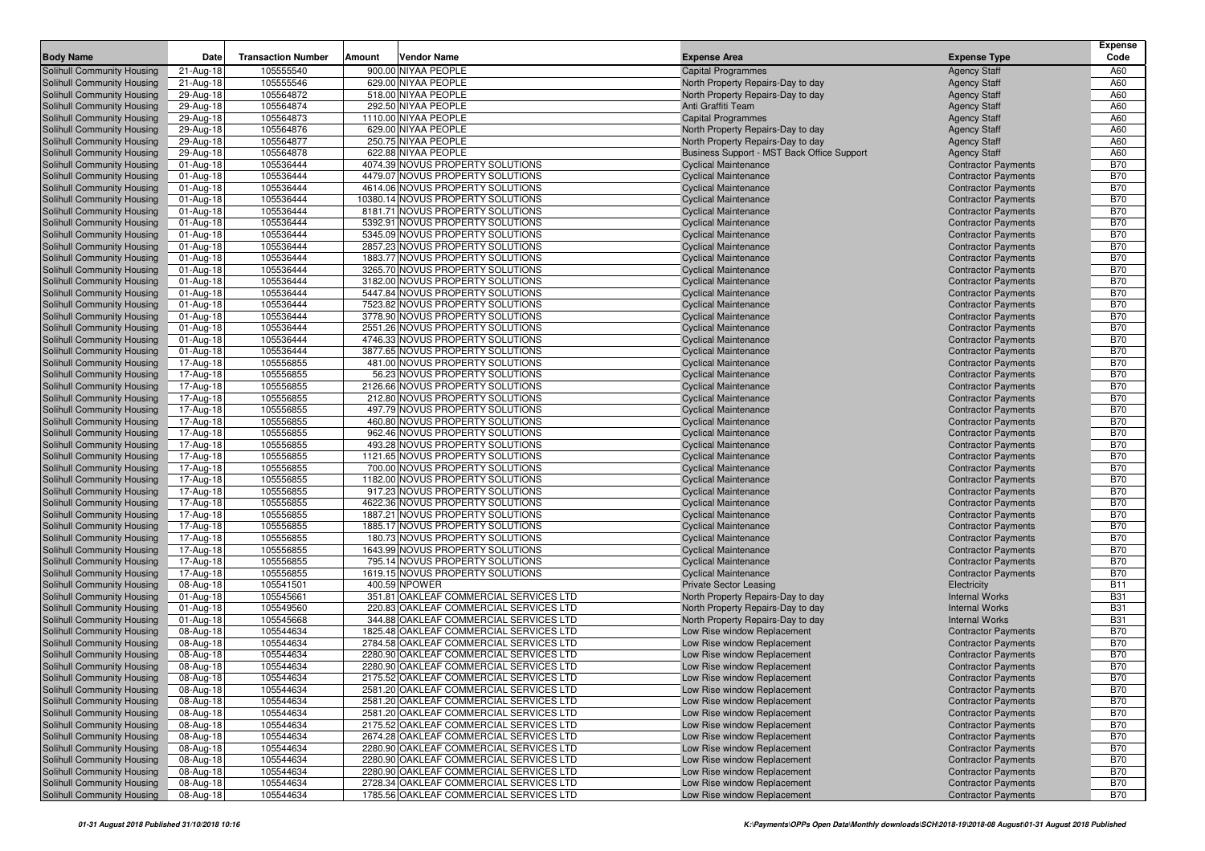| <b>Body Name</b>                                         | Date                   | <b>Transaction Number</b> | Amount | Vendor Name                                                         | <b>Expense Area</b>                                        | <b>Expense Type</b>                                      | <b>Expense</b><br>Code   |
|----------------------------------------------------------|------------------------|---------------------------|--------|---------------------------------------------------------------------|------------------------------------------------------------|----------------------------------------------------------|--------------------------|
| Solihull Community Housing                               | 21-Aug-18              | 105555540                 |        | 900.00 NIYAA PEOPLE                                                 | <b>Capital Programmes</b>                                  | <b>Agency Staff</b>                                      | A60                      |
| Solihull Community Housing                               | 21-Aug-18              | 105555546                 |        | 629.00 NIYAA PEOPLE                                                 | North Property Repairs-Day to day                          | <b>Agency Staff</b>                                      | A60                      |
| Solihull Community Housing                               | 29-Aug-18              | 105564872                 |        | 518.00 NIYAA PEOPLE                                                 | North Property Repairs-Day to day                          | <b>Agency Staff</b>                                      | A60                      |
| Solihull Community Housing                               | 29-Aug-18              | 105564874                 |        | 292.50 NIYAA PEOPLE                                                 | Anti Graffiti Team                                         | <b>Agency Staff</b>                                      | A60                      |
| Solihull Community Housing                               | 29-Aug-18              | 105564873                 |        | 1110.00 NIYAA PEOPLE                                                | <b>Capital Programmes</b>                                  | <b>Agency Staff</b>                                      | A60                      |
| Solihull Community Housing                               | 29-Aug-18              | 105564876                 |        | 629.00 NIYAA PEOPLE                                                 | North Property Repairs-Day to day                          | <b>Agency Staff</b>                                      | A60                      |
| Solihull Community Housing                               | 29-Aug-18              | 105564877                 |        | 250.75 NIYAA PEOPLE                                                 | North Property Repairs-Day to day                          | <b>Agency Staff</b>                                      | A60                      |
| Solihull Community Housing                               | 29-Aug-18              | 105564878                 |        | 622.88 NIYAA PEOPLE                                                 | Business Support - MST Back Office Support                 | <b>Agency Staff</b>                                      | A60                      |
| Solihull Community Housing                               | 01-Aug-18              | 105536444                 |        | 4074.39 NOVUS PROPERTY SOLUTIONS                                    | <b>Cyclical Maintenance</b>                                | <b>Contractor Payments</b>                               | <b>B70</b>               |
| Solihull Community Housing                               | 01-Aug-18              | 105536444                 |        | 4479.07 NOVUS PROPERTY SOLUTIONS                                    | <b>Cyclical Maintenance</b>                                | <b>Contractor Payments</b>                               | <b>B70</b>               |
| Solihull Community Housing                               | 01-Aug-18              | 105536444                 |        | 4614.06 NOVUS PROPERTY SOLUTIONS                                    | <b>Cyclical Maintenance</b>                                | <b>Contractor Payments</b>                               | <b>B70</b>               |
| Solihull Community Housing                               | 01-Aug-18              | 105536444                 |        | 10380.14 NOVUS PROPERTY SOLUTIONS                                   | <b>Cyclical Maintenance</b>                                | <b>Contractor Payments</b>                               | <b>B70</b>               |
| Solihull Community Housing                               | 01-Aug-18              | 105536444                 |        | 8181.71 NOVUS PROPERTY SOLUTIONS                                    | <b>Cyclical Maintenance</b>                                | <b>Contractor Payments</b>                               | <b>B70</b>               |
| Solihull Community Housing                               | 01-Aug-18              | 105536444                 |        | 5392.91 NOVUS PROPERTY SOLUTIONS                                    | <b>Cyclical Maintenance</b>                                | <b>Contractor Payments</b>                               | <b>B70</b>               |
| Solihull Community Housing                               | 01-Aug-18              | 105536444                 |        | 5345.09 NOVUS PROPERTY SOLUTIONS                                    | <b>Cyclical Maintenance</b>                                | <b>Contractor Payments</b>                               | <b>B70</b>               |
| Solihull Community Housing                               | 01-Aug-18              | 105536444                 |        | 2857.23 NOVUS PROPERTY SOLUTIONS                                    | <b>Cyclical Maintenance</b>                                | <b>Contractor Payments</b>                               | <b>B70</b>               |
| Solihull Community Housing                               | 01-Aug-18              | 105536444                 |        | 1883.77 NOVUS PROPERTY SOLUTIONS                                    | <b>Cyclical Maintenance</b>                                | <b>Contractor Payments</b>                               | <b>B70</b>               |
| Solihull Community Housing                               | 01-Aug-18              | 105536444                 |        | 3265.70 NOVUS PROPERTY SOLUTIONS                                    | <b>Cyclical Maintenance</b>                                | <b>Contractor Payments</b>                               | <b>B70</b>               |
| Solihull Community Housing                               | 01-Aug-18              | 105536444                 |        | 3182.00 NOVUS PROPERTY SOLUTIONS                                    | <b>Cyclical Maintenance</b>                                | <b>Contractor Payments</b>                               | <b>B70</b>               |
| Solihull Community Housing                               | 01-Aug-18              | 105536444                 |        | 5447.84 NOVUS PROPERTY SOLUTIONS                                    | <b>Cyclical Maintenance</b>                                | <b>Contractor Payments</b>                               | <b>B70</b>               |
| Solihull Community Housing                               | 01-Aug-18              | 105536444                 |        | 7523.82 NOVUS PROPERTY SOLUTIONS                                    | <b>Cyclical Maintenance</b>                                | <b>Contractor Payments</b>                               | <b>B70</b>               |
| Solihull Community Housing                               | 01-Aug-18              | 105536444                 |        | 3778.90 NOVUS PROPERTY SOLUTIONS                                    | <b>Cyclical Maintenance</b>                                | <b>Contractor Payments</b>                               | <b>B70</b>               |
| Solihull Community Housing                               | 01-Aug-18              | 105536444                 |        | 2551.26 NOVUS PROPERTY SOLUTIONS                                    | <b>Cyclical Maintenance</b>                                | <b>Contractor Payments</b>                               | <b>B70</b>               |
| Solihull Community Housing                               | 01-Aug-18              | 105536444                 |        | 4746.33 NOVUS PROPERTY SOLUTIONS                                    | <b>Cyclical Maintenance</b>                                | <b>Contractor Payments</b>                               | <b>B70</b>               |
| Solihull Community Housing                               | 01-Aug-18              | 105536444                 |        | 3877.65 NOVUS PROPERTY SOLUTIONS                                    | <b>Cyclical Maintenance</b>                                | <b>Contractor Payments</b>                               | <b>B70</b>               |
| Solihull Community Housing                               | 17-Aug-18              | 105556855                 |        | 481.00 NOVUS PROPERTY SOLUTIONS                                     | <b>Cyclical Maintenance</b>                                | <b>Contractor Payments</b>                               | <b>B70</b>               |
| Solihull Community Housing                               | 17-Aug-18              | 105556855                 |        | 56.23 NOVUS PROPERTY SOLUTIONS                                      | <b>Cyclical Maintenance</b><br><b>Cyclical Maintenance</b> | <b>Contractor Payments</b>                               | <b>B70</b><br><b>B70</b> |
| Solihull Community Housing<br>Solihull Community Housing | 17-Aug-18              | 105556855<br>105556855    |        | 2126.66 NOVUS PROPERTY SOLUTIONS<br>212.80 NOVUS PROPERTY SOLUTIONS |                                                            | <b>Contractor Payments</b><br><b>Contractor Payments</b> | <b>B70</b>               |
| Solihull Community Housing                               | 17-Aug-18<br>17-Aug-18 | 105556855                 |        | 497.79 NOVUS PROPERTY SOLUTIONS                                     | <b>Cyclical Maintenance</b><br><b>Cyclical Maintenance</b> | <b>Contractor Payments</b>                               | <b>B70</b>               |
| Solihull Community Housing                               | 17-Aug-18              | 105556855                 |        | 460.80 NOVUS PROPERTY SOLUTIONS                                     | <b>Cyclical Maintenance</b>                                | <b>Contractor Payments</b>                               | <b>B70</b>               |
| Solihull Community Housing                               | 17-Aug-18              | 105556855                 |        | 962.46 NOVUS PROPERTY SOLUTIONS                                     | <b>Cyclical Maintenance</b>                                | <b>Contractor Payments</b>                               | <b>B70</b>               |
| Solihull Community Housing                               | 17-Aug-18              | 105556855                 |        | 493.28 NOVUS PROPERTY SOLUTIONS                                     | <b>Cyclical Maintenance</b>                                | <b>Contractor Payments</b>                               | <b>B70</b>               |
| Solihull Community Housing                               | 17-Aug-18              | 105556855                 |        | 1121.65 NOVUS PROPERTY SOLUTIONS                                    | <b>Cyclical Maintenance</b>                                | <b>Contractor Payments</b>                               | <b>B70</b>               |
| Solihull Community Housing                               | 17-Aug-18              | 105556855                 |        | 700.00 NOVUS PROPERTY SOLUTIONS                                     | <b>Cyclical Maintenance</b>                                | <b>Contractor Payments</b>                               | <b>B70</b>               |
| Solihull Community Housing                               | 17-Aug-18              | 105556855                 |        | 1182.00 NOVUS PROPERTY SOLUTIONS                                    | <b>Cyclical Maintenance</b>                                | <b>Contractor Payments</b>                               | <b>B70</b>               |
| Solihull Community Housing                               | 17-Aug-18              | 105556855                 |        | 917.23 NOVUS PROPERTY SOLUTIONS                                     | <b>Cyclical Maintenance</b>                                | <b>Contractor Payments</b>                               | <b>B70</b>               |
| Solihull Community Housing                               | 17-Aug-18              | 105556855                 |        | 4622.36 NOVUS PROPERTY SOLUTIONS                                    | <b>Cyclical Maintenance</b>                                | <b>Contractor Payments</b>                               | <b>B70</b>               |
| Solihull Community Housing                               | 17-Aug-18              | 105556855                 |        | 1887.21 NOVUS PROPERTY SOLUTIONS                                    | <b>Cyclical Maintenance</b>                                | <b>Contractor Payments</b>                               | <b>B70</b>               |
| Solihull Community Housing                               | 17-Aug-18              | 105556855                 |        | 1885.17 NOVUS PROPERTY SOLUTIONS                                    | <b>Cyclical Maintenance</b>                                | <b>Contractor Payments</b>                               | <b>B70</b>               |
| Solihull Community Housing                               | 17-Aug-18              | 105556855                 |        | 180.73 NOVUS PROPERTY SOLUTIONS                                     | <b>Cyclical Maintenance</b>                                | <b>Contractor Payments</b>                               | <b>B70</b>               |
| Solihull Community Housing                               | 17-Aug-18              | 105556855                 |        | 1643.99 NOVUS PROPERTY SOLUTIONS                                    | <b>Cyclical Maintenance</b>                                | <b>Contractor Payments</b>                               | <b>B70</b>               |
| Solihull Community Housing                               | 17-Aug-18              | 105556855                 |        | 795.14 NOVUS PROPERTY SOLUTIONS                                     | <b>Cyclical Maintenance</b>                                | <b>Contractor Payments</b>                               | <b>B70</b>               |
| Solihull Community Housing                               | 17-Aug-18              | 105556855                 |        | 1619.15 NOVUS PROPERTY SOLUTIONS                                    | <b>Cyclical Maintenance</b>                                | <b>Contractor Payments</b>                               | <b>B70</b>               |
| Solihull Community Housing                               | 08-Aug-18              | 105541501                 |        | 400.59 NPOWER                                                       | <b>Private Sector Leasing</b>                              | Electricity                                              | <b>B11</b>               |
| Solihull Community Housing                               | 01-Aug-18              | 105545661                 |        | 351.81 OAKLEAF COMMERCIAL SERVICES LTD                              | North Property Repairs-Day to day                          | <b>Internal Works</b>                                    | <b>B31</b>               |
| Solihull Community Housing                               | 01-Aug-18              | 105549560                 |        | 220.83 OAKLEAF COMMERCIAL SERVICES LTD                              | North Property Repairs-Day to day                          | <b>Internal Works</b>                                    | <b>B31</b>               |
| Solihull Community Housing                               | 01-Aug-18              | 105545668                 |        | 344.88 OAKLEAF COMMERCIAL SERVICES LTD                              | North Property Repairs-Day to day                          | <b>Internal Works</b>                                    | <b>B31</b>               |
| Solihull Community Housing                               | 08-Aug-18              | 105544634                 |        | 1825.48 OAKLEAF COMMERCIAL SERVICES LTD                             | Low Rise window Replacement                                | <b>Contractor Payments</b>                               | <b>B70</b>               |
| Solihull Community Housing                               | 08-Aug-18              | 105544634                 |        | 2784.58 OAKLEAF COMMERCIAL SERVICES LTD                             | Low Rise window Replacement                                | <b>Contractor Payments</b>                               | <b>B70</b>               |
| Solihull Community Housing                               | 08-Aug-18              | 105544634                 |        | 2280.90 OAKLEAF COMMERCIAL SERVICES LTD                             | Low Rise window Replacement                                | <b>Contractor Payments</b>                               | <b>B70</b>               |
| Solihull Community Housing                               | 08-Aug-18              | 105544634                 |        | 2280.90 OAKLEAF COMMERCIAL SERVICES LTD                             | Low Rise window Replacement                                | <b>Contractor Payments</b>                               | <b>B70</b>               |
| Solihull Community Housing                               | 08-Aug-18              | 105544634                 |        | 2175.52 OAKLEAF COMMERCIAL SERVICES LTD                             | Low Rise window Replacement                                | <b>Contractor Payments</b>                               | <b>B70</b>               |
| Solihull Community Housing                               | 08-Aug-18              | 105544634                 |        | 2581.20 OAKLEAF COMMERCIAL SERVICES LTD                             | Low Rise window Replacement                                | <b>Contractor Payments</b>                               | <b>B70</b>               |
| Solihull Community Housing                               | 08-Aug-18              | 105544634                 |        | 2581.20 OAKLEAF COMMERCIAL SERVICES LTD                             | Low Rise window Replacement                                | <b>Contractor Payments</b>                               | <b>B70</b>               |
| Solihull Community Housing                               | 08-Aug-18              | 105544634                 |        | 2581.20 OAKLEAF COMMERCIAL SERVICES LTD                             | Low Rise window Replacement                                | <b>Contractor Payments</b>                               | <b>B70</b>               |
| Solihull Community Housing                               | 08-Aug-18              | 105544634                 |        | 2175.52 OAKLEAF COMMERCIAL SERVICES LTD                             | Low Rise window Replacement                                | <b>Contractor Payments</b>                               | <b>B70</b>               |
| Solihull Community Housing                               | 08-Aug-18              | 105544634                 |        | 2674.28 OAKLEAF COMMERCIAL SERVICES LTD                             | Low Rise window Replacement                                | <b>Contractor Payments</b>                               | <b>B70</b>               |
| Solihull Community Housing                               | 08-Aug-18              | 105544634                 |        | 2280.90 OAKLEAF COMMERCIAL SERVICES LTD                             | Low Rise window Replacement                                | <b>Contractor Payments</b>                               | <b>B70</b>               |
| Solihull Community Housing                               | 08-Aug-18              | 105544634                 |        | 2280.90 OAKLEAF COMMERCIAL SERVICES LTD                             | Low Rise window Replacement                                | <b>Contractor Payments</b>                               | <b>B70</b>               |
| Solihull Community Housing                               | 08-Aug-18              | 105544634                 |        | 2280.90 OAKLEAF COMMERCIAL SERVICES LTD                             | Low Rise window Replacement                                | <b>Contractor Payments</b>                               | <b>B70</b>               |
| Solihull Community Housing                               | 08-Aug-18              | 105544634                 |        | 2728.34 OAKLEAF COMMERCIAL SERVICES LTD                             | Low Rise window Replacement                                | <b>Contractor Payments</b>                               | <b>B70</b>               |
| Solihull Community Housing                               | 08-Aug-18              | 105544634                 |        | 1785.56 OAKLEAF COMMERCIAL SERVICES LTD                             | Low Rise window Replacement                                | <b>Contractor Payments</b>                               | <b>B70</b>               |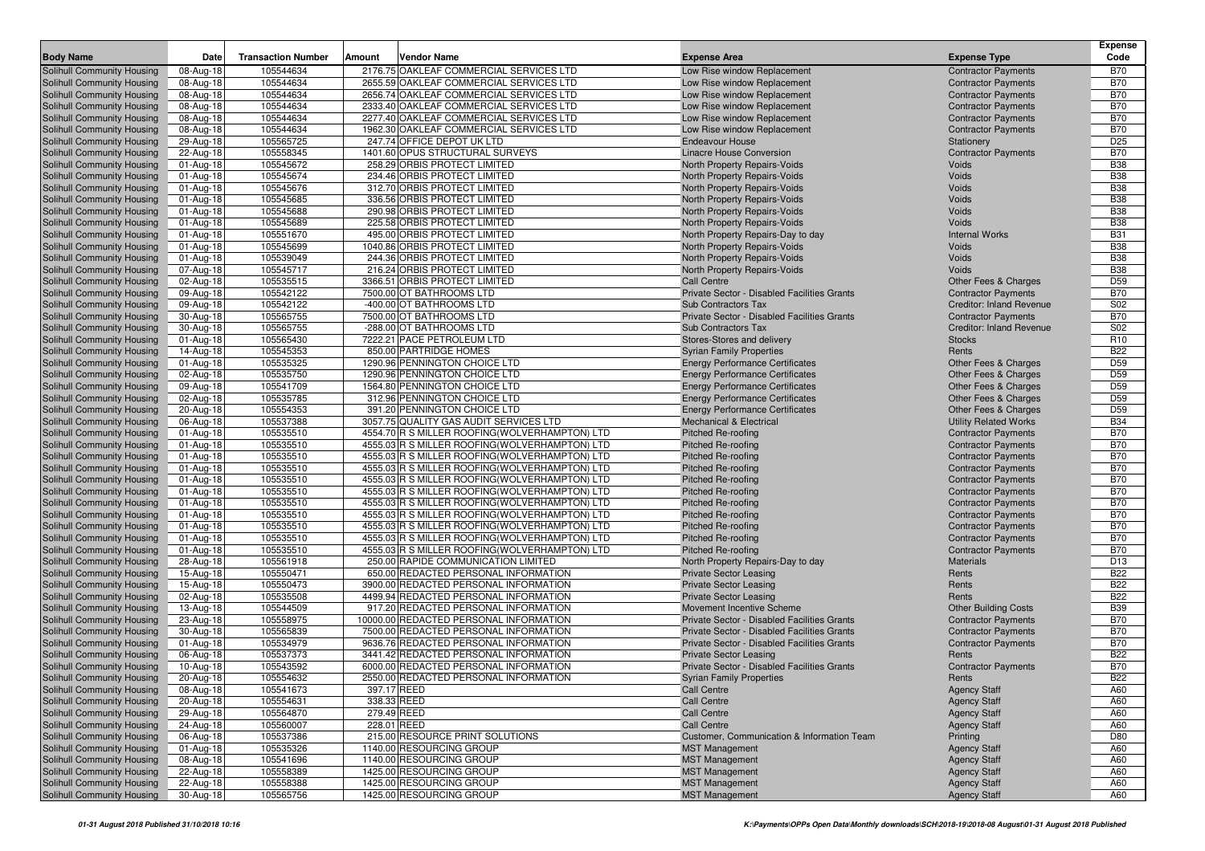| <b>Body Name</b>                                         | Date                   | <b>Transaction Number</b> | Amount      | Vendor Name                                                                                      | <b>Expense Area</b>                                                          | <b>Expense Type</b>                                      | Expense<br>Code          |
|----------------------------------------------------------|------------------------|---------------------------|-------------|--------------------------------------------------------------------------------------------------|------------------------------------------------------------------------------|----------------------------------------------------------|--------------------------|
| Solihull Community Housing                               | 08-Aug-18              | 105544634                 |             | 2176.75 OAKLEAF COMMERCIAL SERVICES LTD                                                          | Low Rise window Replacement                                                  | <b>Contractor Payments</b>                               | <b>B70</b>               |
| Solihull Community Housing                               | 08-Aug-18              | 105544634                 |             | 2655.59 OAKLEAF COMMERCIAL SERVICES LTD                                                          | Low Rise window Replacement                                                  | <b>Contractor Payments</b>                               | <b>B70</b>               |
| Solihull Community Housing                               | 08-Aug-18              | 105544634                 |             | 2656.74 OAKLEAF COMMERCIAL SERVICES LTD                                                          | Low Rise window Replacement                                                  | <b>Contractor Payments</b>                               | <b>B70</b>               |
| Solihull Community Housing                               | 08-Aug-18              | 105544634                 |             | 2333.40 OAKLEAF COMMERCIAL SERVICES LTD                                                          | Low Rise window Replacement                                                  | <b>Contractor Payments</b>                               | <b>B70</b>               |
| Solihull Community Housing                               | 08-Aug-18              | 105544634                 |             | 2277.40 OAKLEAF COMMERCIAL SERVICES LTD                                                          | Low Rise window Replacement                                                  | <b>Contractor Payments</b>                               | <b>B70</b>               |
| Solihull Community Housing                               | 08-Aug-18              | 105544634                 |             | 1962.30 OAKLEAF COMMERCIAL SERVICES LTD                                                          | Low Rise window Replacement                                                  | <b>Contractor Payments</b>                               | <b>B70</b>               |
| Solihull Community Housing                               | 29-Aug-18              | 105565725                 |             | 247.74 OFFICE DEPOT UK LTD                                                                       | <b>Endeavour House</b>                                                       | Stationery                                               | D <sub>25</sub>          |
| Solihull Community Housing                               | 22-Aug-18              | 105558345                 |             | 1401.60 OPUS STRUCTURAL SURVEYS                                                                  | Linacre House Conversion                                                     | <b>Contractor Payments</b>                               | <b>B70</b>               |
| Solihull Community Housing                               | 01-Aug-18              | 105545672                 |             | 258.29 ORBIS PROTECT LIMITED                                                                     | North Property Repairs-Voids                                                 | Voids                                                    | <b>B38</b>               |
| Solihull Community Housing                               | 01-Aug-18              | 105545674                 |             | 234.46 ORBIS PROTECT LIMITED                                                                     | North Property Repairs-Voids                                                 | Voids                                                    | <b>B38</b>               |
| Solihull Community Housing                               | 01-Aug-18              | 105545676                 |             | 312.70 ORBIS PROTECT LIMITED                                                                     | <b>North Property Repairs-Voids</b>                                          | Voids                                                    | <b>B38</b>               |
| Solihull Community Housing                               | 01-Aug-18              | 105545685                 |             | 336.56 ORBIS PROTECT LIMITED                                                                     | North Property Repairs-Voids                                                 | Voids                                                    | <b>B38</b>               |
| Solihull Community Housing                               | 01-Aug-18              | 105545688                 |             | 290.98 ORBIS PROTECT LIMITED                                                                     | <b>North Property Repairs-Voids</b>                                          | Voids<br><b>Voids</b>                                    | <b>B38</b><br><b>B38</b> |
| Solihull Community Housing<br>Solihull Community Housing | 01-Aug-18              | 105545689<br>105551670    |             | 225.58 ORBIS PROTECT LIMITED<br>495.00 ORBIS PROTECT LIMITED                                     | <b>North Property Repairs-Voids</b><br>North Property Repairs-Day to day     | <b>Internal Works</b>                                    | <b>B31</b>               |
| Solihull Community Housing                               | 01-Aug-18<br>01-Aug-18 | 105545699                 |             | 1040.86 ORBIS PROTECT LIMITED                                                                    | North Property Repairs-Voids                                                 | Voids                                                    | <b>B38</b>               |
| Solihull Community Housing                               | 01-Aug-18              | 105539049                 |             | 244.36 ORBIS PROTECT LIMITED                                                                     | North Property Repairs-Voids                                                 | Voids                                                    | <b>B38</b>               |
| Solihull Community Housing                               | 07-Aug-18              | 105545717                 |             | 216.24 ORBIS PROTECT LIMITED                                                                     | North Property Repairs-Voids                                                 | Voids                                                    | <b>B38</b>               |
| Solihull Community Housing                               | 02-Aug-18              | 105535515                 |             | 3366.51 ORBIS PROTECT LIMITED                                                                    | <b>Call Centre</b>                                                           | Other Fees & Charges                                     | D <sub>59</sub>          |
| Solihull Community Housing                               | 09-Aug-18              | 105542122                 |             | 7500.00 OT BATHROOMS LTD                                                                         | Private Sector - Disabled Facilities Grants                                  | <b>Contractor Payments</b>                               | <b>B70</b>               |
| Solihull Community Housing                               | 09-Aug-18              | 105542122                 |             | -400.00 OT BATHROOMS LTD                                                                         | <b>Sub Contractors Tax</b>                                                   | <b>Creditor: Inland Revenue</b>                          | S02                      |
| Solihull Community Housing                               | 30-Aug-18              | 105565755                 |             | 7500.00 OT BATHROOMS LTD                                                                         | Private Sector - Disabled Facilities Grants                                  | <b>Contractor Payments</b>                               | <b>B70</b>               |
| Solihull Community Housing                               | 30-Aug-18              | 105565755                 |             | -288.00 OT BATHROOMS LTD                                                                         | <b>Sub Contractors Tax</b>                                                   | <b>Creditor: Inland Revenue</b>                          | S02                      |
| Solihull Community Housing                               | 01-Aug-18              | 105565430                 |             | 7222.21 PACE PETROLEUM LTD                                                                       | Stores-Stores and delivery                                                   | <b>Stocks</b>                                            | R <sub>10</sub>          |
| Solihull Community Housing                               | 14-Aug-18              | 105545353                 |             | 850.00 PARTRIDGE HOMES                                                                           | <b>Syrian Family Properties</b>                                              | Rents                                                    | <b>B22</b>               |
| Solihull Community Housing                               | 01-Aug-18              | 105535325                 |             | 1290.96 PENNINGTON CHOICE LTD                                                                    | <b>Energy Performance Certificates</b>                                       | Other Fees & Charges                                     | D <sub>59</sub>          |
| Solihull Community Housing                               | 02-Aug-18              | 105535750                 |             | 1290.96 PENNINGTON CHOICE LTD                                                                    | <b>Energy Performance Certificates</b>                                       | Other Fees & Charges                                     | D <sub>59</sub>          |
| Solihull Community Housing                               | 09-Aug-18              | 105541709                 |             | 1564.80 PENNINGTON CHOICE LTD                                                                    | <b>Energy Performance Certificates</b>                                       | Other Fees & Charges                                     | D <sub>59</sub>          |
| Solihull Community Housing                               | 02-Aug-18              | 105535785                 |             | 312.96 PENNINGTON CHOICE LTD                                                                     | <b>Energy Performance Certificates</b>                                       | Other Fees & Charges                                     | D <sub>59</sub>          |
| Solihull Community Housing                               | 20-Aug-18              | 105554353                 |             | 391.20 PENNINGTON CHOICE LTD                                                                     | <b>Energy Performance Certificates</b>                                       | Other Fees & Charges                                     | D <sub>59</sub>          |
| Solihull Community Housing                               | 06-Aug-18              | 105537388                 |             | 3057.75 QUALITY GAS AUDIT SERVICES LTD                                                           | <b>Mechanical &amp; Electrical</b>                                           | <b>Utility Related Works</b>                             | <b>B34</b>               |
| Solihull Community Housing                               | 01-Aug-18              | 105535510                 |             | 4554.70 R S MILLER ROOFING(WOLVERHAMPTON) LTD                                                    | Pitched Re-roofing                                                           | <b>Contractor Payments</b>                               | <b>B70</b>               |
| Solihull Community Housing<br>Solihull Community Housing | 01-Aug-18<br>01-Aug-18 | 105535510<br>105535510    |             | 4555.03 R S MILLER ROOFING (WOLVERHAMPTON) LTD<br>4555.03 R S MILLER ROOFING (WOLVERHAMPTON) LTD | <b>Pitched Re-roofing</b><br><b>Pitched Re-roofing</b>                       | <b>Contractor Payments</b><br><b>Contractor Payments</b> | <b>B70</b><br><b>B70</b> |
| Solihull Community Housing                               | 01-Aug-18              | 105535510                 |             | 4555.03 R S MILLER ROOFING (WOLVERHAMPTON) LTD                                                   | <b>Pitched Re-roofing</b>                                                    | <b>Contractor Payments</b>                               | <b>B70</b>               |
| Solihull Community Housing                               | 01-Aug-18              | 105535510                 |             | 4555.03 R S MILLER ROOFING (WOLVERHAMPTON) LTD                                                   | <b>Pitched Re-roofing</b>                                                    | <b>Contractor Payments</b>                               | <b>B70</b>               |
| Solihull Community Housing                               | 01-Aug-18              | 105535510                 |             | 4555.03 R S MILLER ROOFING (WOLVERHAMPTON) LTD                                                   | <b>Pitched Re-roofing</b>                                                    | <b>Contractor Payments</b>                               | <b>B70</b>               |
| Solihull Community Housing                               | 01-Aug-18              | 105535510                 |             | 4555.03 R S MILLER ROOFING (WOLVERHAMPTON) LTD                                                   | <b>Pitched Re-roofing</b>                                                    | <b>Contractor Payments</b>                               | <b>B70</b>               |
| Solihull Community Housing                               | 01-Aug-18              | 105535510                 |             | 4555.03 R S MILLER ROOFING (WOLVERHAMPTON) LTD                                                   | Pitched Re-roofing                                                           | <b>Contractor Payments</b>                               | <b>B70</b>               |
| Solihull Community Housing                               | 01-Aug-18              | 105535510                 |             | 4555.03 R S MILLER ROOFING (WOLVERHAMPTON) LTD                                                   | <b>Pitched Re-roofing</b>                                                    | <b>Contractor Payments</b>                               | <b>B70</b>               |
| Solihull Community Housing                               | 01-Aug-18              | 105535510                 |             | 4555.03 R S MILLER ROOFING (WOLVERHAMPTON) LTD                                                   | <b>Pitched Re-roofing</b>                                                    | <b>Contractor Payments</b>                               | <b>B70</b>               |
| Solihull Community Housing                               | 01-Aug-18              | 105535510                 |             | 4555.03 R S MILLER ROOFING (WOLVERHAMPTON) LTD                                                   | <b>Pitched Re-roofing</b>                                                    | <b>Contractor Payments</b>                               | <b>B70</b>               |
| Solihull Community Housing                               | 28-Aug-18              | 105561918                 |             | 250.00 RAPIDE COMMUNICATION LIMITED                                                              | North Property Repairs-Day to day                                            | <b>Materials</b>                                         | D <sub>13</sub>          |
| Solihull Community Housing                               | 15-Aug-18              | 105550471                 |             | 650.00 REDACTED PERSONAL INFORMATION                                                             | <b>Private Sector Leasing</b>                                                | Rents                                                    | <b>B22</b>               |
| Solihull Community Housing                               | 15-Aug-18              | 105550473                 |             | 3900.00 REDACTED PERSONAL INFORMATION                                                            | <b>Private Sector Leasing</b>                                                | Rents                                                    | <b>B22</b>               |
| Solihull Community Housing                               | 02-Aug-18              | 105535508                 |             | 4499.94 REDACTED PERSONAL INFORMATION                                                            | <b>Private Sector Leasing</b>                                                | Rents                                                    | <b>B22</b>               |
| Solihull Community Housing                               | 13-Aug-18              | 105544509                 |             | 917.20 REDACTED PERSONAL INFORMATION                                                             | Movement Incentive Scheme                                                    | <b>Other Building Costs</b>                              | <b>B39</b>               |
| Solihull Community Housing                               | 23-Aug-18              | 105558975                 |             | 10000.00 REDACTED PERSONAL INFORMATION                                                           | Private Sector - Disabled Facilities Grants                                  | <b>Contractor Payments</b>                               | <b>B70</b>               |
| Solihull Community Housing                               | 30-Aug-18              | 105565839                 |             | 7500.00 REDACTED PERSONAL INFORMATION                                                            | Private Sector - Disabled Facilities Grants                                  | <b>Contractor Payments</b>                               | <b>B70</b>               |
| Solihull Community Housing<br>Solihull Community Housing | 01-Aug-18<br>06-Aug-18 | 105534979<br>105537373    |             | 9636.76 REDACTED PERSONAL INFORMATION<br>3441.42 REDACTED PERSONAL INFORMATION                   | Private Sector - Disabled Facilities Grants<br><b>Private Sector Leasing</b> | <b>Contractor Payments</b><br>Rents                      | <b>B70</b><br><b>B22</b> |
| Solihull Community Housing                               | 10-Aug-18              | 105543592                 |             | 6000.00 REDACTED PERSONAL INFORMATION                                                            | Private Sector - Disabled Facilities Grants                                  | <b>Contractor Payments</b>                               | <b>B70</b>               |
| Solihull Community Housing                               | 20-Aug-18              | 105554632                 |             | 2550.00 REDACTED PERSONAL INFORMATION                                                            | <b>Syrian Family Properties</b>                                              | Rents                                                    | <b>B22</b>               |
| Solihull Community Housing                               | 08-Aug-18              | 105541673                 | 397.17 REED |                                                                                                  | <b>Call Centre</b>                                                           | <b>Agency Staff</b>                                      | A60                      |
| Solihull Community Housing                               | 20-Aug-18              | 105554631                 | 338.33 REED |                                                                                                  | <b>Call Centre</b>                                                           | <b>Agency Staff</b>                                      | A60                      |
| Solihull Community Housing                               | 29-Aug-18              | 105564870                 | 279.49 REED |                                                                                                  | <b>Call Centre</b>                                                           | <b>Agency Staff</b>                                      | A60                      |
| Solihull Community Housing                               | 24-Aug-18              | 105560007                 | 228.01 REED |                                                                                                  | <b>Call Centre</b>                                                           | <b>Agency Staff</b>                                      | A60                      |
| Solihull Community Housing                               | 06-Aug-18              | 105537386                 |             | 215.00 RESOURCE PRINT SOLUTIONS                                                                  | Customer, Communication & Information Team                                   | Printing                                                 | D80                      |
| Solihull Community Housing                               | 01-Aug-18              | 105535326                 |             | 1140.00 RESOURCING GROUP                                                                         | <b>MST Management</b>                                                        | <b>Agency Staff</b>                                      | A60                      |
| Solihull Community Housing                               | 08-Aug-18              | 105541696                 |             | 1140.00 RESOURCING GROUP                                                                         | <b>MST Management</b>                                                        | <b>Agency Staff</b>                                      | A60                      |
| Solihull Community Housing                               | 22-Aug-18              | 105558389                 |             | 1425.00 RESOURCING GROUP                                                                         | <b>MST Management</b>                                                        | <b>Agency Staff</b>                                      | A60                      |
| Solihull Community Housing                               | 22-Aug-18              | 105558388                 |             | 1425.00 RESOURCING GROUP                                                                         | <b>MST Management</b>                                                        | <b>Agency Staff</b>                                      | A60                      |
| Solihull Community Housing                               | 30-Aug-18              | 105565756                 |             | 1425.00 RESOURCING GROUP                                                                         | <b>MST Management</b>                                                        | <b>Agency Staff</b>                                      | A60                      |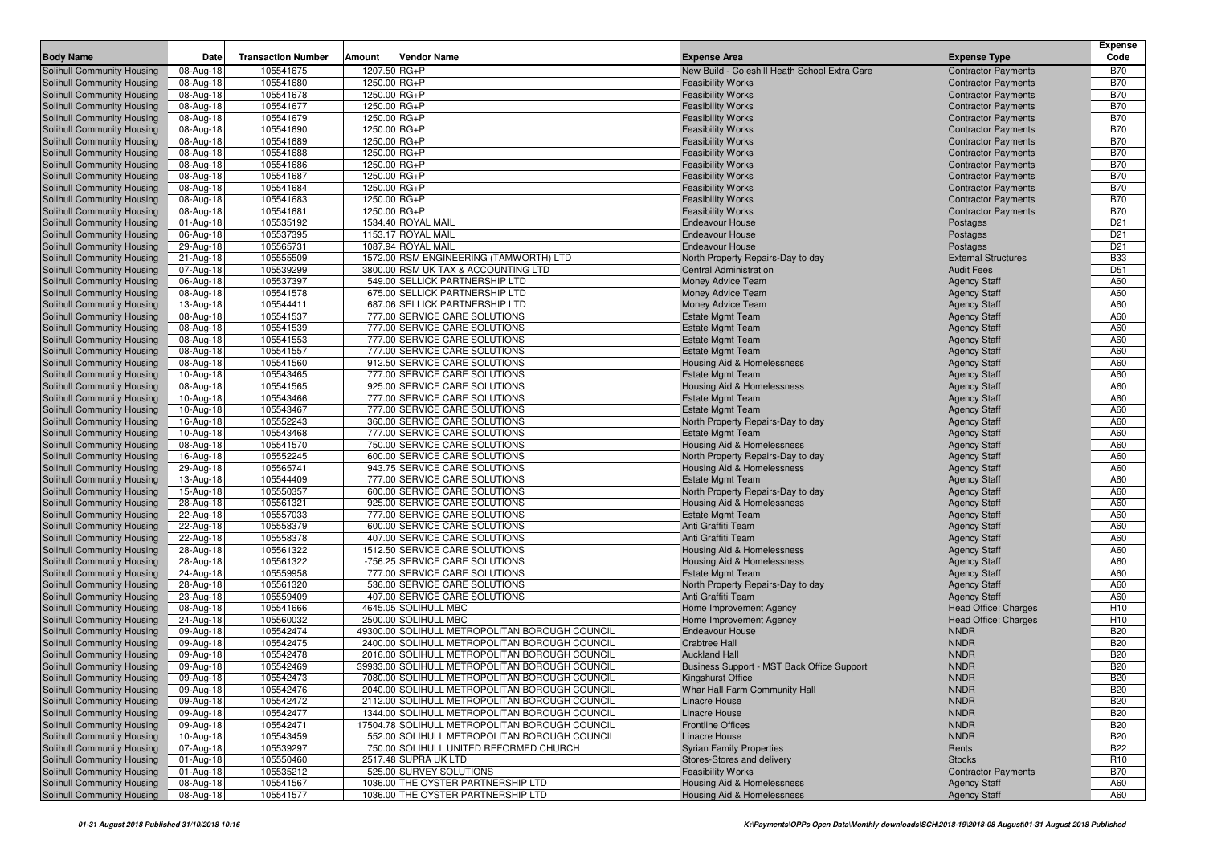|                                                          |                        |                           |                                                                |                                                                  |                                            | <b>Expense</b>  |
|----------------------------------------------------------|------------------------|---------------------------|----------------------------------------------------------------|------------------------------------------------------------------|--------------------------------------------|-----------------|
| <b>Body Name</b>                                         | Date                   | <b>Transaction Number</b> | Amount<br>Vendor Name                                          | <b>Expense Area</b>                                              | <b>Expense Type</b>                        | Code            |
| Solihull Community Housing                               | 08-Aug-18              | 105541675                 | 1207.50 RG+P                                                   | New Build - Coleshill Heath School Extra Care                    | <b>Contractor Payments</b>                 | <b>B70</b>      |
| Solihull Community Housing                               | 08-Aug-18              | 105541680                 | 1250.00 RG+P                                                   | <b>Feasibility Works</b>                                         | <b>Contractor Payments</b>                 | <b>B70</b>      |
| Solihull Community Housing                               | 08-Aug-18              | 105541678                 | 1250.00 RG+P                                                   | <b>Feasibility Works</b>                                         | <b>Contractor Payments</b>                 | <b>B70</b>      |
| Solihull Community Housing                               | 08-Aug-18              | 105541677                 | 1250.00 RG+P                                                   | <b>Feasibility Works</b>                                         | <b>Contractor Payments</b>                 | <b>B70</b>      |
| Solihull Community Housing                               | 08-Aug-18              | 105541679                 | 1250.00 RG+P                                                   | <b>Feasibility Works</b>                                         | <b>Contractor Payments</b>                 | <b>B70</b>      |
| Solihull Community Housing                               | 08-Aug-18              | 105541690                 | 1250.00 RG+P                                                   | <b>Feasibility Works</b>                                         | <b>Contractor Payments</b>                 | <b>B70</b>      |
| Solihull Community Housing                               | 08-Aug-18              | 105541689                 | 1250.00 RG+P                                                   | <b>Feasibility Works</b>                                         | <b>Contractor Payments</b>                 | <b>B70</b>      |
| Solihull Community Housing                               | 08-Aug-18              | 105541688                 | 1250.00 RG+P                                                   | <b>Feasibility Works</b>                                         | <b>Contractor Payments</b>                 | <b>B70</b>      |
| Solihull Community Housing                               | 08-Aug-18              | 105541686                 | 1250.00 RG+P                                                   | <b>Feasibility Works</b>                                         | <b>Contractor Payments</b>                 | <b>B70</b>      |
| Solihull Community Housing                               | 08-Aug-18              | 105541687                 | 1250.00 RG+P                                                   | <b>Feasibility Works</b>                                         | <b>Contractor Payments</b>                 | <b>B70</b>      |
| Solihull Community Housing                               | 08-Aug-18              | 105541684                 | 1250.00 RG+P                                                   | <b>Feasibility Works</b>                                         | <b>Contractor Payments</b>                 | <b>B70</b>      |
| Solihull Community Housing                               | 08-Aug-18              | 105541683                 | 1250.00 RG+P                                                   | <b>Feasibility Works</b>                                         | <b>Contractor Payments</b>                 | <b>B70</b>      |
| Solihull Community Housing                               | 08-Aug-18              | 105541681                 | 1250.00 RG+P                                                   | <b>Feasibility Works</b>                                         | <b>Contractor Payments</b>                 | <b>B70</b>      |
| Solihull Community Housing                               | 01-Aug-18              | 105535192                 | 1534.40 ROYAL MAIL                                             | <b>Endeavour House</b>                                           | Postages                                   | D <sub>21</sub> |
| Solihull Community Housing                               | 06-Aug-18              | 105537395                 | 1153.17 ROYAL MAIL                                             | <b>Endeavour House</b>                                           | Postages                                   | D <sub>21</sub> |
| Solihull Community Housing                               | 29-Aug-18              | 105565731                 | 1087.94 ROYAL MAIL                                             | <b>Endeavour House</b>                                           | Postages                                   | D <sub>21</sub> |
| Solihull Community Housing                               | 21-Aug-18              | 105555509                 | 1572.00 RSM ENGINEERING (TAMWORTH) LTD                         | North Property Repairs-Day to day                                | <b>External Structures</b>                 | <b>B33</b>      |
| Solihull Community Housing                               | 07-Aug-18              | 105539299                 | 3800.00 RSM UK TAX & ACCOUNTING LTD                            | Central Administration                                           | <b>Audit Fees</b>                          | D <sub>51</sub> |
| Solihull Community Housing                               | 06-Aug-18              | 105537397                 | 549.00 SELLICK PARTNERSHIP LTD                                 | Money Advice Team                                                | <b>Agency Staff</b>                        | A60             |
| Solihull Community Housing                               | 08-Aug-18              | 105541578                 | 675.00 SELLICK PARTNERSHIP LTD                                 | Money Advice Team                                                | <b>Agency Staff</b>                        | A60             |
| Solihull Community Housing                               | 13-Aug-18              | 105544411                 | 687.06 SELLICK PARTNERSHIP LTD                                 | Money Advice Team                                                | <b>Agency Staff</b>                        | A60             |
| Solihull Community Housing                               | 08-Aug-18              | 105541537                 | 777.00 SERVICE CARE SOLUTIONS                                  | <b>Estate Mgmt Team</b>                                          | <b>Agency Staff</b>                        | A60             |
| Solihull Community Housing                               | 08-Aug-18              | 105541539                 | 777.00 SERVICE CARE SOLUTIONS                                  | <b>Estate Mgmt Team</b>                                          | <b>Agency Staff</b>                        | A60             |
| Solihull Community Housing                               | 08-Aug-18              | 105541553                 | 777.00 SERVICE CARE SOLUTIONS                                  | <b>Estate Mgmt Team</b>                                          | <b>Agency Staff</b>                        | A60             |
| Solihull Community Housing                               | 08-Aug-18              | 105541557                 | 777.00 SERVICE CARE SOLUTIONS                                  | <b>Estate Mgmt Team</b>                                          | <b>Agency Staff</b>                        | A60             |
| Solihull Community Housing                               | 08-Aug-18              | 105541560                 | 912.50 SERVICE CARE SOLUTIONS                                  | Housing Aid & Homelessness                                       | <b>Agency Staff</b>                        | A60             |
| Solihull Community Housing                               | 10-Aug-18              | 105543465                 | 777.00 SERVICE CARE SOLUTIONS                                  | <b>Estate Mgmt Team</b>                                          | <b>Agency Staff</b>                        | A60             |
| Solihull Community Housing                               | 08-Aug-18              | 105541565                 | 925.00 SERVICE CARE SOLUTIONS                                  | Housing Aid & Homelessness                                       | <b>Agency Staff</b>                        | A60             |
| Solihull Community Housing                               | 10-Aug-18              | 105543466                 | 777.00 SERVICE CARE SOLUTIONS                                  | <b>Estate Mgmt Team</b>                                          | <b>Agency Staff</b>                        | A60             |
| Solihull Community Housing                               | 10-Aug-18              | 105543467                 | 777.00 SERVICE CARE SOLUTIONS                                  | <b>Estate Mgmt Team</b>                                          | <b>Agency Staff</b>                        | A60             |
| Solihull Community Housing                               | 16-Aug-18              | 105552243                 | 360.00 SERVICE CARE SOLUTIONS                                  | North Property Repairs-Day to day                                | <b>Agency Staff</b>                        | A60             |
| Solihull Community Housing                               | 10-Aug-18              | 105543468                 | 777.00 SERVICE CARE SOLUTIONS<br>750.00 SERVICE CARE SOLUTIONS | <b>Estate Mgmt Team</b><br><b>Housing Aid &amp; Homelessness</b> | <b>Agency Staff</b>                        | A60<br>A60      |
| Solihull Community Housing<br>Solihull Community Housing | 08-Aug-18<br>16-Aug-18 | 105541570<br>105552245    | 600.00 SERVICE CARE SOLUTIONS                                  | North Property Repairs-Day to day                                | <b>Agency Staff</b><br><b>Agency Staff</b> | A60             |
| Solihull Community Housing                               | 29-Aug-18              | 105565741                 | 943.75 SERVICE CARE SOLUTIONS                                  | Housing Aid & Homelessness                                       | <b>Agency Staff</b>                        | A60             |
| Solihull Community Housing                               | 13-Aug-18              | 105544409                 | 777.00 SERVICE CARE SOLUTIONS                                  | <b>Estate Mgmt Team</b>                                          | <b>Agency Staff</b>                        | A60             |
| Solihull Community Housing                               | 15-Aug-18              | 105550357                 | 600.00 SERVICE CARE SOLUTIONS                                  | North Property Repairs-Day to day                                | <b>Agency Staff</b>                        | A60             |
| Solihull Community Housing                               | 28-Aug-18              | 105561321                 | 925.00 SERVICE CARE SOLUTIONS                                  | Housing Aid & Homelessness                                       | <b>Agency Staff</b>                        | A60             |
| Solihull Community Housing                               | 22-Aug-18              | 105557033                 | 777.00 SERVICE CARE SOLUTIONS                                  | <b>Estate Mgmt Team</b>                                          | <b>Agency Staff</b>                        | A60             |
| Solihull Community Housing                               | 22-Aug-18              | 105558379                 | 600.00 SERVICE CARE SOLUTIONS                                  | Anti Graffiti Team                                               | <b>Agency Staff</b>                        | A60             |
| Solihull Community Housing                               | 22-Aug-18              | 105558378                 | 407.00 SERVICE CARE SOLUTIONS                                  | Anti Graffiti Team                                               | <b>Agency Staff</b>                        | A60             |
| Solihull Community Housing                               | 28-Aug-18              | 105561322                 | 1512.50 SERVICE CARE SOLUTIONS                                 | Housing Aid & Homelessness                                       | <b>Agency Staff</b>                        | A60             |
| Solihull Community Housing                               | 28-Aug-18              | 105561322                 | -756.25 SERVICE CARE SOLUTIONS                                 | Housing Aid & Homelessness                                       | <b>Agency Staff</b>                        | A60             |
| Solihull Community Housing                               | 24-Aug-18              | 105559958                 | 777.00 SERVICE CARE SOLUTIONS                                  | <b>Estate Mgmt Team</b>                                          | <b>Agency Staff</b>                        | A60             |
| Solihull Community Housing                               | 28-Aug-18              | 105561320                 | 536.00 SERVICE CARE SOLUTIONS                                  | North Property Repairs-Day to day                                | <b>Agency Staff</b>                        | A60             |
| Solihull Community Housing                               | 23-Aug-18              | 105559409                 | 407.00 SERVICE CARE SOLUTIONS                                  | Anti Graffiti Team                                               | <b>Agency Staff</b>                        | A60             |
| Solihull Community Housing                               | 08-Aug-18              | 105541666                 | 4645.05 SOLIHULL MBC                                           | Home Improvement Agency                                          | Head Office: Charges                       | H <sub>10</sub> |
| Solihull Community Housing                               | 24-Aug-18              | 105560032                 | 2500.00 SOLIHULL MBC                                           | Home Improvement Agency                                          | Head Office: Charges                       | H <sub>10</sub> |
| Solihull Community Housing                               | 09-Aug-18              | 105542474                 | 49300.00 SOLIHULL METROPOLITAN BOROUGH COUNCIL                 | Endeavour House                                                  | <b>NNDR</b>                                | <b>B20</b>      |
| Solihull Community Housing                               | 09-Aug-18              | 105542475                 | 2400.00 SOLIHULL METROPOLITAN BOROUGH COUNCIL                  | <b>Crabtree Hall</b>                                             | <b>NNDR</b>                                | <b>B20</b>      |
| Solihull Community Housing                               | 09-Aug-18              | 105542478                 | 2016.00 SOLIHULL METROPOLITAN BOROUGH COUNCIL                  | <b>Auckland Hall</b>                                             | <b>NNDR</b>                                | <b>B20</b>      |
| Solihull Community Housing                               | 09-Aug-18              | 105542469                 | 39933.00 SOLIHULL METROPOLITAN BOROUGH COUNCIL                 | Business Support - MST Back Office Support                       | <b>NNDR</b>                                | <b>B20</b>      |
| Solihull Community Housing                               | 09-Aug-18              | 105542473                 | 7080.00 SOLIHULL METROPOLITAN BOROUGH COUNCIL                  | Kingshurst Office                                                | <b>NNDR</b>                                | <b>B20</b>      |
| Solihull Community Housing                               | 09-Aug-18              | 105542476                 | 2040.00 SOLIHULL METROPOLITAN BOROUGH COUNCIL                  | Whar Hall Farm Community Hall                                    | <b>NNDR</b>                                | <b>B20</b>      |
| Solihull Community Housing                               | 09-Aug-18              | 105542472                 | 2112.00 SOLIHULL METROPOLITAN BOROUGH COUNCIL                  | <b>Linacre House</b>                                             | <b>NNDR</b>                                | <b>B20</b>      |
| Solihull Community Housing                               | 09-Aug-18              | 105542477                 | 1344.00 SOLIHULL METROPOLITAN BOROUGH COUNCIL                  | Linacre House                                                    | <b>NNDR</b>                                | <b>B20</b>      |
| Solihull Community Housing                               | 09-Aug-18              | 105542471                 | 17504.78 SOLIHULL METROPOLITAN BOROUGH COUNCIL                 | <b>Frontline Offices</b>                                         | <b>NNDR</b>                                | <b>B20</b>      |
| Solihull Community Housing                               | 10-Aug-18              | 105543459                 | 552.00 SOLIHULL METROPOLITAN BOROUGH COUNCIL                   | Linacre House                                                    | <b>NNDR</b>                                | <b>B20</b>      |
| Solihull Community Housing                               | 07-Aug-18              | 105539297                 | 750.00 SOLIHULL UNITED REFORMED CHURCH                         | <b>Syrian Family Properties</b>                                  | Rents                                      | <b>B22</b>      |
| Solihull Community Housing                               | 01-Aug-18              | 105550460                 | 2517.48 SUPRA UK LTD                                           | Stores-Stores and delivery                                       | <b>Stocks</b>                              | R <sub>10</sub> |
| Solihull Community Housing                               | 01-Aug-18              | 105535212                 | 525.00 SURVEY SOLUTIONS                                        | <b>Feasibility Works</b>                                         | <b>Contractor Payments</b>                 | <b>B70</b>      |
| Solihull Community Housing                               | 08-Aug-18              | 105541567                 | 1036.00 THE OYSTER PARTNERSHIP LTD                             | <b>Housing Aid &amp; Homelessness</b>                            | <b>Agency Staff</b>                        | A60             |
| Solihull Community Housing                               | 08-Aug-18              | 105541577                 | 1036.00 THE OYSTER PARTNERSHIP LTD                             | <b>Housing Aid &amp; Homelessness</b>                            | <b>Agency Staff</b>                        | A60             |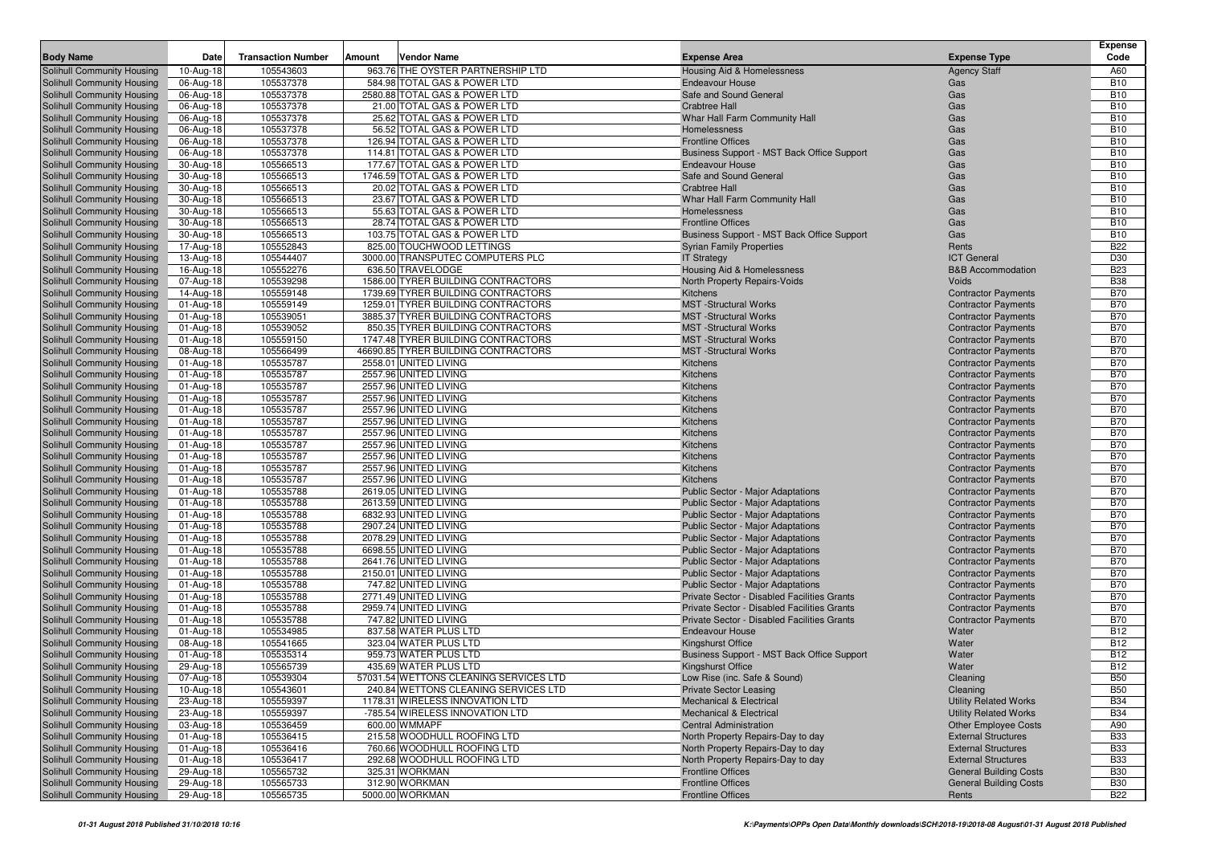|                                                                 |                        |                           |        |                                                                           |                                                                        |                                                          | <b>Expense</b>           |
|-----------------------------------------------------------------|------------------------|---------------------------|--------|---------------------------------------------------------------------------|------------------------------------------------------------------------|----------------------------------------------------------|--------------------------|
| <b>Body Name</b>                                                | Date                   | <b>Transaction Number</b> | Amount | Vendor Name                                                               | <b>Expense Area</b>                                                    | <b>Expense Type</b>                                      | Code                     |
| Solihull Community Housing                                      | 10-Aug-18              | 105543603                 |        | 963.76 THE OYSTER PARTNERSHIP LTD                                         | Housing Aid & Homelessness                                             | <b>Agency Staff</b>                                      | A60                      |
| Solihull Community Housing                                      | 06-Aug-18              | 105537378                 |        | 584.98 TOTAL GAS & POWER LTD                                              | <b>Endeavour House</b>                                                 | Gas                                                      | <b>B10</b>               |
| Solihull Community Housing                                      | 06-Aug-18              | 105537378                 |        | 2580.88 TOTAL GAS & POWER LTD                                             | Safe and Sound General                                                 | Gas                                                      | <b>B10</b>               |
| Solihull Community Housing<br>Solihull Community Housing        | 06-Aug-18              | 105537378<br>105537378    |        | 21.00 TOTAL GAS & POWER LTD<br>25.62 TOTAL GAS & POWER LTD                | <b>Crabtree Hall</b>                                                   | Gas<br>Gas                                               | <b>B10</b><br><b>B10</b> |
| Solihull Community Housing                                      | 06-Aug-18<br>06-Aug-18 | 105537378                 |        | 56.52 TOTAL GAS & POWER LTD                                               | Whar Hall Farm Community Hall<br>Homelessness                          | Gas                                                      | <b>B10</b>               |
| Solihull Community Housing                                      | 06-Aug-18              | 105537378                 |        | 126.94 TOTAL GAS & POWER LTD                                              | <b>Frontline Offices</b>                                               | Gas                                                      | <b>B10</b>               |
| Solihull Community Housing                                      | 06-Aug-18              | 105537378                 |        | 114.81 TOTAL GAS & POWER LTD                                              | Business Support - MST Back Office Support                             | Gas                                                      | <b>B10</b>               |
| Solihull Community Housing                                      | 30-Aug-18              | 105566513                 |        | 177.67 TOTAL GAS & POWER LTD                                              | <b>Endeavour House</b>                                                 | Gas                                                      | <b>B10</b>               |
| Solihull Community Housing                                      | 30-Aug-18              | 105566513                 |        | 1746.59 TOTAL GAS & POWER LTD                                             | Safe and Sound General                                                 | Gas                                                      | <b>B10</b>               |
| Solihull Community Housing                                      | 30-Aug-18              | 105566513                 |        | 20.02 TOTAL GAS & POWER LTD                                               | <b>Crabtree Hall</b>                                                   | Gas                                                      | <b>B10</b>               |
| Solihull Community Housing                                      | 30-Aug-18              | 105566513                 |        | 23.67 TOTAL GAS & POWER LTD                                               | Whar Hall Farm Community Hall                                          | Gas                                                      | <b>B10</b>               |
| Solihull Community Housing                                      | 30-Aug-18              | 105566513                 |        | 55.63 TOTAL GAS & POWER LTD                                               | Homelessness                                                           | Gas                                                      | <b>B10</b>               |
| Solihull Community Housing                                      | 30-Aug-18              | 105566513                 |        | 28.74 TOTAL GAS & POWER LTD                                               | <b>Frontline Offices</b>                                               | Gas                                                      | <b>B10</b>               |
| Solihull Community Housing                                      | 30-Aug-18              | 105566513                 |        | 103.75 TOTAL GAS & POWER LTD                                              | Business Support - MST Back Office Support                             | Gas                                                      | <b>B10</b>               |
| Solihull Community Housing                                      | 17-Aug-18              | 105552843                 |        | 825.00 TOUCHWOOD LETTINGS                                                 | <b>Syrian Family Properties</b>                                        | Rents                                                    | <b>B22</b>               |
| Solihull Community Housing                                      | 13-Aug-18              | 105544407                 |        | 3000.00 TRANSPUTEC COMPUTERS PLC                                          | <b>IT Strategy</b>                                                     | <b>ICT</b> General                                       | D30                      |
| Solihull Community Housing                                      | 16-Aug-18              | 105552276                 |        | 636.50 TRAVELODGE                                                         | Housing Aid & Homelessness                                             | <b>B&amp;B Accommodation</b>                             | <b>B23</b>               |
| Solihull Community Housing                                      | 07-Aug-18              | 105539298                 |        | 1586.00 TYRER BUILDING CONTRACTORS                                        | North Property Repairs-Voids                                           | Voids                                                    | <b>B38</b>               |
| Solihull Community Housing                                      | 14-Aug-18              | 105559148                 |        | 1739.69 TYRER BUILDING CONTRACTORS                                        | Kitchens                                                               | <b>Contractor Payments</b>                               | <b>B70</b>               |
| Solihull Community Housing                                      | 01-Aug-18              | 105559149                 |        | 1259.01 TYRER BUILDING CONTRACTORS                                        | <b>MST</b> -Structural Works                                           | <b>Contractor Payments</b>                               | <b>B70</b>               |
| Solihull Community Housing                                      | 01-Aug-18              | 105539051                 |        | 3885.37 TYRER BUILDING CONTRACTORS                                        | <b>MST</b> -Structural Works                                           | <b>Contractor Payments</b>                               | <b>B70</b>               |
| Solihull Community Housing                                      | 01-Aug-18              | 105539052                 |        | 850.35 TYRER BUILDING CONTRACTORS                                         | <b>MST</b> -Structural Works                                           | <b>Contractor Payments</b>                               | <b>B70</b>               |
| Solihull Community Housing                                      | 01-Aug-18              | 105559150<br>105566499    |        | 1747.48 TYRER BUILDING CONTRACTORS<br>46690.85 TYRER BUILDING CONTRACTORS | <b>MST</b> -Structural Works<br><b>MST</b> -Structural Works           | <b>Contractor Payments</b>                               | <b>B70</b><br><b>B70</b> |
| <b>Solihull Community Housing</b><br>Solihull Community Housing | 08-Aug-18<br>01-Aug-18 | 105535787                 |        | 2558.01 UNITED LIVING                                                     | Kitchens                                                               | <b>Contractor Payments</b><br><b>Contractor Payments</b> | <b>B70</b>               |
| Solihull Community Housing                                      | 01-Aug-18              | 105535787                 |        | 2557.96 UNITED LIVING                                                     | Kitchens                                                               | <b>Contractor Payments</b>                               | <b>B70</b>               |
| Solihull Community Housing                                      | 01-Aug-18              | 105535787                 |        | 2557.96 UNITED LIVING                                                     | Kitchens                                                               | <b>Contractor Payments</b>                               | <b>B70</b>               |
| Solihull Community Housing                                      | 01-Aug-18              | 105535787                 |        | 2557.96 UNITED LIVING                                                     | Kitchens                                                               | <b>Contractor Payments</b>                               | <b>B70</b>               |
| Solihull Community Housing                                      | 01-Aug-18              | 105535787                 |        | 2557.96 UNITED LIVING                                                     | Kitchens                                                               | <b>Contractor Payments</b>                               | <b>B70</b>               |
| Solihull Community Housing                                      | 01-Aug-18              | 105535787                 |        | 2557.96 UNITED LIVING                                                     | Kitchens                                                               | <b>Contractor Payments</b>                               | <b>B70</b>               |
| Solihull Community Housing                                      | 01-Aug-18              | 105535787                 |        | 2557.96 UNITED LIVING                                                     | Kitchens                                                               | <b>Contractor Payments</b>                               | <b>B70</b>               |
| Solihull Community Housing                                      | 01-Aug-18              | 105535787                 |        | 2557.96 UNITED LIVING                                                     | Kitchens                                                               | <b>Contractor Payments</b>                               | <b>B70</b>               |
| Solihull Community Housing                                      | 01-Aug-18              | 105535787                 |        | 2557.96 UNITED LIVING                                                     | Kitchens                                                               | <b>Contractor Payments</b>                               | <b>B70</b>               |
| Solihull Community Housing                                      | 01-Aug-18              | 105535787                 |        | 2557.96 UNITED LIVING                                                     | Kitchens                                                               | <b>Contractor Payments</b>                               | <b>B70</b>               |
| Solihull Community Housing                                      | 01-Aug-18              | 105535787                 |        | 2557.96 UNITED LIVING                                                     | Kitchens                                                               | <b>Contractor Payments</b>                               | <b>B70</b>               |
| Solihull Community Housing                                      | 01-Aug-18              | 105535788                 |        | 2619.05 UNITED LIVING                                                     | Public Sector - Major Adaptations                                      | <b>Contractor Payments</b>                               | <b>B70</b>               |
| Solihull Community Housing                                      | 01-Aug-18              | 105535788                 |        | 2613.59 UNITED LIVING                                                     | Public Sector - Major Adaptations                                      | <b>Contractor Payments</b>                               | <b>B70</b>               |
| Solihull Community Housing                                      | 01-Aug-18              | 105535788                 |        | 6832.93 UNITED LIVING                                                     | Public Sector - Major Adaptations                                      | <b>Contractor Payments</b>                               | <b>B70</b>               |
| Solihull Community Housing                                      | 01-Aug-18              | 105535788                 |        | 2907.24 UNITED LIVING                                                     | Public Sector - Major Adaptations                                      | <b>Contractor Payments</b>                               | <b>B70</b>               |
| Solihull Community Housing                                      | 01-Aug-18              | 105535788                 |        | 2078.29 UNITED LIVING                                                     | Public Sector - Major Adaptations                                      | <b>Contractor Payments</b>                               | <b>B70</b>               |
| Solihull Community Housing<br>Solihull Community Housing        | 01-Aug-18<br>01-Aug-18 | 105535788<br>105535788    |        | 6698.55 UNITED LIVING<br>2641.76 UNITED LIVING                            | Public Sector - Major Adaptations<br>Public Sector - Major Adaptations | <b>Contractor Payments</b><br><b>Contractor Payments</b> | <b>B70</b><br><b>B70</b> |
| Solihull Community Housing                                      | 01-Aug-18              | 105535788                 |        | 2150.01 UNITED LIVING                                                     | Public Sector - Major Adaptations                                      | <b>Contractor Payments</b>                               | <b>B70</b>               |
| Solihull Community Housing                                      | 01-Aug-18              | 105535788                 |        | 747.82 UNITED LIVING                                                      | Public Sector - Major Adaptations                                      | <b>Contractor Payments</b>                               | <b>B70</b>               |
| Solihull Community Housing                                      | 01-Aug-18              | 105535788                 |        | 2771.49 UNITED LIVING                                                     | Private Sector - Disabled Facilities Grants                            | <b>Contractor Payments</b>                               | <b>B70</b>               |
| Solihull Community Housing                                      | 01-Aug-18              | 105535788                 |        | 2959.74 UNITED LIVING                                                     | Private Sector - Disabled Facilities Grants                            | <b>Contractor Payments</b>                               | <b>B70</b>               |
| Solihull Community Housing                                      | 01-Aug-18              | 105535788                 |        | 747.82 UNITED LIVING                                                      | Private Sector - Disabled Facilities Grants                            | <b>Contractor Payments</b>                               | <b>B70</b>               |
| Solihull Community Housing                                      | 01-Aug-18              | 105534985                 |        | 837.58 WATER PLUS LTD                                                     | <b>Endeavour House</b>                                                 | Water                                                    | <b>B12</b>               |
| <b>Solihull Community Housing</b>                               | 08-Aug-18              | 105541665                 |        | 323.04 WATER PLUS LTD                                                     | Kingshurst Office                                                      | Water                                                    | <b>B12</b>               |
| Solihull Community Housing                                      | 01-Aug-18              | 105535314                 |        | 959.73 WATER PLUS LTD                                                     | Business Support - MST Back Office Support                             | Water                                                    | <b>B12</b>               |
| Solihull Community Housing                                      | 29-Aug-18              | 105565739                 |        | 435.69 WATER PLUS LTD                                                     | Kingshurst Office                                                      | Water                                                    | <b>B12</b>               |
| Solihull Community Housing                                      | 07-Aug-18              | 105539304                 |        | 57031.54 WETTONS CLEANING SERVICES LTD                                    | Low Rise (inc. Safe & Sound)                                           | Cleaning                                                 | <b>B50</b>               |
| Solihull Community Housing                                      | 10-Aug-18              | 105543601                 |        | 240.84 WETTONS CLEANING SERVICES LTD                                      | <b>Private Sector Leasing</b>                                          | Cleaning                                                 | <b>B50</b>               |
| Solihull Community Housing                                      | 23-Aug-18              | 105559397                 |        | 1178.31 WIRELESS INNOVATION LTD                                           | <b>Mechanical &amp; Electrical</b>                                     | <b>Utility Related Works</b>                             | <b>B34</b>               |
| Solihull Community Housing                                      | 23-Aug-18              | 105559397                 |        | -785.54 WIRELESS INNOVATION LTD                                           | Mechanical & Electrical                                                | <b>Utility Related Works</b>                             | <b>B34</b>               |
| Solihull Community Housing                                      | 03-Aug-18              | 105536459                 |        | 600.00 WMMAPF                                                             | <b>Central Administration</b>                                          | <b>Other Employee Costs</b>                              | A90                      |
| Solihull Community Housing                                      | 01-Aug-18              | 105536415                 |        | 215.58 WOODHULL ROOFING LTD                                               | North Property Repairs-Day to day                                      | <b>External Structures</b>                               | <b>B33</b>               |
| Solihull Community Housing                                      | 01-Aug-18              | 105536416                 |        | 760.66 WOODHULL ROOFING LTD                                               | North Property Repairs-Day to day                                      | <b>External Structures</b>                               | <b>B33</b>               |
| Solihull Community Housing                                      | 01-Aug-18              | 105536417                 |        | 292.68 WOODHULL ROOFING LTD                                               | North Property Repairs-Day to day                                      | <b>External Structures</b>                               | <b>B33</b>               |
| Solihull Community Housing                                      | 29-Aug-18              | 105565732                 |        | 325.31 WORKMAN                                                            | <b>Frontline Offices</b><br><b>Frontline Offices</b>                   | <b>General Building Costs</b>                            | <b>B30</b>               |
| Solihull Community Housing<br>Solihull Community Housing        | 29-Aug-18              | 105565733                 |        | 312.90 WORKMAN<br>5000.00 WORKMAN                                         |                                                                        | <b>General Building Costs</b>                            | <b>B30</b>               |
|                                                                 | 29-Aug-18              | 105565735                 |        |                                                                           | <b>Frontline Offices</b>                                               | Rents                                                    | <b>B22</b>               |